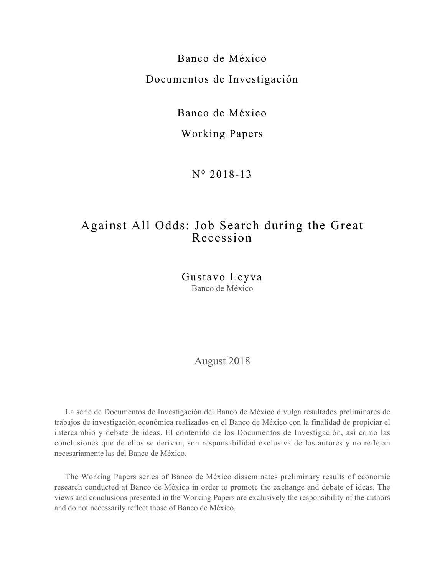Banco de México Documentos de Investigación

Banco de México

## Working Papers

N° 2018-13

## Against All Odds: Job Search during the Great Recession

Gustavo Leyva Banco de México

August 2018

La serie de Documentos de Investigación del Banco de México divulga resultados preliminares de trabajos de investigación económica realizados en el Banco de México con la finalidad de propiciar el intercambio y debate de ideas. El contenido de los Documentos de Investigación, así como las conclusiones que de ellos se derivan, son responsabilidad exclusiva de los autores y no reflejan necesariamente las del Banco de México.

The Working Papers series of Banco de México disseminates preliminary results of economic research conducted at Banco de México in order to promote the exchange and debate of ideas. The views and conclusions presented in the Working Papers are exclusively the responsibility of the authors and do not necessarily reflect those of Banco de México.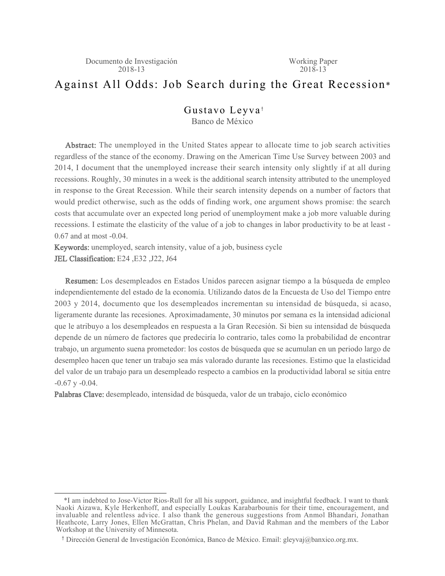## Against All Odds: Job Search during the Great Recession\*

#### Gustavo Leyva<sup>+</sup> Banco de México

Abstract: The unemployed in the United States appear to allocate time to job search activities regardless of the stance of the economy. Drawing on the American Time Use Survey between 2003 and 2014, I document that the unemployed increase their search intensity only slightly if at all during recessions. Roughly, 30 minutes in a week is the additional search intensity attributed to the unemployed in response to the Great Recession. While their search intensity depends on a number of factors that would predict otherwise, such as the odds of finding work, one argument shows promise: the search costs that accumulate over an expected long period of unemployment make a job more valuable during recessions. I estimate the elasticity of the value of a job to changes in labor productivity to be at least - 0.67 and at most -0.04.

Keywords: unemployed, search intensity, value of a job, business cycle JEL Classification: E24 ,E32 ,J22, J64

Resumen: Los desempleados en Estados Unidos parecen asignar tiempo a la búsqueda de empleo independientemente del estado de la economía. Utilizando datos de la Encuesta de Uso del Tiempo entre 2003 y 2014, documento que los desempleados incrementan su intensidad de búsqueda, si acaso, ligeramente durante las recesiones. Aproximadamente, 30 minutos por semana es la intensidad adicional que le atribuyo a los desempleados en respuesta a la Gran Recesión. Si bien su intensidad de búsqueda depende de un número de factores que predeciría lo contrario, tales como la probabilidad de encontrar trabajo, un argumento suena prometedor: los costos de búsqueda que se acumulan en un periodo largo de desempleo hacen que tener un trabajo sea más valorado durante las recesiones. Estimo que la elasticidad del valor de un trabajo para un desempleado respecto a cambios en la productividad laboral se sitúa entre -0.67 y -0.04.

Palabras Clave: desempleado, intensidad de búsqueda, valor de un trabajo, ciclo económico

<sup>\*</sup>I am indebted to Jose-Victor Rios-Rull for all his support, guidance, and insightful feedback. I want to thank Naoki Aizawa, Kyle Herkenhoff, and especially Loukas Karabarbounis for their time, encouragement, and invaluable and relentless advice. I also thank the generous suggestions from Anmol Bhandari, Jonathan Heathcote, Larry Jones, Ellen McGrattan, Chris Phelan, and David Rahman and the members of the Labor Workshop at the University of Minnesota.

<sup>†</sup> Dirección General de Investigación Económica, Banco de México. Email: gleyvaj@banxico.org.mx.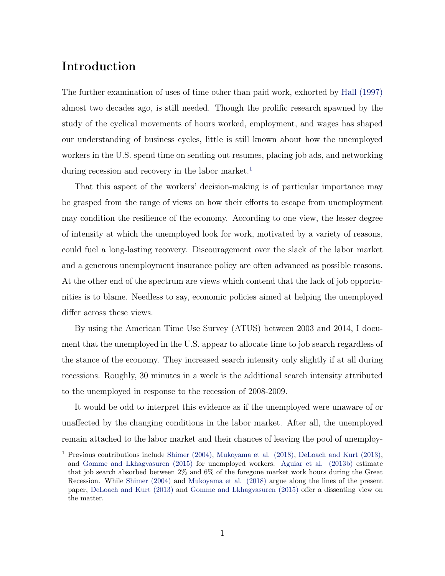## Introduction

The further examination of uses of time other than paid work, exhorted by [Hall \(1997\)](#page-52-0) almost two decades ago, is still needed. Though the prolific research spawned by the study of the cyclical movements of hours worked, employment, and wages has shaped our understanding of business cycles, little is still known about how the unemployed workers in the U.S. spend time on sending out resumes, placing job ads, and networking during recession and recovery in the labor market.<sup>[1](#page-2-0)</sup>

That this aspect of the workers' decision-making is of particular importance may be grasped from the range of views on how their efforts to escape from unemployment may condition the resilience of the economy. According to one view, the lesser degree of intensity at which the unemployed look for work, motivated by a variety of reasons, could fuel a long-lasting recovery. Discouragement over the slack of the labor market and a generous unemployment insurance policy are often advanced as possible reasons. At the other end of the spectrum are views which contend that the lack of job opportunities is to blame. Needless to say, economic policies aimed at helping the unemployed differ across these views.

By using the American Time Use Survey (ATUS) between 2003 and 2014, I document that the unemployed in the U.S. appear to allocate time to job search regardless of the stance of the economy. They increased search intensity only slightly if at all during recessions. Roughly, 30 minutes in a week is the additional search intensity attributed to the unemployed in response to the recession of 2008-2009.

It would be odd to interpret this evidence as if the unemployed were unaware of or unaffected by the changing conditions in the labor market. After all, the unemployed remain attached to the labor market and their chances of leaving the pool of unemploy-

<span id="page-2-0"></span><sup>&</sup>lt;sup>1</sup> Previous contributions include [Shimer \(2004\),](#page-53-0) [Mukoyama et al. \(2018\)](#page-53-1), [DeLoach and Kurt \(2013\)](#page-51-0), and [Gomme and Lkhagvasuren \(2015\)](#page-52-1) for unemployed workers. [Aguiar et al. \(2013b\)](#page-51-1) estimate that job search absorbed between 2% and 6% of the foregone market work hours during the Great Recession. While [Shimer \(2004\)](#page-53-0) and [Mukoyama et al. \(2018\)](#page-53-1) argue along the lines of the present paper, [DeLoach and Kurt \(2013\)](#page-51-0) and [Gomme and Lkhagvasuren \(2015\)](#page-52-1) offer a dissenting view on the matter.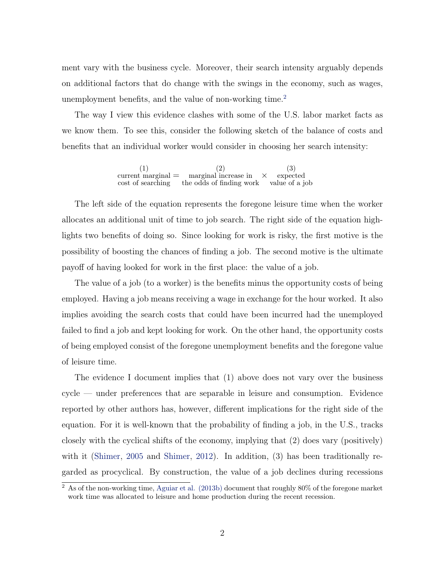ment vary with the business cycle. Moreover, their search intensity arguably depends on additional factors that do change with the swings in the economy, such as wages, unemployment benefits, and the value of non-working time.<sup>[2](#page-3-0)</sup>

The way I view this evidence clashes with some of the U.S. labor market facts as we know them. To see this, consider the following sketch of the balance of costs and benefits that an individual worker would consider in choosing her search intensity:

> (1)  $current$  marginal  $=$  marginal increase in cost of searching (2) the odds of finding work value of a job *×* (3) expected

The left side of the equation represents the foregone leisure time when the worker allocates an additional unit of time to job search. The right side of the equation highlights two benefits of doing so. Since looking for work is risky, the first motive is the possibility of boosting the chances of finding a job. The second motive is the ultimate payoff of having looked for work in the first place: the value of a job.

The value of a job (to a worker) is the benefits minus the opportunity costs of being employed. Having a job means receiving a wage in exchange for the hour worked. It also implies avoiding the search costs that could have been incurred had the unemployed failed to find a job and kept looking for work. On the other hand, the opportunity costs of being employed consist of the foregone unemployment benefits and the foregone value of leisure time.

The evidence I document implies that (1) above does not vary over the business cycle — under preferences that are separable in leisure and consumption. Evidence reported by other authors has, however, different implications for the right side of the equation. For it is well-known that the probability of finding a job, in the U.S., tracks closely with the cyclical shifts of the economy, implying that (2) does vary (positively) with it ([Shimer,](#page-53-2) [2005](#page-53-2) and [Shimer](#page-53-3), [2012](#page-53-3)). In addition, (3) has been traditionally regarded as procyclical. By construction, the value of a job declines during recessions

<span id="page-3-0"></span><sup>2</sup> As of the non-working time, [Aguiar et al. \(2013b\)](#page-51-1) document that roughly 80% of the foregone market work time was allocated to leisure and home production during the recent recession.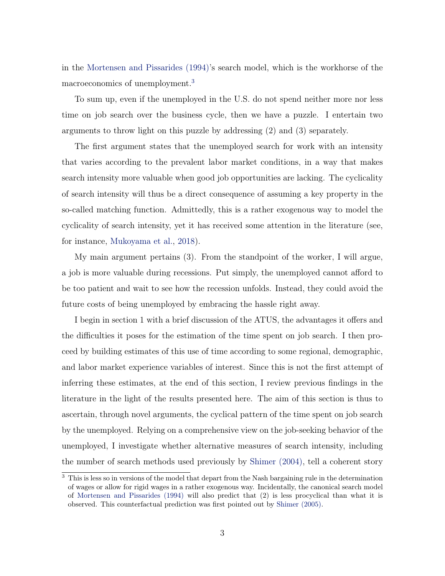in the [Mortensen and Pissarides \(1994\)](#page-53-4)'s search model, which is the workhorse of the macroeconomics of unemployment.[3](#page-4-0)

To sum up, even if the unemployed in the U.S. do not spend neither more nor less time on job search over the business cycle, then we have a puzzle. I entertain two arguments to throw light on this puzzle by addressing (2) and (3) separately.

The first argument states that the unemployed search for work with an intensity that varies according to the prevalent labor market conditions, in a way that makes search intensity more valuable when good job opportunities are lacking. The cyclicality of search intensity will thus be a direct consequence of assuming a key property in the so-called matching function. Admittedly, this is a rather exogenous way to model the cyclicality of search intensity, yet it has received some attention in the literature (see, for instance, [Mukoyama et al.,](#page-53-1) [2018](#page-53-1)).

My main argument pertains (3). From the standpoint of the worker, I will argue, a job is more valuable during recessions. Put simply, the unemployed cannot afford to be too patient and wait to see how the recession unfolds. Instead, they could avoid the future costs of being unemployed by embracing the hassle right away.

I begin in section 1 with a brief discussion of the ATUS, the advantages it offers and the difficulties it poses for the estimation of the time spent on job search. I then proceed by building estimates of this use of time according to some regional, demographic, and labor market experience variables of interest. Since this is not the first attempt of inferring these estimates, at the end of this section, I review previous findings in the literature in the light of the results presented here. The aim of this section is thus to ascertain, through novel arguments, the cyclical pattern of the time spent on job search by the unemployed. Relying on a comprehensive view on the job-seeking behavior of the unemployed, I investigate whether alternative measures of search intensity, including the number of search methods used previously by [Shimer \(2004\)](#page-53-0), tell a coherent story

<span id="page-4-0"></span><sup>&</sup>lt;sup>3</sup> This is less so in versions of the model that depart from the Nash bargaining rule in the determination of wages or allow for rigid wages in a rather exogenous way. Incidentally, the canonical search model of [Mortensen and Pissarides \(1994\)](#page-53-4) will also predict that (2) is less procyclical than what it is observed. This counterfactual prediction was first pointed out by [Shimer \(2005\)](#page-53-2).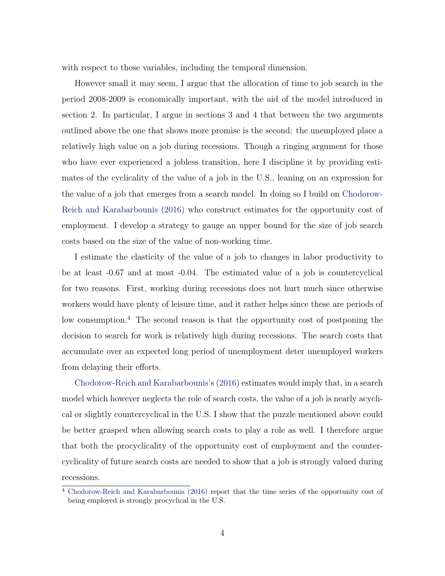with respect to those variables, including the temporal dimension.

However small it may seem, I argue that the allocation of time to job search in the period 2008-2009 is economically important, with the aid of the model introduced in section 2. In particular, I argue in sections 3 and 4 that between the two arguments outlined above the one that shows more promise is the second: the unemployed place a relatively high value on a job during recessions. Though a ringing argument for those who have ever experienced a jobless transition, here I discipline it by providing estimates of the cyclicality of the value of a job in the U.S., leaning on an expression for the value of a job that emerges from a search model. In doing so I build on [Chodorow-](#page-51-2)[Reich and Karabarbounis \(2016\)](#page-51-2) who construct estimates for the opportunity cost of employment. I develop a strategy to gauge an upper bound for the size of job search costs based on the size of the value of non-working time.

I estimate the elasticity of the value of a job to changes in labor productivity to be at least -0.67 and at most -0.04. The estimated value of a job is countercyclical for two reasons. First, working during recessions does not hurt much since otherwise workers would have plenty of leisure time, and it rather helps since these are periods of low consumption.[4](#page-5-0) The second reason is that the opportunity cost of postponing the decision to search for work is relatively high during recessions. The search costs that accumulate over an expected long period of unemployment deter unemployed workers from delaying their efforts.

[Chodorow-Reich and Karabarbounis'](#page-51-2)s ([2016](#page-51-2)) estimates would imply that, in a search model which however neglects the role of search costs, the value of a job is nearly acyclical or slightly countercyclical in the U.S. I show that the puzzle mentioned above could be better grasped when allowing search costs to play a role as well. I therefore argue that both the procyclicality of the opportunity cost of employment and the countercyclicality of future search costs are needed to show that a job is strongly valued during recessions.

<span id="page-5-0"></span><sup>4</sup> [Chodorow-Reich and Karabarbounis \(2016\)](#page-51-2) report that the time series of the opportunity cost of being employed is strongly procyclical in the U.S.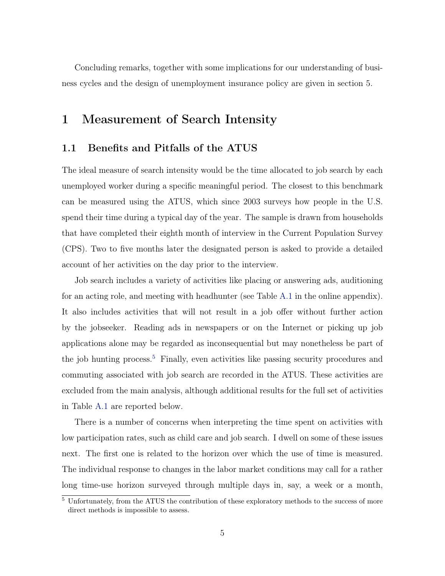Concluding remarks, together with some implications for our understanding of business cycles and the design of unemployment insurance policy are given in section 5.

## 1 Measurement of Search Intensity

#### 1.1 Benefits and Pitfalls of the ATUS

The ideal measure of search intensity would be the time allocated to job search by each unemployed worker during a specific meaningful period. The closest to this benchmark can be measured using the ATUS, which since 2003 surveys how people in the U.S. spend their time during a typical day of the year. The sample is drawn from households that have completed their eighth month of interview in the Current Population Survey (CPS). Two to five months later the designated person is asked to provide a detailed account of her activities on the day prior to the interview.

Job search includes a variety of activities like placing or answering ads, auditioning for an acting role, and meeting with headhunter (see Table [A.1](#page-56-0) in the online appendix). It also includes activities that will not result in a job offer without further action by the jobseeker. Reading ads in newspapers or on the Internet or picking up job applications alone may be regarded as inconsequential but may nonetheless be part of the job hunting process.<sup>[5](#page-6-0)</sup> Finally, even activities like passing security procedures and commuting associated with job search are recorded in the ATUS. These activities are excluded from the main analysis, although additional results for the full set of activities in Table [A.1](#page-56-0) are reported below.

There is a number of concerns when interpreting the time spent on activities with low participation rates, such as child care and job search. I dwell on some of these issues next. The first one is related to the horizon over which the use of time is measured. The individual response to changes in the labor market conditions may call for a rather long time-use horizon surveyed through multiple days in, say, a week or a month,

<span id="page-6-0"></span><sup>&</sup>lt;sup>5</sup> Unfortunately, from the ATUS the contribution of these exploratory methods to the success of more direct methods is impossible to assess.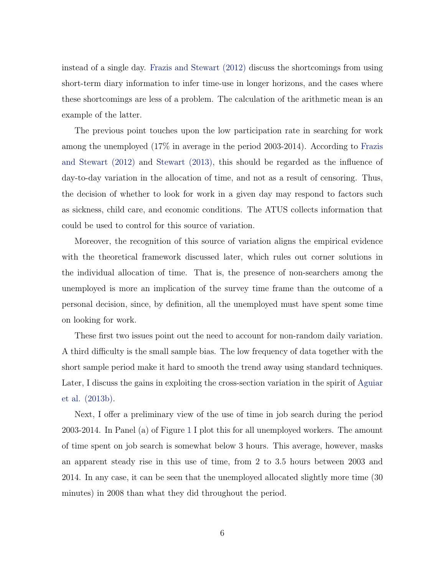instead of a single day. [Frazis and Stewart \(2012\)](#page-52-2) discuss the shortcomings from using short-term diary information to infer time-use in longer horizons, and the cases where these shortcomings are less of a problem. The calculation of the arithmetic mean is an example of the latter.

The previous point touches upon the low participation rate in searching for work among the unemployed (17% in average in the period 2003-2014). According to [Frazis](#page-52-2) [and Stewart \(2012\)](#page-52-2) and [Stewart \(2013\)](#page-54-0), this should be regarded as the influence of day-to-day variation in the allocation of time, and not as a result of censoring. Thus, the decision of whether to look for work in a given day may respond to factors such as sickness, child care, and economic conditions. The ATUS collects information that could be used to control for this source of variation.

Moreover, the recognition of this source of variation aligns the empirical evidence with the theoretical framework discussed later, which rules out corner solutions in the individual allocation of time. That is, the presence of non-searchers among the unemployed is more an implication of the survey time frame than the outcome of a personal decision, since, by definition, all the unemployed must have spent some time on looking for work.

These first two issues point out the need to account for non-random daily variation. A third difficulty is the small sample bias. The low frequency of data together with the short sample period make it hard to smooth the trend away using standard techniques. Later, I discuss the gains in exploiting the cross-section variation in the spirit of [Aguiar](#page-51-1) [et al. \(2013b\)](#page-51-1).

Next, I offer a preliminary view of the use of time in job search during the period 2003-2014. In Panel (a) of Figure [1](#page-8-0) I plot this for all unemployed workers. The amount of time spent on job search is somewhat below 3 hours. This average, however, masks an apparent steady rise in this use of time, from 2 to 3.5 hours between 2003 and 2014. In any case, it can be seen that the unemployed allocated slightly more time (30 minutes) in 2008 than what they did throughout the period.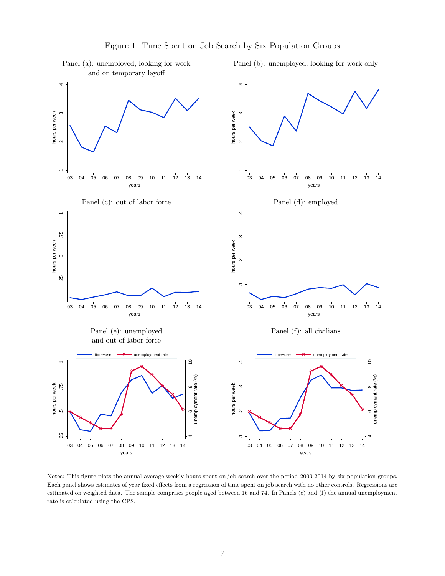and on temporary layoff 44 $\alpha$ hours per week<br>2  $\mathfrak{g}$ hours per week<br>2<br>3  $\begin{array}{c|c} 1 & 2 \\ 1 & 1 \end{array}$ 1<br>1<br>1  $\overline{\phantom{0}}$  $\overline{\phantom{0}}$ 03 04 05 06 07 08 09 10 11 12 13 14 03 04 05 06 07 08 09 10 11 12 13 14 years years Panel (c): out of labor force Panel (d): employed 4 .1 .2 .2<br>4 .<br>4 . .25 .5 .75 1  $.75$  $\infty$ hours per week hours per week 25  $\overline{\phantom{0}}$ 03 04 05 06 07 08 09 10 11 12 13 14 03 04 05 06 07 08 09 10 11 12 13 14 years years Panel (e): unemployed Panel (f): all civilians and out of labor force mployment rate nployment rate 4 8<br>#e (%) .1 .2 .2 .4<br>4 .1 .2 .2 .4 8<br>the (%) .25 .5 .75 1 unemployment rate (%) unemployment rate (%) hours per week hours per week  $\infty$  $\alpha$ 6625  $\overline{\mathbb{R}}$ 4403 04 05 06 07 08 09 10 11 12 13 14 03 04 05 06 07 08 09 10 11 12 13 14 years years

<span id="page-8-0"></span>Panel (a): unemployed, looking for work Panel (b): unemployed, looking for work only

Notes: This figure plots the annual average weekly hours spent on job search over the period 2003-2014 by six population groups. Each panel shows estimates of year fixed effects from a regression of time spent on job search with no other controls. Regressions are estimated on weighted data. The sample comprises people aged between 16 and 74. In Panels (e) and (f) the annual unemployment rate is calculated using the CPS.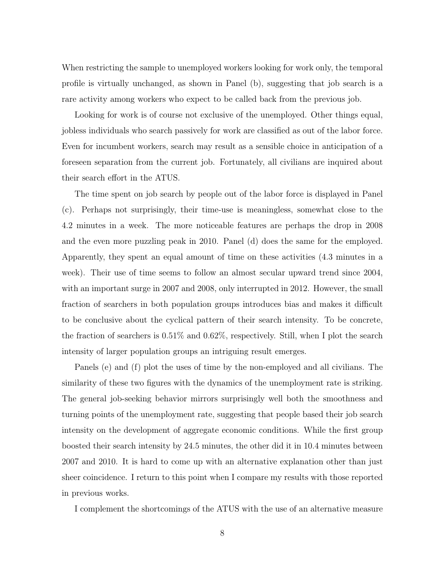When restricting the sample to unemployed workers looking for work only, the temporal profile is virtually unchanged, as shown in Panel (b), suggesting that job search is a rare activity among workers who expect to be called back from the previous job.

Looking for work is of course not exclusive of the unemployed. Other things equal, jobless individuals who search passively for work are classified as out of the labor force. Even for incumbent workers, search may result as a sensible choice in anticipation of a foreseen separation from the current job. Fortunately, all civilians are inquired about their search effort in the ATUS.

The time spent on job search by people out of the labor force is displayed in Panel (c). Perhaps not surprisingly, their time-use is meaningless, somewhat close to the 4.2 minutes in a week. The more noticeable features are perhaps the drop in 2008 and the even more puzzling peak in 2010. Panel (d) does the same for the employed. Apparently, they spent an equal amount of time on these activities (4.3 minutes in a week). Their use of time seems to follow an almost secular upward trend since 2004, with an important surge in 2007 and 2008, only interrupted in 2012. However, the small fraction of searchers in both population groups introduces bias and makes it difficult to be conclusive about the cyclical pattern of their search intensity. To be concrete, the fraction of searchers is 0.51% and 0.62%, respectively. Still, when I plot the search intensity of larger population groups an intriguing result emerges.

Panels (e) and (f) plot the uses of time by the non-employed and all civilians. The similarity of these two figures with the dynamics of the unemployment rate is striking. The general job-seeking behavior mirrors surprisingly well both the smoothness and turning points of the unemployment rate, suggesting that people based their job search intensity on the development of aggregate economic conditions. While the first group boosted their search intensity by 24.5 minutes, the other did it in 10.4 minutes between 2007 and 2010. It is hard to come up with an alternative explanation other than just sheer coincidence. I return to this point when I compare my results with those reported in previous works.

I complement the shortcomings of the ATUS with the use of an alternative measure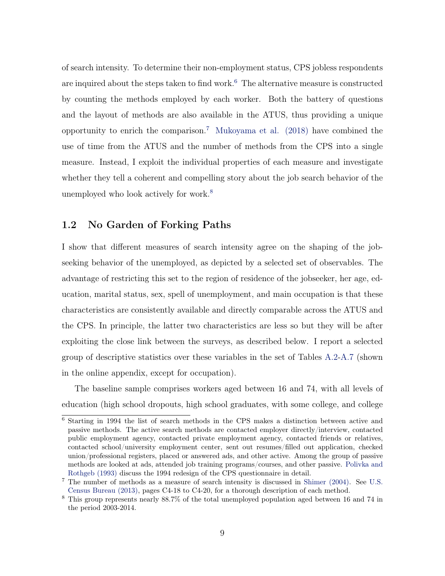of search intensity. To determine their non-employment status, CPS jobless respondents are inquired about the steps taken to find work. $6$  The alternative measure is constructed by counting the methods employed by each worker. Both the battery of questions and the layout of methods are also available in the ATUS, thus providing a unique opportunity to enrich the comparison.<sup>[7](#page-10-1)</sup> Mukoyama et al.  $(2018)$  have combined the use of time from the ATUS and the number of methods from the CPS into a single measure. Instead, I exploit the individual properties of each measure and investigate whether they tell a coherent and compelling story about the job search behavior of the unemployed who look actively for work.<sup>[8](#page-10-2)</sup>

#### 1.2 No Garden of Forking Paths

I show that different measures of search intensity agree on the shaping of the jobseeking behavior of the unemployed, as depicted by a selected set of observables. The advantage of restricting this set to the region of residence of the jobseeker, her age, education, marital status, sex, spell of unemployment, and main occupation is that these characteristics are consistently available and directly comparable across the ATUS and the CPS. In principle, the latter two characteristics are less so but they will be after exploiting the close link between the surveys, as described below. I report a selected group of descriptive statistics over these variables in the set of Tables [A.2-](#page-57-0)[A.7](#page-62-0) (shown in the online appendix, except for occupation).

The baseline sample comprises workers aged between 16 and 74, with all levels of education (high school dropouts, high school graduates, with some college, and college

<span id="page-10-0"></span><sup>6</sup> Starting in 1994 the list of search methods in the CPS makes a distinction between active and passive methods. The active search methods are contacted employer directly/interview, contacted public employment agency, contacted private employment agency, contacted friends or relatives, contacted school/university employment center, sent out resumes/filled out application, checked union/professional registers, placed or answered ads, and other active. Among the group of passive methods are looked at ads, attended job training programs/courses, and other passive. [Polivka and](#page-53-5) [Rothgeb \(1993\)](#page-53-5) discuss the 1994 redesign of the CPS questionnaire in detail.

<span id="page-10-1"></span><sup>7</sup> The number of methods as a measure of search intensity is discussed in [Shimer \(2004\)](#page-53-0). See [U.S.](#page-54-1) [Census Bureau \(2013\),](#page-54-1) pages C4-18 to C4-20, for a thorough description of each method.

<span id="page-10-2"></span><sup>8</sup> This group represents nearly 88.7% of the total unemployed population aged between 16 and 74 in the period 2003-2014.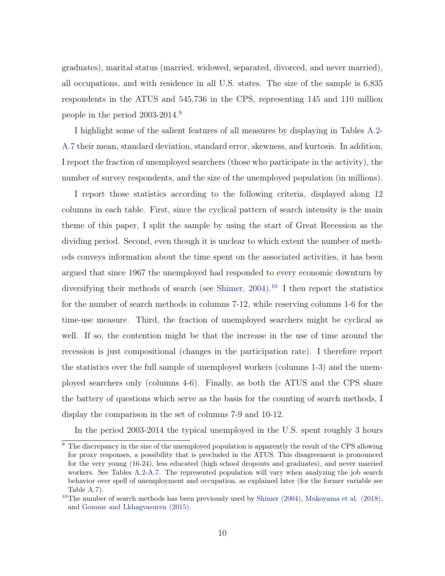graduates), marital status (married, widowed, separated, divorced, and never married), all occupations, and with residence in all U.S. states. The size of the sample is 6,835 respondents in the ATUS and 545,736 in the CPS, representing 145 and 110 million people in the period 2003-2014.[9](#page-11-0)

I highlight some of the salient features of all measures by displaying in Tables [A.2](#page-57-0)- [A.7](#page-62-0) their mean, standard deviation, standard error, skewness, and kurtosis. In addition, I report the fraction of unemployed searchers (those who participate in the activity), the number of survey respondents, and the size of the unemployed population (in millions).

I report those statistics according to the following criteria, displayed along 12 columns in each table. First, since the cyclical pattern of search intensity is the main theme of this paper, I split the sample by using the start of Great Recession as the dividing period. Second, even though it is unclear to which extent the number of methods conveys information about the time spent on the associated activities, it has been argued that since 1967 the unemployed had responded to every economic downturn by diversifying their methods of search (see [Shimer](#page-53-0), [2004\)](#page-53-0).<sup>[10](#page-11-1)</sup> I then report the statistics for the number of search methods in columns 7-12, while reserving columns 1-6 for the time-use measure. Third, the fraction of unemployed searchers might be cyclical as well. If so, the contention might be that the increase in the use of time around the recession is just compositional (changes in the participation rate). I therefore report the statistics over the full sample of unemployed workers (columns 1-3) and the unemployed searchers only (columns 4-6). Finally, as both the ATUS and the CPS share the battery of questions which serve as the basis for the counting of search methods, I display the comparison in the set of columns 7-9 and 10-12.

In the period 2003-2014 the typical unemployed in the U.S. spent roughly 3 hours

<span id="page-11-0"></span><sup>&</sup>lt;sup>9</sup> The discrepancy in the size of the unemployed population is apparently the result of the CPS allowing for proxy responses, a possibility that is precluded in the ATUS. This disagreement is pronounced for the very young (16-24), less educated (high school dropouts and graduates), and never married workers. See Tables [A.2](#page-57-0)[-A.7.](#page-62-0) The represented population will vary when analyzing the job search behavior over spell of unemployment and occupation, as explained later (for the former variable see Table [A.7](#page-62-0)).

<span id="page-11-1"></span><sup>&</sup>lt;sup>10</sup>The number of search methods has been previously used by Shimer  $(2004)$ , Mukoyama et al.  $(2018)$ , and [Gomme and Lkhagvasuren \(2015\)](#page-52-1).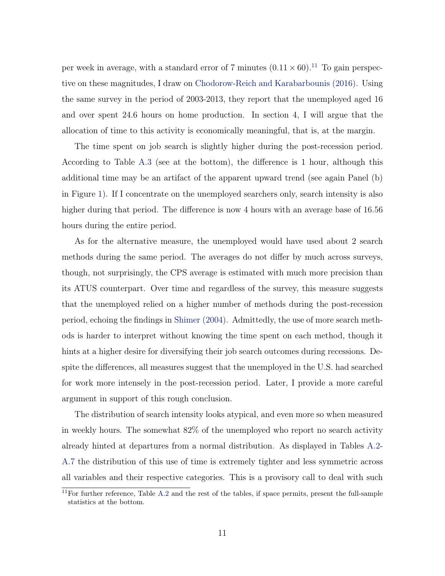per week in average, with a standard error of 7 minutes  $(0.11 \times 60)$  $(0.11 \times 60)$  $(0.11 \times 60)$ .<sup>11</sup> To gain perspective on these magnitudes, I draw on [Chodorow-Reich and Karabarbounis \(2016\).](#page-51-2) Using the same survey in the period of 2003-2013, they report that the unemployed aged 16 and over spent 24.6 hours on home production. In section 4, I will argue that the allocation of time to this activity is economically meaningful, that is, at the margin.

The time spent on job search is slightly higher during the post-recession period. According to Table [A.3](#page-58-0) (see at the bottom), the difference is 1 hour, although this additional time may be an artifact of the apparent upward trend (see again Panel (b) in Figure [1\)](#page-8-0). If I concentrate on the unemployed searchers only, search intensity is also higher during that period. The difference is now 4 hours with an average base of 16.56 hours during the entire period.

As for the alternative measure, the unemployed would have used about 2 search methods during the same period. The averages do not differ by much across surveys, though, not surprisingly, the CPS average is estimated with much more precision than its ATUS counterpart. Over time and regardless of the survey, this measure suggests that the unemployed relied on a higher number of methods during the post-recession period, echoing the findings in [Shimer \(2004\)](#page-53-0). Admittedly, the use of more search methods is harder to interpret without knowing the time spent on each method, though it hints at a higher desire for diversifying their job search outcomes during recessions. Despite the differences, all measures suggest that the unemployed in the U.S. had searched for work more intensely in the post-recession period. Later, I provide a more careful argument in support of this rough conclusion.

The distribution of search intensity looks atypical, and even more so when measured in weekly hours. The somewhat 82% of the unemployed who report no search activity already hinted at departures from a normal distribution. As displayed in Tables [A.2](#page-57-0)- [A.7](#page-62-0) the distribution of this use of time is extremely tighter and less symmetric across all variables and their respective categories. This is a provisory call to deal with such

<span id="page-12-0"></span> $\frac{11}{11}$ For further reference, Table [A.2](#page-57-0) and the rest of the tables, if space permits, present the full-sample statistics at the bottom.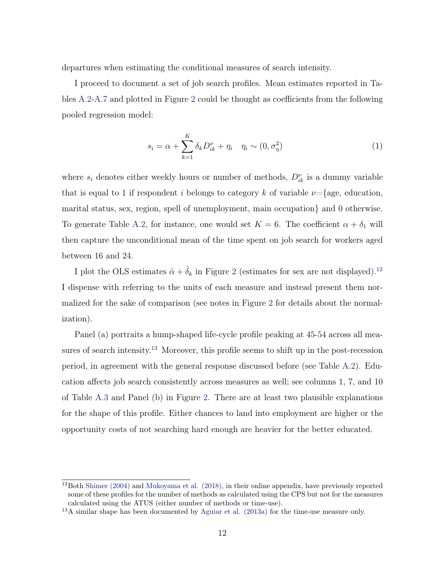departures when estimating the conditional measures of search intensity.

I proceed to document a set of job search profiles. Mean estimates reported in Tables [A.2-](#page-57-0)[A.7](#page-62-0) and plotted in Figure [2](#page-14-0) could be thought as coefficients from the following pooled regression model:

<span id="page-13-2"></span>
$$
s_i = \alpha + \sum_{k=1}^{K} \delta_k D_{ik}^{\nu} + \eta_i \quad \eta_i \sim (0, \sigma_{\eta}^2)
$$
 (1)

where  $s_i$  denotes either weekly hours or number of methods,  $D_{ik}^{\nu}$  is a dummy variable that is equal to 1 if respondent *i* belongs to category *k* of variable  $\nu =$ {age, education, marital status, sex, region, spell of unemployment, main occupation} and 0 otherwise. To generate Table [A.2](#page-57-0), for instance, one would set  $K = 6$ . The coefficient  $\alpha + \delta_1$  will then capture the unconditional mean of the time spent on job search for workers aged between 16 and 24.

I plot the OLS estimates  $\hat{\alpha} + \hat{\delta}_k$  in Figure [2](#page-14-0) (estimates for sex are not displayed).<sup>[12](#page-13-0)</sup> I dispense with referring to the units of each measure and instead present them normalized for the sake of comparison (see notes in Figure [2](#page-14-0) for details about the normalization).

Panel (a) portraits a hump-shaped life-cycle profile peaking at 45-54 across all mea-sures of search intensity.<sup>[13](#page-13-1)</sup> Moreover, this profile seems to shift up in the post-recession period, in agreement with the general response discussed before (see Table [A.2\)](#page-57-0). Education affects job search consistently across measures as well; see columns 1, 7, and 10 of Table [A.3](#page-58-0) and Panel (b) in Figure [2.](#page-14-0) There are at least two plausible explanations for the shape of this profile. Either chances to land into employment are higher or the opportunity costs of not searching hard enough are heavier for the better educated.

<span id="page-13-0"></span> $12$ Both [Shimer \(2004\)](#page-53-0) and [Mukoyama et al. \(2018\)](#page-53-1), in their online appendix, have previously reported some of these profiles for the number of methods as calculated using the CPS but not for the measures calculated using the ATUS (either number of methods or time-use).

<span id="page-13-1"></span><sup>13</sup>A similar shape has been documented by [Aguiar et al. \(2013a\)](#page-51-3) for the time-use measure only.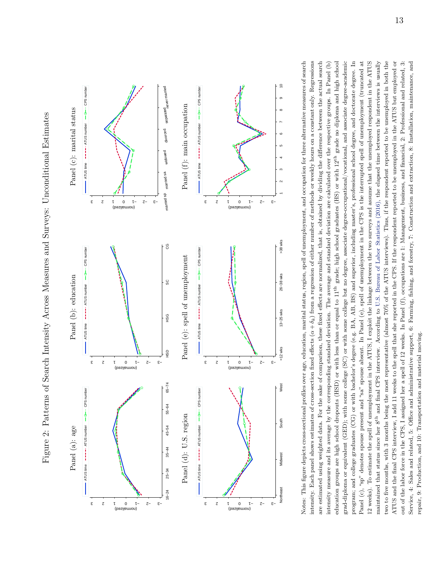<span id="page-14-0"></span>



maintained that status since her 8<sup>th</sup> and final CPS interview. According to U.S. Bureau of Labor Statistics (2016), the elapsed time between the interviews is usually two to five months, with 3 months being the most representative (almost  $70\%$  of the ATUS interviews). Thus, if the respondent reported to be unemployed in both the Notes: This figure depicts cross-sectional profiles over age, education, marital status, region, spell of unemployment, and occupation for three alternative measures of search intensity. Each panel shows estimates of cross-section fixed effects  $(\alpha + \delta_k)$  from a regression of either number of methods or weekly hours on a constant only. Regressions education groups are high school dropouts (HSD) or with less than or equal to 11<sup>th</sup> grade; high school graduates (HS) or with 12<sup>th</sup> grade no diploma and high school grad-diploma or equivalent (GED); with some college (SC) or with some college but no degree, associate degree-occupational/vocational, and associate degree-academic program; and college graduates (CG) or with bachelor's degree (e.g. BA, AB, BS) and superior, including master's, professional school degree, and doctorate degree. In Panel  $(c)$ , "sp" denotes spouse present and "sa" spouse absent. In Panel  $(e)$ , spell of unemployment in the CPS is the interrupted spell of unemployment (truncated at 12 weeks). To estimate the spell of unemployment in the ATUS, I exploit the linkage between the two surveys and assume that the unemployed respondent in the ATUS ATUS and the final CPS interview, I add 11 weeks to the spell that she reported in the CPS. If the respondent reported to be unemployed in the ATUS but employed or out of the labor force in the CPS, I assigned her a spell of 12 weeks. In Panel (f), occupations are 1: Management, business, and financial, 2: Professional and related, 3: are estimated using weighted data. For the sake of comparison, these fixed effects are normalized, that is, obtained by dividing the difference between the actual search intensity measure and its average by the corresponding standard deviation. The average and standard deviation are calculated over the respective groups. In Panel (b) Service, 4: Sales and related, 5: Office and administrative support, 6: Farming, fishing, and forestry, 7: Construction and extraction, 8: Installation, maintenance, and Notes: This figure depicts cross-sectional profiles over age, education, marital status, region, spell of unemployment, and occupation for three alternative measures of search intensity. Each panel shows estimates of cross-section fixed effects (*α* + *δk*) from a regression of either number of methods or weekly hours on a constant only. Regressions are estimated using weighted data. For the sake of comparison, these fixed effects are normalized, that is, obtained by dividing the difference between the actual search intensity measure and its average by the corresponding standard deviation. The average and standard deviation are calculated over the respective groups. In Panel (b) education groups are high school dropouts (HSD) or with less than or equal to 11th grade; high school graduates (HS) or with 12th grade no diploma and high school grad-diploma or equivalent (GED); with some college (SC) or with some college but no degree, associate degree-occupational/vocational, and associate degree-academic program; and college graduates (CG) or with bachelor's degree (e.g. BA, AB, BS) and superior, including master's, professional school degree, and doctorate degree. In Panel (c), "sp" denotes spouse present and "sa" spouse absent. In Panel (e), spell of unemployment in the CPS is the interrupted spell of unemployment (truncated at 12 weeks). To estimate the spell of unemployment in the ATUS, I exploit the linkage between the two surveys and assume that the unemployed respondent in the ATUS maintained that status since her 8th and final CPS interview. According to U.S. Bureau of Labor [Statistics](#page-54-2) (2016), the elapsed time between the interviews is usually two to five months, with 3 months being the most representative (almost 70% of the ATUS interviews). Thus, if the respondent reported to be unemployed in both the ATUS and the final CPS interview, I add 11 weeks to the spell that she reported in the CPS. If the respondent reported to be unemployed in the ATUS but employed or out of the labor force in the CPS, I assigned her a spell of 12 weeks. In Panel (f), occupations are 1: Management, business, and financial, 2: Professional and related, 3: Service, 4: Sales and related, 5: Office and administrative support, 6: Farming, fishing, and forestry, 7: Construction and extraction, 8: Installation, maintenance, and repair, 9: Production, and 10: Transportation and material moving. repair, 9: Production, and 10: Transportation and material moving.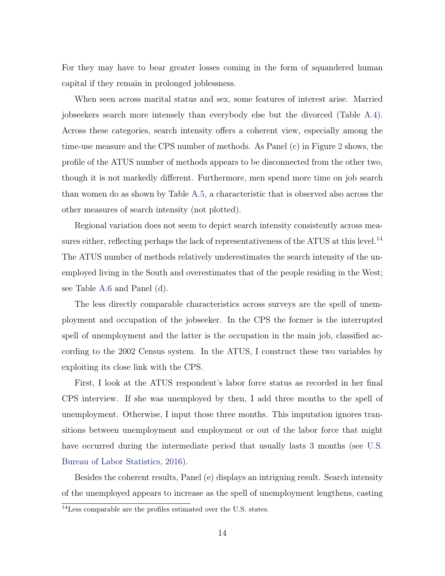For they may have to bear greater losses coming in the form of squandered human capital if they remain in prolonged joblessness.

When seen across marital status and sex, some features of interest arise. Married jobseekers search more intensely than everybody else but the divorced (Table [A.4](#page-59-0)). Across these categories, search intensity offers a coherent view, especially among the time-use measure and the CPS number of methods. As Panel (c) in Figure [2](#page-14-0) shows, the profile of the ATUS number of methods appears to be disconnected from the other two, though it is not markedly different. Furthermore, men spend more time on job search than women do as shown by Table [A.5](#page-60-0), a characteristic that is observed also across the other measures of search intensity (not plotted).

Regional variation does not seem to depict search intensity consistently across mea-sures either, reflecting perhaps the lack of representativeness of the ATUS at this level.<sup>[14](#page-15-0)</sup> The ATUS number of methods relatively underestimates the search intensity of the unemployed living in the South and overestimates that of the people residing in the West; see Table [A.6](#page-61-0) and Panel (d).

The less directly comparable characteristics across surveys are the spell of unemployment and occupation of the jobseeker. In the CPS the former is the interrupted spell of unemployment and the latter is the occupation in the main job, classified according to the 2002 Census system. In the ATUS, I construct these two variables by exploiting its close link with the CPS.

First, I look at the ATUS respondent's labor force status as recorded in her final CPS interview. If she was unemployed by then, I add three months to the spell of unemployment. Otherwise, I input those three months. This imputation ignores transitions between unemployment and employment or out of the labor force that might have occurred during the intermediate period that usually lasts 3 months (see [U.S.](#page-54-2) [Bureau of Labor Statistics](#page-54-2), [2016\)](#page-54-2).

Besides the coherent results, Panel (e) displays an intriguing result. Search intensity of the unemployed appears to increase as the spell of unemployment lengthens, casting

<span id="page-15-0"></span><sup>14</sup>Less comparable are the profiles estimated over the U.S. states.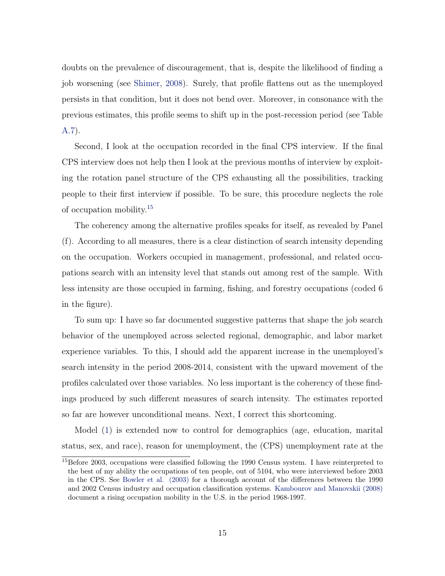doubts on the prevalence of discouragement, that is, despite the likelihood of finding a job worsening (see [Shimer](#page-53-6), [2008](#page-53-6)). Surely, that profile flattens out as the unemployed persists in that condition, but it does not bend over. Moreover, in consonance with the previous estimates, this profile seems to shift up in the post-recession period (see Table [A.7\)](#page-62-0).

Second, I look at the occupation recorded in the final CPS interview. If the final CPS interview does not help then I look at the previous months of interview by exploiting the rotation panel structure of the CPS exhausting all the possibilities, tracking people to their first interview if possible. To be sure, this procedure neglects the role of occupation mobility.[15](#page-16-0)

The coherency among the alternative profiles speaks for itself, as revealed by Panel (f). According to all measures, there is a clear distinction of search intensity depending on the occupation. Workers occupied in management, professional, and related occupations search with an intensity level that stands out among rest of the sample. With less intensity are those occupied in farming, fishing, and forestry occupations (coded 6 in the figure).

To sum up: I have so far documented suggestive patterns that shape the job search behavior of the unemployed across selected regional, demographic, and labor market experience variables. To this, I should add the apparent increase in the unemployed's search intensity in the period 2008-2014, consistent with the upward movement of the profiles calculated over those variables. No less important is the coherency of these findings produced by such different measures of search intensity. The estimates reported so far are however unconditional means. Next, I correct this shortcoming.

Model [\(1](#page-13-2)) is extended now to control for demographics (age, education, marital status, sex, and race), reason for unemployment, the (CPS) unemployment rate at the

<span id="page-16-0"></span><sup>&</sup>lt;sup>15</sup>Before 2003, occupations were classified following the 1990 Census system. I have reinterpreted to the best of my ability the occupations of ten people, out of 5104, who were interviewed before 2003 in the CPS. See [Bowler et al. \(2003\)](#page-51-4) for a thorough account of the differences between the 1990 and 2002 Census industry and occupation classification systems. [Kambourov and Manovskii \(2008\)](#page-52-3) document a rising occupation mobility in the U.S. in the period 1968-1997.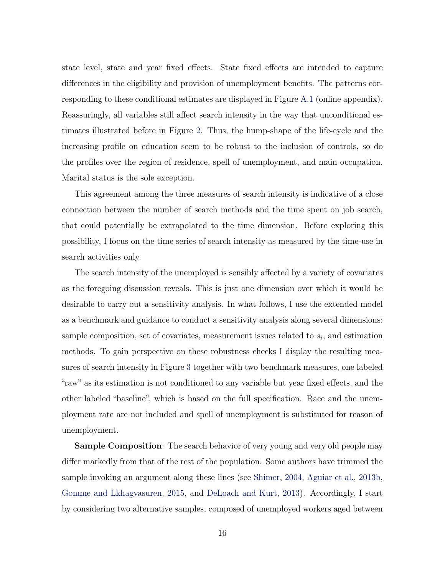state level, state and year fixed effects. State fixed effects are intended to capture differences in the eligibility and provision of unemployment benefits. The patterns corresponding to these conditional estimates are displayed in Figure [A.1](#page-63-0) (online appendix). Reassuringly, all variables still affect search intensity in the way that unconditional estimates illustrated before in Figure [2.](#page-14-0) Thus, the hump-shape of the life-cycle and the increasing profile on education seem to be robust to the inclusion of controls, so do the profiles over the region of residence, spell of unemployment, and main occupation. Marital status is the sole exception.

This agreement among the three measures of search intensity is indicative of a close connection between the number of search methods and the time spent on job search, that could potentially be extrapolated to the time dimension. Before exploring this possibility, I focus on the time series of search intensity as measured by the time-use in search activities only.

The search intensity of the unemployed is sensibly affected by a variety of covariates as the foregoing discussion reveals. This is just one dimension over which it would be desirable to carry out a sensitivity analysis. In what follows, I use the extended model as a benchmark and guidance to conduct a sensitivity analysis along several dimensions: sample composition, set of covariates, measurement issues related to *s<sup>i</sup>* , and estimation methods. To gain perspective on these robustness checks I display the resulting measures of search intensity in Figure [3](#page-19-0) together with two benchmark measures, one labeled "raw" as its estimation is not conditioned to any variable but year fixed effects, and the other labeled "baseline", which is based on the full specification. Race and the unemployment rate are not included and spell of unemployment is substituted for reason of unemployment.

Sample Composition: The search behavior of very young and very old people may differ markedly from that of the rest of the population. Some authors have trimmed the sample invoking an argument along these lines (see [Shimer](#page-53-0), [2004,](#page-53-0) [Aguiar et al.,](#page-51-1) [2013b,](#page-51-1) [Gomme and Lkhagvasuren,](#page-52-1) [2015,](#page-52-1) and [DeLoach and Kurt](#page-51-0), [2013\)](#page-51-0). Accordingly, I start by considering two alternative samples, composed of unemployed workers aged between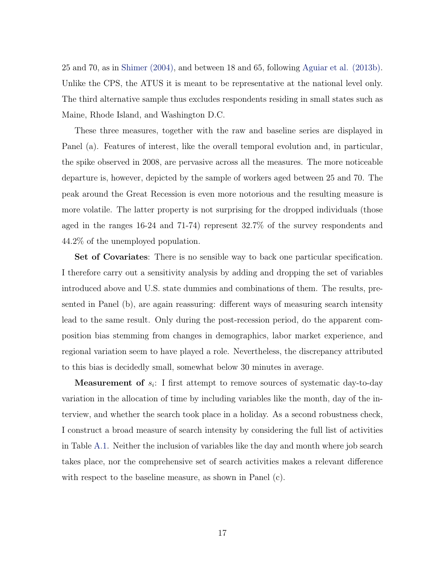25 and 70, as in [Shimer \(2004\),](#page-53-0) and between 18 and 65, following [Aguiar et al. \(2013b\).](#page-51-1) Unlike the CPS, the ATUS it is meant to be representative at the national level only. The third alternative sample thus excludes respondents residing in small states such as Maine, Rhode Island, and Washington D.C.

These three measures, together with the raw and baseline series are displayed in Panel (a). Features of interest, like the overall temporal evolution and, in particular, the spike observed in 2008, are pervasive across all the measures. The more noticeable departure is, however, depicted by the sample of workers aged between 25 and 70. The peak around the Great Recession is even more notorious and the resulting measure is more volatile. The latter property is not surprising for the dropped individuals (those aged in the ranges 16-24 and 71-74) represent 32.7% of the survey respondents and 44.2% of the unemployed population.

Set of Covariates: There is no sensible way to back one particular specification. I therefore carry out a sensitivity analysis by adding and dropping the set of variables introduced above and U.S. state dummies and combinations of them. The results, presented in Panel (b), are again reassuring: different ways of measuring search intensity lead to the same result. Only during the post-recession period, do the apparent composition bias stemming from changes in demographics, labor market experience, and regional variation seem to have played a role. Nevertheless, the discrepancy attributed to this bias is decidedly small, somewhat below 30 minutes in average.

Measurement of  $s_i$ : I first attempt to remove sources of systematic day-to-day variation in the allocation of time by including variables like the month, day of the interview, and whether the search took place in a holiday. As a second robustness check, I construct a broad measure of search intensity by considering the full list of activities in Table [A.1](#page-56-0). Neither the inclusion of variables like the day and month where job search takes place, nor the comprehensive set of search activities makes a relevant difference with respect to the baseline measure, as shown in Panel (c).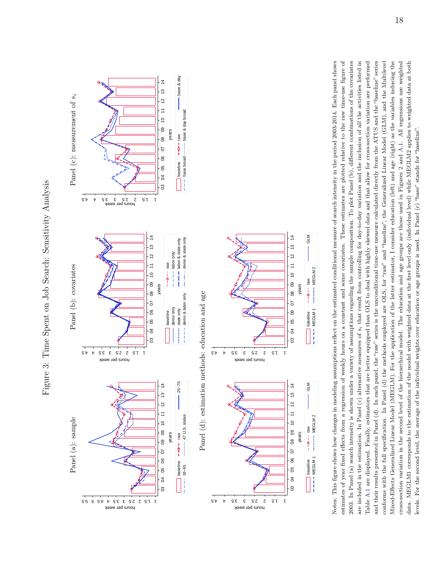<span id="page-19-0"></span>



Notes: This figure shows how changes in modeling assumptions reflect on the estimated conditional measure of search intensity in the period 2003-2014. Bach panel shows estimates of year fixed effects from a regression of weekly hours on a constant and some covariates. These estimates are plotted relative to the raw time-use figure of 2003. In Panel (a) search intensity is shown under a variety of assumptions regarding the sample composition. To plot Panel (b), different combinations of the covariates are included in the estimation. In Panel (c) alternative measures of  $s_i$  that result from controlling for day-to-day variation and the inclusion of all the activities listed in and their results presented in Panel (d). In each panel, the "raw" series is the unconditional time-use measure calculated directly from the ATUS and the "baseline" series Mixed-Effects Generalized Linear Model (MEGLM). For the application of the latter estimator, I consider education (left) and age (right) as the variables inducing the estimates of year fixed effects from a regression of weekly hours on a constant and some covariates. These estimates are plotted relative to the raw time-use figure of Table A.1 are displayed. Finally, estimators that are better equipped than OLS to deal with highly skewed data and that allow for cross-section variation are performed conforms with the full specification. In Panel (d) the methods employed are OLS, for "raw" and "baseline", the Generalized Linear Model (GLM), and the Multilevel cross-section variation in the second level of the hierarchical model. The education and age groups are those used in Figures 2 and A.1. All regressions use weighted data. MEGLM1 corresponds to the estimation of the model with weighted data at the first level only (individual level) while MEGLM2 applies to weighted data at both Notes: This figure shows how changes in modeling assumptions reflect on the estimated conditional measure of search intensity in the period 2003-2014. Each panel shows 2003. In Panel (a) search intensity is shown under a variety of assumptions regarding the sample composition. To plot Panel (b), different combinations of the covariates are included in the estimation. In Panel (c) alternative measures of *si* that result from controlling for day-to-day variation and the inclusion of all the activities listed in Table [A.1](#page-56-0) are displayed. Finally, estimators that are better equipped than OLS to deal with highly skewed data and that allow for cross-section variation are performed and their results presented in Panel (d). In each panel, the "raw" series is the unconditional time-use measure calculated directly from the ATUS and the "baseline" series conforms with the full specification. In Panel (d) the methods employed are OLS, for "raw" and "baseline", the Generalized Linear Model (GLM), and the Multilevel Mixed-Effects Generalized Linear Model (MEGLM). For the application of the latter estimator, I consider education (left) and age (right) as the variables inducing the cross-section variation in the second level of the hierarchical model. The education and age groups are those used in Figures [2](#page-14-0) and [A.1](#page-63-0). All regressions use weighted data. MEGLM1 corresponds to the estimation of the model with weighted data at the first level only (individual level) while MEGLM2 applies to weighted data at both levels. For the second level, the average of the individual weights over education or age groups is used. In Panel (c) "base" stands for "baseline". levels. For the second level, the average of the individual weights over education or age groups is used. In Panel  $(c)$  "base" stands for "baseline".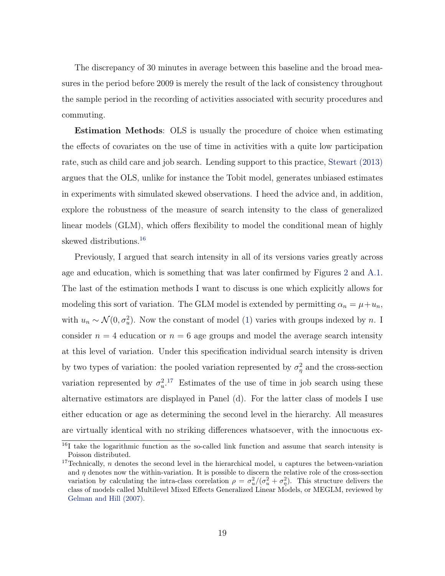The discrepancy of 30 minutes in average between this baseline and the broad measures in the period before 2009 is merely the result of the lack of consistency throughout the sample period in the recording of activities associated with security procedures and commuting.

Estimation Methods: OLS is usually the procedure of choice when estimating the effects of covariates on the use of time in activities with a quite low participation rate, such as child care and job search. Lending support to this practice, [Stewart \(2013\)](#page-54-0) argues that the OLS, unlike for instance the Tobit model, generates unbiased estimates in experiments with simulated skewed observations. I heed the advice and, in addition, explore the robustness of the measure of search intensity to the class of generalized linear models (GLM), which offers flexibility to model the conditional mean of highly skewed distributions.<sup>[16](#page-20-0)</sup>

Previously, I argued that search intensity in all of its versions varies greatly across age and education, which is something that was later confirmed by Figures [2](#page-14-0) and [A.1.](#page-63-0) The last of the estimation methods I want to discuss is one which explicitly allows for modeling this sort of variation. The GLM model is extended by permitting  $\alpha_n = \mu + u_n$ , with  $u_n \sim \mathcal{N}(0, \sigma_u^2)$ . Now the constant of model ([1](#page-13-2)) varies with groups indexed by *n*. I consider  $n = 4$  education or  $n = 6$  age groups and model the average search intensity at this level of variation. Under this specification individual search intensity is driven by two types of variation: the pooled variation represented by  $\sigma_{\eta}^2$  and the cross-section variation represented by  $\sigma_u^2$ <sup>[17](#page-20-1)</sup> Estimates of the use of time in job search using these alternative estimators are displayed in Panel (d). For the latter class of models I use either education or age as determining the second level in the hierarchy. All measures are virtually identical with no striking differences whatsoever, with the innocuous ex-

<span id="page-20-0"></span><sup>&</sup>lt;sup>16</sup>I take the logarithmic function as the so-called link function and assume that search intensity is Poisson distributed.

<span id="page-20-1"></span><sup>&</sup>lt;sup>17</sup>Technically, *n* denotes the second level in the hierarchical model, *u* captures the between-variation and  $\eta$  denotes now the within-variation. It is possible to discern the relative role of the cross-section variation by calculating the intra-class correlation  $\rho = \sigma_u^2/(\sigma_u^2 + \sigma_\eta^2)$ . This structure delivers the class of models called Multilevel Mixed Effects Generalized Linear Models, or MEGLM, reviewed by [Gelman and Hill \(2007\).](#page-52-4)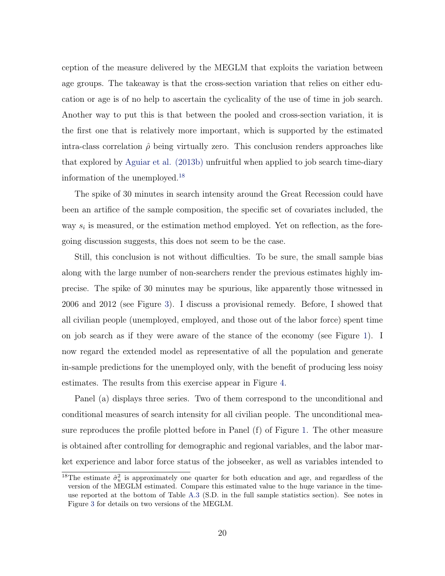ception of the measure delivered by the MEGLM that exploits the variation between age groups. The takeaway is that the cross-section variation that relies on either education or age is of no help to ascertain the cyclicality of the use of time in job search. Another way to put this is that between the pooled and cross-section variation, it is the first one that is relatively more important, which is supported by the estimated intra-class correlation  $\hat{\rho}$  being virtually zero. This conclusion renders approaches like that explored by [Aguiar et al. \(2013b\)](#page-51-1) unfruitful when applied to job search time-diary information of the unemployed.[18](#page-21-0)

The spike of 30 minutes in search intensity around the Great Recession could have been an artifice of the sample composition, the specific set of covariates included, the way  $s_i$  is measured, or the estimation method employed. Yet on reflection, as the foregoing discussion suggests, this does not seem to be the case.

Still, this conclusion is not without difficulties. To be sure, the small sample bias along with the large number of non-searchers render the previous estimates highly imprecise. The spike of 30 minutes may be spurious, like apparently those witnessed in 2006 and 2012 (see Figure [3\)](#page-19-0). I discuss a provisional remedy. Before, I showed that all civilian people (unemployed, employed, and those out of the labor force) spent time on job search as if they were aware of the stance of the economy (see Figure [1\)](#page-8-0). I now regard the extended model as representative of all the population and generate in-sample predictions for the unemployed only, with the benefit of producing less noisy estimates. The results from this exercise appear in Figure [4](#page-22-0).

Panel (a) displays three series. Two of them correspond to the unconditional and conditional measures of search intensity for all civilian people. The unconditional measure reproduces the profile plotted before in Panel (f) of Figure [1](#page-8-0). The other measure is obtained after controlling for demographic and regional variables, and the labor market experience and labor force status of the jobseeker, as well as variables intended to

<span id="page-21-0"></span><sup>&</sup>lt;sup>18</sup>The estimate  $\hat{\sigma}_u^2$  is approximately one quarter for both education and age, and regardless of the version of the MEGLM estimated. Compare this estimated value to the huge variance in the timeuse reported at the bottom of Table [A.3](#page-58-0) (S.D. in the full sample statistics section). See notes in Figure [3](#page-19-0) for details on two versions of the MEGLM.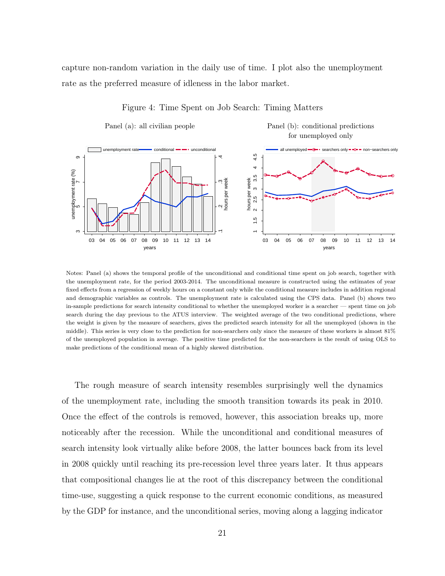<span id="page-22-0"></span>capture non-random variation in the daily use of time. I plot also the unemployment rate as the preferred measure of idleness in the labor market.



#### Figure 4: Time Spent on Job Search: Timing Matters

Panel (a): all civilian people Panel (b): conditional predictions

Notes: Panel (a) shows the temporal profile of the unconditional and conditional time spent on job search, together with the unemployment rate, for the period 2003-2014. The unconditional measure is constructed using the estimates of year fixed effects from a regression of weekly hours on a constant only while the conditional measure includes in addition regional and demographic variables as controls. The unemployment rate is calculated using the CPS data. Panel (b) shows two in-sample predictions for search intensity conditional to whether the unemployed worker is a searcher — spent time on job search during the day previous to the ATUS interview. The weighted average of the two conditional predictions, where the weight is given by the measure of searchers, gives the predicted search intensity for all the unemployed (shown in the middle). This series is very close to the prediction for non-searchers only since the measure of these workers is almost 81% of the unemployed population in average. The positive time predicted for the non-searchers is the result of using OLS to make predictions of the conditional mean of a highly skewed distribution.

The rough measure of search intensity resembles surprisingly well the dynamics of the unemployment rate, including the smooth transition towards its peak in 2010. Once the effect of the controls is removed, however, this association breaks up, more noticeably after the recession. While the unconditional and conditional measures of search intensity look virtually alike before 2008, the latter bounces back from its level in 2008 quickly until reaching its pre-recession level three years later. It thus appears that compositional changes lie at the root of this discrepancy between the conditional time-use, suggesting a quick response to the current economic conditions, as measured by the GDP for instance, and the unconditional series, moving along a lagging indicator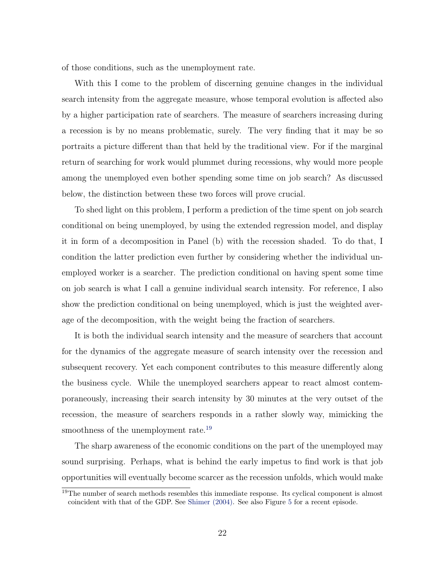of those conditions, such as the unemployment rate.

With this I come to the problem of discerning genuine changes in the individual search intensity from the aggregate measure, whose temporal evolution is affected also by a higher participation rate of searchers. The measure of searchers increasing during a recession is by no means problematic, surely. The very finding that it may be so portraits a picture different than that held by the traditional view. For if the marginal return of searching for work would plummet during recessions, why would more people among the unemployed even bother spending some time on job search? As discussed below, the distinction between these two forces will prove crucial.

To shed light on this problem, I perform a prediction of the time spent on job search conditional on being unemployed, by using the extended regression model, and display it in form of a decomposition in Panel (b) with the recession shaded. To do that, I condition the latter prediction even further by considering whether the individual unemployed worker is a searcher. The prediction conditional on having spent some time on job search is what I call a genuine individual search intensity. For reference, I also show the prediction conditional on being unemployed, which is just the weighted average of the decomposition, with the weight being the fraction of searchers.

It is both the individual search intensity and the measure of searchers that account for the dynamics of the aggregate measure of search intensity over the recession and subsequent recovery. Yet each component contributes to this measure differently along the business cycle. While the unemployed searchers appear to react almost contemporaneously, increasing their search intensity by 30 minutes at the very outset of the recession, the measure of searchers responds in a rather slowly way, mimicking the smoothness of the unemployment rate.<sup>[19](#page-23-0)</sup>

The sharp awareness of the economic conditions on the part of the unemployed may sound surprising. Perhaps, what is behind the early impetus to find work is that job opportunities will eventually become scarcer as the recession unfolds, which would make

<span id="page-23-0"></span><sup>&</sup>lt;sup>19</sup>The number of search methods resembles this immediate response. Its cyclical component is almost coincident with that of the GDP. See [Shimer \(2004\)](#page-53-0). See also Figure [5](#page-25-0) for a recent episode.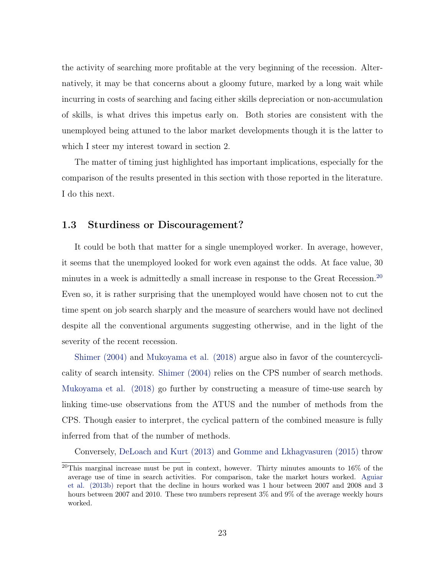the activity of searching more profitable at the very beginning of the recession. Alternatively, it may be that concerns about a gloomy future, marked by a long wait while incurring in costs of searching and facing either skills depreciation or non-accumulation of skills, is what drives this impetus early on. Both stories are consistent with the unemployed being attuned to the labor market developments though it is the latter to which I steer my interest toward in section 2.

The matter of timing just highlighted has important implications, especially for the comparison of the results presented in this section with those reported in the literature. I do this next.

#### 1.3 Sturdiness or Discouragement?

It could be both that matter for a single unemployed worker. In average, however, it seems that the unemployed looked for work even against the odds. At face value, 30 minutes in a week is admittedly a small increase in response to the Great Recession.<sup>[20](#page-24-0)</sup> Even so, it is rather surprising that the unemployed would have chosen not to cut the time spent on job search sharply and the measure of searchers would have not declined despite all the conventional arguments suggesting otherwise, and in the light of the severity of the recent recession.

[Shimer \(2004\)](#page-53-0) and [Mukoyama et al. \(2018\)](#page-53-1) argue also in favor of the countercyclicality of search intensity. [Shimer \(2004\)](#page-53-0) relies on the CPS number of search methods. [Mukoyama et al. \(2018\)](#page-53-1) go further by constructing a measure of time-use search by linking time-use observations from the ATUS and the number of methods from the CPS. Though easier to interpret, the cyclical pattern of the combined measure is fully inferred from that of the number of methods.

Conversely, [DeLoach and Kurt \(2013\)](#page-51-0) and [Gomme and Lkhagvasuren \(2015\)](#page-52-1) throw

<span id="page-24-0"></span><sup>&</sup>lt;sup>20</sup>This marginal increase must be put in context, however. Thirty minutes amounts to  $16\%$  of the average use of time in search activities. For comparison, take the market hours worked. [Aguiar](#page-51-1) [et al. \(2013b\)](#page-51-1) report that the decline in hours worked was 1 hour between 2007 and 2008 and 3 hours between 2007 and 2010. These two numbers represent  $3\%$  and  $9\%$  of the average weekly hours worked.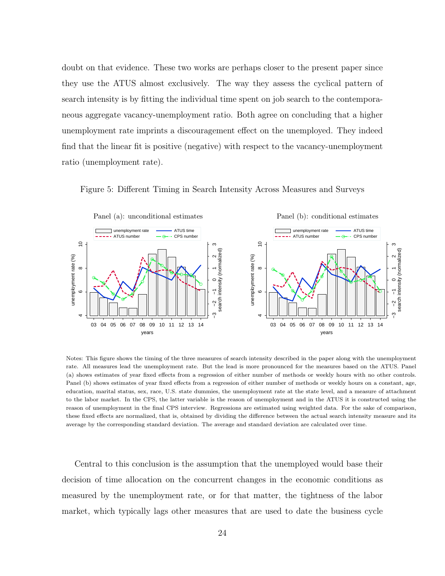doubt on that evidence. These two works are perhaps closer to the present paper since they use the ATUS almost exclusively. The way they assess the cyclical pattern of search intensity is by fitting the individual time spent on job search to the contemporaneous aggregate vacancy-unemployment ratio. Both agree on concluding that a higher unemployment rate imprints a discouragement effect on the unemployed. They indeed find that the linear fit is positive (negative) with respect to the vacancy-unemployment ratio (unemployment rate).

<span id="page-25-0"></span>Figure 5: Different Timing in Search Intensity Across Measures and Surveys



Notes: This figure shows the timing of the three measures of search intensity described in the paper along with the unemployment rate. All measures lead the unemployment rate. But the lead is more pronounced for the measures based on the ATUS. Panel (a) shows estimates of year fixed effects from a regression of either number of methods or weekly hours with no other controls. Panel (b) shows estimates of year fixed effects from a regression of either number of methods or weekly hours on a constant, age, education, marital status, sex, race, U.S. state dummies, the unemployment rate at the state level, and a measure of attachment to the labor market. In the CPS, the latter variable is the reason of unemployment and in the ATUS it is constructed using the reason of unemployment in the final CPS interview. Regressions are estimated using weighted data. For the sake of comparison, these fixed effects are normalized, that is, obtained by dividing the difference between the actual search intensity measure and its average by the corresponding standard deviation. The average and standard deviation are calculated over time.

Central to this conclusion is the assumption that the unemployed would base their decision of time allocation on the concurrent changes in the economic conditions as measured by the unemployment rate, or for that matter, the tightness of the labor market, which typically lags other measures that are used to date the business cycle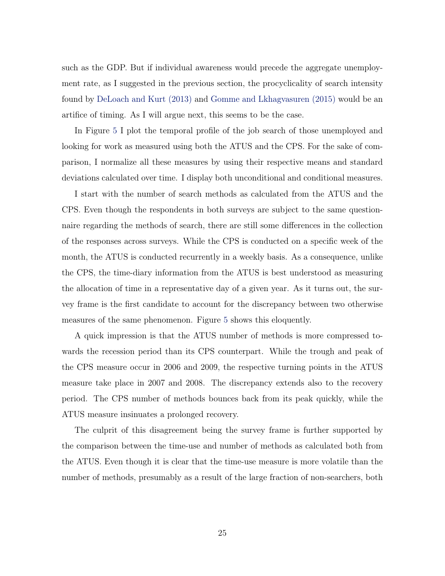such as the GDP. But if individual awareness would precede the aggregate unemployment rate, as I suggested in the previous section, the procyclicality of search intensity found by [DeLoach and Kurt \(2013\)](#page-51-0) and [Gomme and Lkhagvasuren \(2015\)](#page-52-1) would be an artifice of timing. As I will argue next, this seems to be the case.

In Figure [5](#page-25-0) I plot the temporal profile of the job search of those unemployed and looking for work as measured using both the ATUS and the CPS. For the sake of comparison, I normalize all these measures by using their respective means and standard deviations calculated over time. I display both unconditional and conditional measures.

I start with the number of search methods as calculated from the ATUS and the CPS. Even though the respondents in both surveys are subject to the same questionnaire regarding the methods of search, there are still some differences in the collection of the responses across surveys. While the CPS is conducted on a specific week of the month, the ATUS is conducted recurrently in a weekly basis. As a consequence, unlike the CPS, the time-diary information from the ATUS is best understood as measuring the allocation of time in a representative day of a given year. As it turns out, the survey frame is the first candidate to account for the discrepancy between two otherwise measures of the same phenomenon. Figure [5](#page-25-0) shows this eloquently.

A quick impression is that the ATUS number of methods is more compressed towards the recession period than its CPS counterpart. While the trough and peak of the CPS measure occur in 2006 and 2009, the respective turning points in the ATUS measure take place in 2007 and 2008. The discrepancy extends also to the recovery period. The CPS number of methods bounces back from its peak quickly, while the ATUS measure insinuates a prolonged recovery.

The culprit of this disagreement being the survey frame is further supported by the comparison between the time-use and number of methods as calculated both from the ATUS. Even though it is clear that the time-use measure is more volatile than the number of methods, presumably as a result of the large fraction of non-searchers, both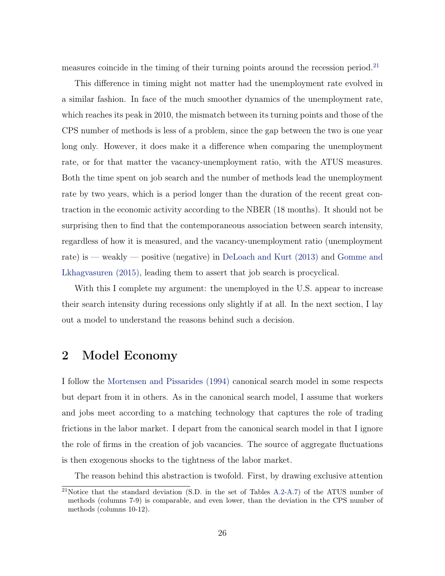measures coincide in the timing of their turning points around the recession period.<sup>[21](#page-27-0)</sup>

This difference in timing might not matter had the unemployment rate evolved in a similar fashion. In face of the much smoother dynamics of the unemployment rate, which reaches its peak in 2010, the mismatch between its turning points and those of the CPS number of methods is less of a problem, since the gap between the two is one year long only. However, it does make it a difference when comparing the unemployment rate, or for that matter the vacancy-unemployment ratio, with the ATUS measures. Both the time spent on job search and the number of methods lead the unemployment rate by two years, which is a period longer than the duration of the recent great contraction in the economic activity according to the NBER (18 months). It should not be surprising then to find that the contemporaneous association between search intensity, regardless of how it is measured, and the vacancy-unemployment ratio (unemployment rate) is — weakly — positive (negative) in [DeLoach and Kurt \(2013\)](#page-51-0) and [Gomme and](#page-52-1) [Lkhagvasuren \(2015\),](#page-52-1) leading them to assert that job search is procyclical.

With this I complete my argument: the unemployed in the U.S. appear to increase their search intensity during recessions only slightly if at all. In the next section, I lay out a model to understand the reasons behind such a decision.

### 2 Model Economy

I follow the [Mortensen and Pissarides \(1994\)](#page-53-4) canonical search model in some respects but depart from it in others. As in the canonical search model, I assume that workers and jobs meet according to a matching technology that captures the role of trading frictions in the labor market. I depart from the canonical search model in that I ignore the role of firms in the creation of job vacancies. The source of aggregate fluctuations is then exogenous shocks to the tightness of the labor market.

The reason behind this abstraction is twofold. First, by drawing exclusive attention

<span id="page-27-0"></span><sup>&</sup>lt;sup>21</sup>Notice that the standard deviation (S.D. in the set of Tables [A.2-](#page-57-0)[A.7](#page-62-0)) of the ATUS number of methods (columns 7-9) is comparable, and even lower, than the deviation in the CPS number of methods (columns 10-12).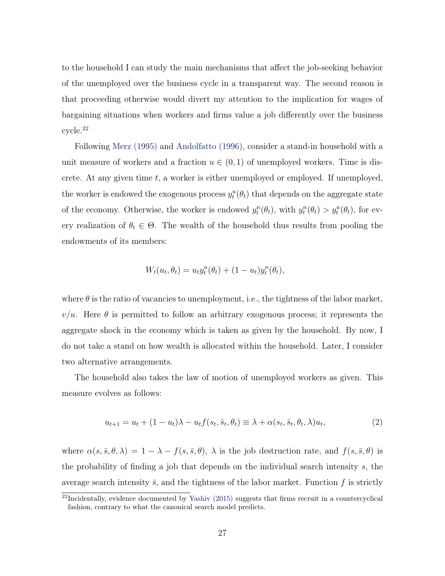to the household I can study the main mechanisms that affect the job-seeking behavior of the unemployed over the business cycle in a transparent way. The second reason is that proceeding otherwise would divert my attention to the implication for wages of bargaining situations when workers and firms value a job differently over the business cycle.[22](#page-28-0)

Following [Merz \(1995\)](#page-53-7) and [Andolfatto \(1996\),](#page-51-5) consider a stand-in household with a unit measure of workers and a fraction  $u \in (0,1)$  of unemployed workers. Time is discrete. At any given time *t*, a worker is either unemployed or employed. If unemployed, the worker is endowed the exogenous process  $y_t^u(\theta_t)$  that depends on the aggregate state of the economy. Otherwise, the worker is endowed  $y_t^n(\theta_t)$ , with  $y_t^n(\theta_t) > y_t^n(\theta_t)$ , for every realization of  $\theta_t \in \Theta$ . The wealth of the household thus results from pooling the endowments of its members:

$$
W_t(u_t, \theta_t) = u_t y_t^u(\theta_t) + (1 - u_t) y_t^n(\theta_t),
$$

where  $\theta$  is the ratio of vacancies to unemployment, i.e., the tightness of the labor market,  $v/u$ . Here  $\theta$  is permitted to follow an arbitrary exogenous process; it represents the aggregate shock in the economy which is taken as given by the household. By now, I do not take a stand on how wealth is allocated within the household. Later, I consider two alternative arrangements.

The household also takes the law of motion of unemployed workers as given. This measure evolves as follows:

<span id="page-28-1"></span>
$$
u_{t+1} = u_t + (1 - u_t)\lambda - u_t f(s_t, \bar{s}_t, \theta_t) \equiv \lambda + \alpha(s_t, \bar{s}_t, \theta_t, \lambda) u_t,
$$
\n<sup>(2)</sup>

where  $\alpha(s, \bar{s}, \theta, \lambda) = 1 - \lambda - f(s, \bar{s}, \theta), \lambda$  is the job destruction rate, and  $f(s, \bar{s}, \theta)$  is the probability of finding a job that depends on the individual search intensity *s*, the average search intensity  $\bar{s}$ , and the tightness of the labor market. Function  $f$  is strictly

<span id="page-28-0"></span> $^{22}$ Incidentally, evidence documented by [Yashiv \(2015\)](#page-54-3) suggests that firms recruit in a countercyclical fashion, contrary to what the canonical search model predicts.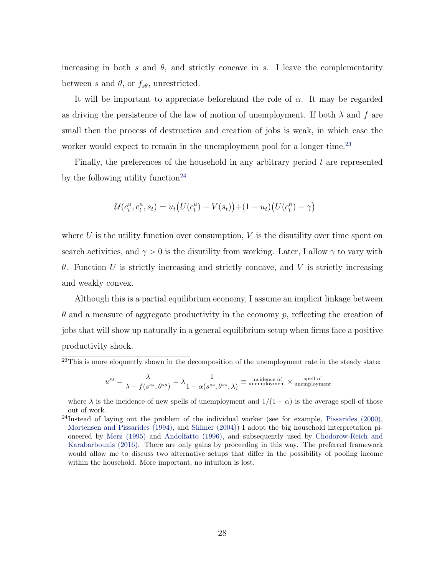increasing in both *s* and  $\theta$ , and strictly concave in *s*. I leave the complementarity between *s* and  $\theta$ , or  $f_{s\theta}$ , unrestricted.

It will be important to appreciate beforehand the role of *α*. It may be regarded as driving the persistence of the law of motion of unemployment. If both  $\lambda$  and  $f$  are small then the process of destruction and creation of jobs is weak, in which case the worker would expect to remain in the unemployment pool for a longer time.<sup>[23](#page-29-0)</sup>

Finally, the preferences of the household in any arbitrary period *t* are represented by the following utility function<sup>[24](#page-29-1)</sup>

$$
\mathcal{U}(c_t^u, c_t^n, s_t) = u_t (U(c_t^u) - V(s_t)) + (1 - u_t) (U(c_t^n) - \gamma)
$$

where *U* is the utility function over consumption, *V* is the disutility over time spent on search activities, and  $\gamma > 0$  is the disutility from working. Later, I allow  $\gamma$  to vary with *θ*. Function *U* is strictly increasing and strictly concave, and *V* is strictly increasing and weakly convex.

Although this is a partial equilibrium economy, I assume an implicit linkage between *θ* and a measure of aggregate productivity in the economy *p*, reflecting the creation of jobs that will show up naturally in a general equilibrium setup when firms face a positive productivity shock.

<span id="page-29-0"></span> $^{23}$ This is more eloquently shown in the decomposition of the unemployment rate in the steady state:

$$
u^{ss} = \frac{\lambda}{\lambda + f(s^{ss}, \theta^{ss})} = \lambda \frac{1}{1 - \alpha(s^{ss}, \theta^{ss}, \lambda)} \equiv \text{incidence of}\\ \text{un employment} \times \text{un employment}
$$

where  $\lambda$  is the incidence of new spells of unemployment and  $1/(1 - \alpha)$  is the average spell of those out of work.

<span id="page-29-1"></span><sup>&</sup>lt;sup>24</sup>Instead of laying out the problem of the individual worker (see for example, Pissarides  $(2000)$ , [Mortensen and Pissarides \(1994\)](#page-53-4), and [Shimer \(2004\)\)](#page-53-0) I adopt the big household interpretation pioneered by [Merz \(1995\)](#page-53-7) and [Andolfatto \(1996\),](#page-51-5) and subsequently used by [Chodorow-Reich and](#page-51-2) [Karabarbounis \(2016\).](#page-51-2) There are only gains by proceeding in this way. The preferred framework would allow me to discuss two alternative setups that differ in the possibility of pooling income within the household. More important, no intuition is lost.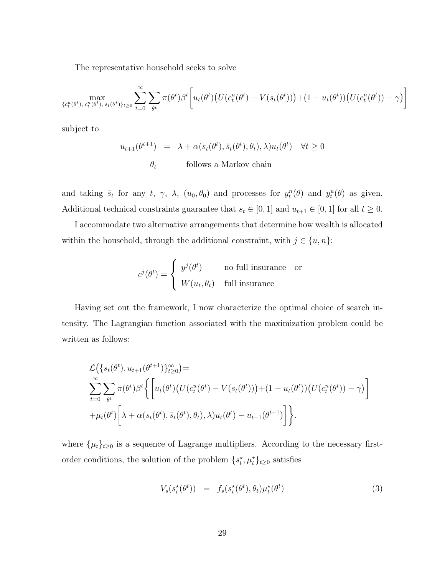The representative household seeks to solve

$$
\max_{\{c_t^u(\theta^t), c_t^n(\theta^t), s_t(\theta^t)\}_{t\geq 0}} \sum_{t=0}^{\infty} \sum_{\theta^t} \pi(\theta^t) \beta^t \bigg[ u_t(\theta^t) \big( U(c_t^u(\theta^t) - V(s_t(\theta^t)) \big) + (1 - u_t(\theta^t)) \big( U(c_t^n(\theta^t)) - \gamma \big) \bigg]
$$

subject to

$$
u_{t+1}(\theta^{t+1}) = \lambda + \alpha(s_t(\theta^t), \bar{s}_t(\theta^t), \theta_t), \lambda)u_t(\theta^t) \quad \forall t \ge 0
$$
  

$$
\theta_t \qquad \text{follows a Markov chain}
$$

and taking  $\bar{s}_t$  for any  $t$ ,  $\gamma$ ,  $\lambda$ ,  $(u_0, \theta_0)$  and processes for  $y_t^n(\theta)$  and  $y_t^n(\theta)$  as given. Additional technical constraints guarantee that  $s_t \in [0, 1]$  and  $u_{t+1} \in [0, 1]$  for all  $t \ge 0$ .

I accommodate two alternative arrangements that determine how wealth is allocated within the household, through the additional constraint, with  $j \in \{u, n\}$ :

$$
c^{j}(\theta^{t}) = \begin{cases} y^{j}(\theta^{t}) & \text{no full insurance} \\ W(u_{t}, \theta_{t}) & \text{full insurance} \end{cases}
$$

Having set out the framework, I now characterize the optimal choice of search intensity. The Lagrangian function associated with the maximization problem could be written as follows:

$$
\mathcal{L}(\lbrace s_t(\theta^t), u_{t+1}(\theta^{t+1}) \rbrace_{t\geq 0}^{\infty}) =
$$
\n
$$
\sum_{t=0}^{\infty} \sum_{\theta^t} \pi(\theta^t) \beta^t \left\{ \left[ u_t(\theta^t) \left( U(c_t^u(\theta^t) - V(s_t(\theta^t))) + (1 - u_t(\theta^t)) \left( U(c_t^n(\theta^t)) - \gamma \right) \right] + \mu_t(\theta^t) \left[ \lambda + \alpha(s_t(\theta^t), \bar{s}_t(\theta^t), \theta_t), \lambda \right) u_t(\theta^t) - u_{t+1}(\theta^{t+1}) \right] \right\}.
$$

where  $\{\mu_t\}_{t\geq 0}$  is a sequence of Lagrange multipliers. According to the necessary firstorder conditions, the solution of the problem  $\{s_t^{\star}, \mu_t^{\star}\}_{t \geq 0}$  satisfies

<span id="page-30-0"></span>
$$
V_s(s_t^{\star}(\theta^t)) = f_s(s_t^{\star}(\theta^t), \theta_t) \mu_t^{\star}(\theta^t)
$$
\n(3)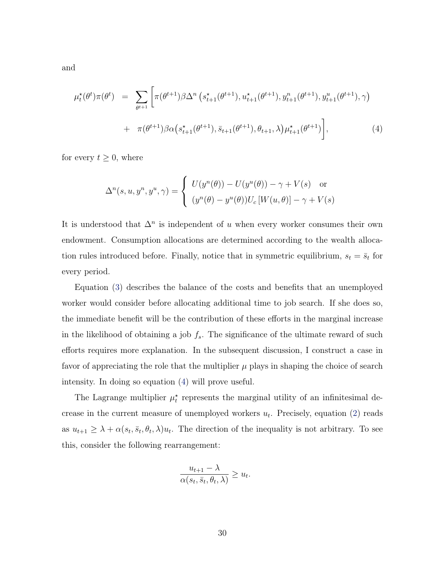and

<span id="page-31-0"></span>
$$
\mu_t^{\star}(\theta^t) \pi(\theta^t) = \sum_{\theta^{t+1}} \left[ \pi(\theta^{t+1}) \beta \Delta^n \left( s_{t+1}^{\star}(\theta^{t+1}), u_{t+1}^{\star}(\theta^{t+1}), y_{t+1}^n(\theta^{t+1}), y_{t+1}^u(\theta^{t+1}), \gamma \right) \right. \\
\left. + \pi(\theta^{t+1}) \beta \alpha \left( s_{t+1}^{\star}(\theta^{t+1}), \bar{s}_{t+1}(\theta^{t+1}), \theta_{t+1}, \lambda \right) \mu_{t+1}^{\star}(\theta^{t+1}) \right],
$$
\n(4)

for every  $t \geq 0$ , where

$$
\Delta^n(s, u, y^n, y^u, \gamma) = \begin{cases} U(y^n(\theta)) - U(y^u(\theta)) - \gamma + V(s) & \text{or} \\ (y^n(\theta) - y^u(\theta))U_c[W(u, \theta)] - \gamma + V(s) \end{cases}
$$

It is understood that  $\Delta^n$  is independent of *u* when every worker consumes their own endowment. Consumption allocations are determined according to the wealth allocation rules introduced before. Finally, notice that in symmetric equilibrium,  $s_t = \bar{s}_t$  for every period.

Equation ([3\)](#page-30-0) describes the balance of the costs and benefits that an unemployed worker would consider before allocating additional time to job search. If she does so, the immediate benefit will be the contribution of these efforts in the marginal increase in the likelihood of obtaining a job  $f_s$ . The significance of the ultimate reward of such efforts requires more explanation. In the subsequent discussion, I construct a case in favor of appreciating the role that the multiplier  $\mu$  plays in shaping the choice of search intensity. In doing so equation ([4\)](#page-31-0) will prove useful.

The Lagrange multiplier  $\mu_t^*$  represents the marginal utility of an infinitesimal decrease in the current measure of unemployed workers  $u_t$ . Precisely, equation ([2\)](#page-28-1) reads as  $u_{t+1} \geq \lambda + \alpha(s_t, \bar{s}_t, \theta_t, \lambda)u_t$ . The direction of the inequality is not arbitrary. To see this, consider the following rearrangement:

$$
\frac{u_{t+1} - \lambda}{\alpha(s_t, \bar{s}_t, \theta_t, \lambda)} \ge u_t
$$

*.*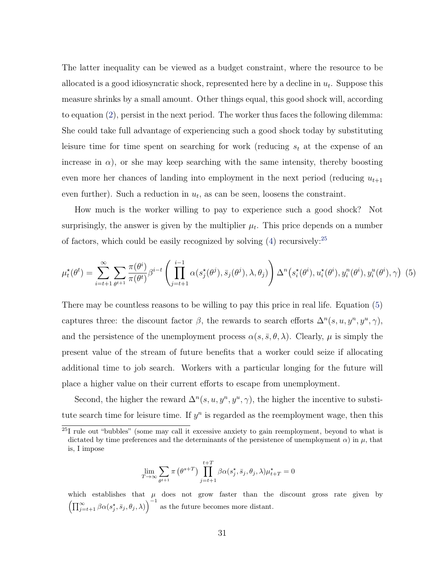The latter inequality can be viewed as a budget constraint, where the resource to be allocated is a good idiosyncratic shock, represented here by a decline in  $u_t$ . Suppose this measure shrinks by a small amount. Other things equal, this good shock will, according to equation ([2](#page-28-1)), persist in the next period. The worker thus faces the following dilemma: She could take full advantage of experiencing such a good shock today by substituting leisure time for time spent on searching for work (reducing *s<sup>t</sup>* at the expense of an increase in  $\alpha$ ), or she may keep searching with the same intensity, thereby boosting even more her chances of landing into employment in the next period (reducing  $u_{t+1}$ ) even further). Such a reduction in  $u_t$ , as can be seen, loosens the constraint.

How much is the worker willing to pay to experience such a good shock? Not surprisingly, the answer is given by the multiplier  $\mu_t$ . This price depends on a number of factors, which could be easily recognized by solving  $(4)$  $(4)$  recursively:<sup>[25](#page-32-0)</sup>

<span id="page-32-1"></span>
$$
\mu_t^{\star}(\theta^t) = \sum_{i=t+1}^{\infty} \sum_{\theta^t+1} \frac{\pi(\theta^i)}{\pi(\theta^t)} \beta^{i-t} \left( \prod_{j=t+1}^{i-1} \alpha(s_j^{\star}(\theta^j), \bar{s}_j(\theta^j), \lambda, \theta_j) \right) \Delta^n(s_i^{\star}(\theta^i), u_i^{\star}(\theta^i), y_i^n(\theta^i), y_i^n(\theta^i), \gamma) \tag{5}
$$

There may be countless reasons to be willing to pay this price in real life. Equation ([5](#page-32-1)) captures three: the discount factor  $\beta$ , the rewards to search efforts  $\Delta^n(s, u, y^n, y^u, \gamma)$ , and the persistence of the unemployment process  $\alpha(s, \bar{s}, \theta, \lambda)$ . Clearly,  $\mu$  is simply the present value of the stream of future benefits that a worker could seize if allocating additional time to job search. Workers with a particular longing for the future will place a higher value on their current efforts to escape from unemployment.

Second, the higher the reward  $\Delta^n(s, u, y^n, y^u, \gamma)$ , the higher the incentive to substitute search time for leisure time. If  $y<sup>n</sup>$  is regarded as the reemployment wage, then this

$$
\lim_{T \to \infty} \sum_{\theta^{t+1}} \pi (\theta^{s+T}) \prod_{j=t+1}^{t+T} \beta \alpha(s_j^*, \bar{s}_j, \theta_j, \lambda) \mu_{t+T}^* = 0
$$

which establishes that  $\mu$  does not grow faster than the discount gross rate given by  $\left(\prod_{j=t+1}^{\infty} \beta \alpha(s_j^*, \bar{s}_j, \theta_j, \lambda)\right)^{-1}$  as the future becomes more distant.

<span id="page-32-0"></span><sup>25</sup>I rule out "bubbles" (some may call it excessive anxiety to gain reemployment, beyond to what is dictated by time preferences and the determinants of the persistence of unemployment  $\alpha$ ) in  $\mu$ , that is, I impose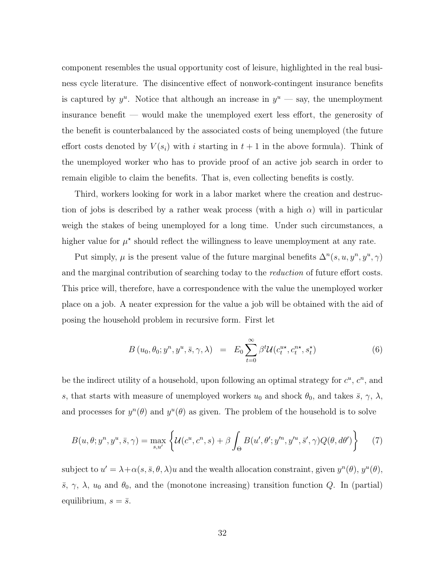component resembles the usual opportunity cost of leisure, highlighted in the real business cycle literature. The disincentive effect of nonwork-contingent insurance benefits is captured by  $y^u$ . Notice that although an increase in  $y^u$  — say, the unemployment insurance benefit — would make the unemployed exert less effort, the generosity of the benefit is counterbalanced by the associated costs of being unemployed (the future effort costs denoted by  $V(s_i)$  with *i* starting in  $t+1$  in the above formula). Think of the unemployed worker who has to provide proof of an active job search in order to remain eligible to claim the benefits. That is, even collecting benefits is costly.

Third, workers looking for work in a labor market where the creation and destruction of jobs is described by a rather weak process (with a high *α*) will in particular weigh the stakes of being unemployed for a long time. Under such circumstances, a higher value for  $\mu^*$  should reflect the willingness to leave unemployment at any rate.

Put simply,  $\mu$  is the present value of the future marginal benefits  $\Delta^n(s, u, y^n, y^u, \gamma)$ and the marginal contribution of searching today to the *reduction* of future effort costs. This price will, therefore, have a correspondence with the value the unemployed worker place on a job. A neater expression for the value a job will be obtained with the aid of posing the household problem in recursive form. First let

$$
B(u_0, \theta_0; y^n, y^u, \bar{s}, \gamma, \lambda) = E_0 \sum_{t=0}^{\infty} \beta^t \mathcal{U}(c_t^{u\star}, c_t^{n\star}, s_t^{\star})
$$
(6)

be the indirect utility of a household, upon following an optimal strategy for  $c^u$ ,  $c^n$ , and *s*, that starts with measure of unemployed workers  $u_0$  and shock  $\theta_0$ , and takes  $\bar{s}$ ,  $\gamma$ ,  $\lambda$ , and processes for  $y^n(\theta)$  and  $y^u(\theta)$  as given. The problem of the household is to solve

$$
B(u,\theta;y^n,y^u,\bar{s},\gamma) = \max_{s,u'} \left\{ \mathcal{U}(c^u,c^n,s) + \beta \int_{\Theta} B(u',\theta';y'^n,y'^u,\bar{s}',\gamma) Q(\theta,d\theta') \right\} \tag{7}
$$

subject to  $u' = \lambda + \alpha(s, \bar{s}, \theta, \lambda)u$  and the wealth allocation constraint, given  $y^n(\theta)$ ,  $y^u(\theta)$ , *s*,  $\gamma$ ,  $\lambda$ ,  $u_0$  and  $\theta_0$ , and the (monotone increasing) transition function *Q*. In (partial) equilibrium,  $s = \bar{s}$ .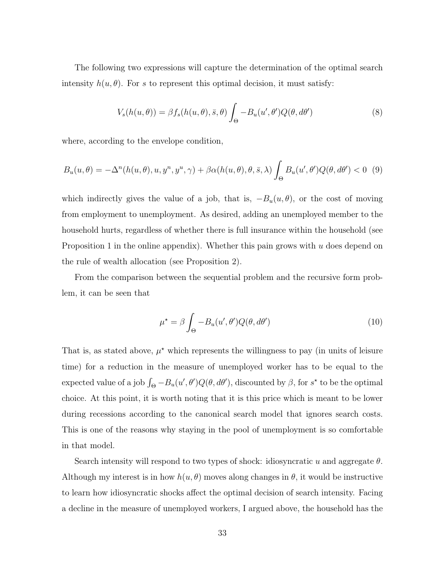The following two expressions will capture the determination of the optimal search intensity  $h(u, \theta)$ . For *s* to represent this optimal decision, it must satisfy:

$$
V_s(h(u, \theta)) = \beta f_s(h(u, \theta), \bar{s}, \theta) \int_{\Theta} -B_u(u', \theta') Q(\theta, d\theta')
$$
 (8)

where, according to the envelope condition,

$$
B_u(u,\theta) = -\Delta^n(h(u,\theta), u, y^n, y^u, \gamma) + \beta \alpha(h(u,\theta), \theta, \bar{s}, \lambda) \int_{\Theta} B_u(u', \theta') Q(\theta, d\theta') < 0
$$
 (9)

which indirectly gives the value of a job, that is,  $-D_u(u, \theta)$ , or the cost of moving from employment to unemployment. As desired, adding an unemployed member to the household hurts, regardless of whether there is full insurance within the household (see Proposition 1 in the online appendix). Whether this pain grows with *u* does depend on the rule of wealth allocation (see Proposition 2).

From the comparison between the sequential problem and the recursive form problem, it can be seen that

$$
\mu^* = \beta \int_{\Theta} -B_u(u', \theta') Q(\theta, d\theta')
$$
\n(10)

That is, as stated above,  $\mu^*$  which represents the willingness to pay (in units of leisure time) for a reduction in the measure of unemployed worker has to be equal to the expected value of a job  $\int_{\Theta} -B_u(u', \theta')Q(\theta, d\theta')$ , discounted by  $\beta$ , for  $s^*$  to be the optimal choice. At this point, it is worth noting that it is this price which is meant to be lower during recessions according to the canonical search model that ignores search costs. This is one of the reasons why staying in the pool of unemployment is so comfortable in that model.

Search intensity will respond to two types of shock: idiosyncratic *u* and aggregate *θ*. Although my interest is in how  $h(u, \theta)$  moves along changes in  $\theta$ , it would be instructive to learn how idiosyncratic shocks affect the optimal decision of search intensity. Facing a decline in the measure of unemployed workers, I argued above, the household has the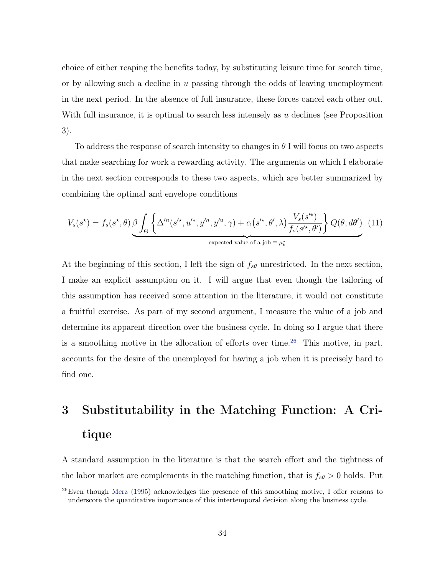choice of either reaping the benefits today, by substituting leisure time for search time, or by allowing such a decline in *u* passing through the odds of leaving unemployment in the next period. In the absence of full insurance, these forces cancel each other out. With full insurance, it is optimal to search less intensely as *u* declines (see Proposition 3).

To address the response of search intensity to changes in *θ* I will focus on two aspects that make searching for work a rewarding activity. The arguments on which I elaborate in the next section corresponds to these two aspects, which are better summarized by combining the optimal and envelope conditions

$$
V_s(s^*) = f_s(s^*, \theta) \underbrace{\beta \int_{\Theta} \left\{ \Delta^{\prime n}(s^{\prime \star}, u^{\prime \star}, y^{\prime n}, y^{\prime u}, \gamma) + \alpha(s^{\prime \star}, \theta^{\prime}, \lambda) \frac{V_s(s^{\prime \star})}{f_s(s^{\prime \star}, \theta^{\prime})} \right\} Q(\theta, d\theta^{\prime})}_{\text{expected value of a job } \equiv \mu_t^*}
$$
(11)

At the beginning of this section, I left the sign of *fsθ* unrestricted. In the next section, I make an explicit assumption on it. I will argue that even though the tailoring of this assumption has received some attention in the literature, it would not constitute a fruitful exercise. As part of my second argument, I measure the value of a job and determine its apparent direction over the business cycle. In doing so I argue that there is a smoothing motive in the allocation of efforts over time.<sup>[26](#page-35-0)</sup> This motive, in part, accounts for the desire of the unemployed for having a job when it is precisely hard to find one.

# 3 Substitutability in the Matching Function: A Critique

A standard assumption in the literature is that the search effort and the tightness of the labor market are complements in the matching function, that is  $f_{s\theta} > 0$  holds. Put

<span id="page-35-0"></span> $^{26}$ Even though [Merz \(1995\)](#page-53-7) acknowledges the presence of this smoothing motive, I offer reasons to underscore the quantitative importance of this intertemporal decision along the business cycle.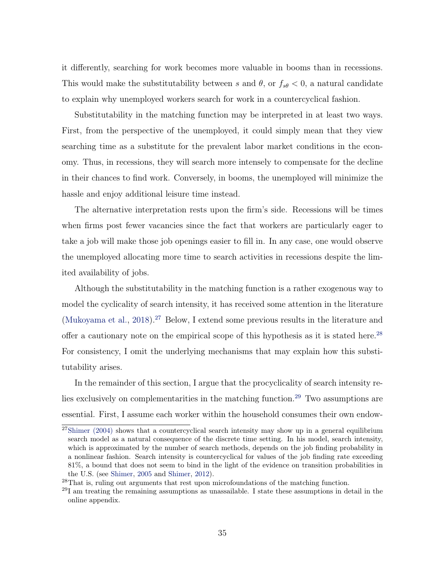<span id="page-36-3"></span>it differently, searching for work becomes more valuable in booms than in recessions. This would make the substitutability between *s* and  $\theta$ , or  $f_{s\theta} < 0$ , a natural candidate to explain why unemployed workers search for work in a countercyclical fashion.

Substitutability in the matching function may be interpreted in at least two ways. First, from the perspective of the unemployed, it could simply mean that they view searching time as a substitute for the prevalent labor market conditions in the economy. Thus, in recessions, they will search more intensely to compensate for the decline in their chances to find work. Conversely, in booms, the unemployed will minimize the hassle and enjoy additional leisure time instead.

The alternative interpretation rests upon the firm's side. Recessions will be times when firms post fewer vacancies since the fact that workers are particularly eager to take a job will make those job openings easier to fill in. In any case, one would observe the unemployed allocating more time to search activities in recessions despite the limited availability of jobs.

Although the substitutability in the matching function is a rather exogenous way to model the cyclicality of search intensity, it has received some attention in the literature ([Mukoyama et al.](#page-53-0), [2018](#page-53-0)).<sup>[27](#page-36-0)</sup> Below, I extend some previous results in the literature and offer a cautionary note on the empirical scope of this hypothesis as it is stated here.<sup>[28](#page-36-1)</sup> For consistency, I omit the underlying mechanisms that may explain how this substitutability arises.

In the remainder of this section, I argue that the procyclicality of search intensity re-lies exclusively on complementarities in the matching function.<sup>[29](#page-36-2)</sup> Two assumptions are essential. First, I assume each worker within the household consumes their own endow-

<span id="page-36-0"></span> $27$ [Shimer \(2004\)](#page-53-1) shows that a countercyclical search intensity may show up in a general equilibrium search model as a natural consequence of the discrete time setting. In his model, search intensity, which is approximated by the number of search methods, depends on the job finding probability in a nonlinear fashion. Search intensity is countercyclical for values of the job finding rate exceeding 81%, a bound that does not seem to bind in the light of the evidence on transition probabilities in the U.S. (see [Shimer,](#page-53-2) [2005](#page-53-2) and [Shimer](#page-53-3), [2012](#page-53-3)).

<span id="page-36-1"></span><sup>28</sup>That is, ruling out arguments that rest upon microfoundations of the matching function.

<span id="page-36-2"></span><sup>29</sup>I am treating the remaining assumptions as unassailable. I state these assumptions in detail in the online appendix.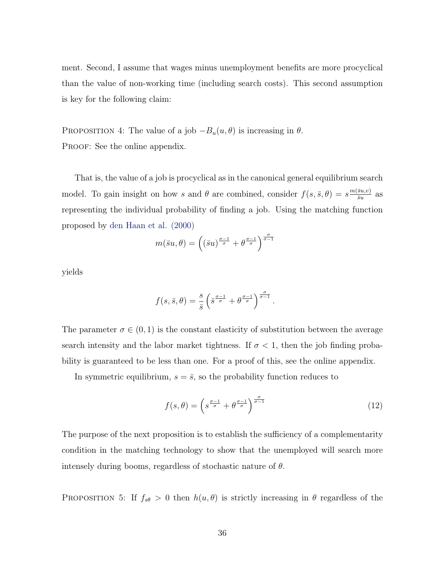<span id="page-37-0"></span>ment. Second, I assume that wages minus unemployment benefits are more procyclical than the value of non-working time (including search costs). This second assumption is key for the following claim:

PROPOSITION 4: The value of a job  $-B_u(u, \theta)$  is increasing in  $\theta$ . PROOF: See the online appendix.

That is, the value of a job is procyclical as in the canonical general equilibrium search model. To gain insight on how *s* and  $\theta$  are combined, consider  $f(s, \bar{s}, \theta) = s^{\frac{m(\bar{s}u, v)}{\bar{s}u}}$  $\frac{\overline{su},v}{\overline{su}}$  as representing the individual probability of finding a job. Using the matching function proposed by [den Haan et al. \(2000\)](#page-51-0)

$$
m(\bar{s}u,\theta) = \left( (\bar{s}u)^{\frac{\sigma-1}{\sigma}} + \theta^{\frac{\sigma-1}{\sigma}} \right)^{\frac{\sigma}{\sigma-1}}
$$

yields

$$
f(s,\bar{s},\theta) = \frac{s}{\bar{s}} \left( \bar{s}^{\frac{\sigma-1}{\sigma}} + \theta^{\frac{\sigma-1}{\sigma}} \right)^{\frac{\sigma}{\sigma-1}}.
$$

The parameter  $\sigma \in (0,1)$  is the constant elasticity of substitution between the average search intensity and the labor market tightness. If  $\sigma < 1$ , then the job finding probability is guaranteed to be less than one. For a proof of this, see the online appendix.

In symmetric equilibrium,  $s = \bar{s}$ , so the probability function reduces to

$$
f(s,\theta) = \left(s^{\frac{\sigma-1}{\sigma}} + \theta^{\frac{\sigma-1}{\sigma}}\right)^{\frac{\sigma}{\sigma-1}}
$$
\n(12)

The purpose of the next proposition is to establish the sufficiency of a complementarity condition in the matching technology to show that the unemployed will search more intensely during booms, regardless of stochastic nature of *θ*.

PROPOSITION 5: If  $f_{s\theta} > 0$  then  $h(u, \theta)$  is strictly increasing in  $\theta$  regardless of the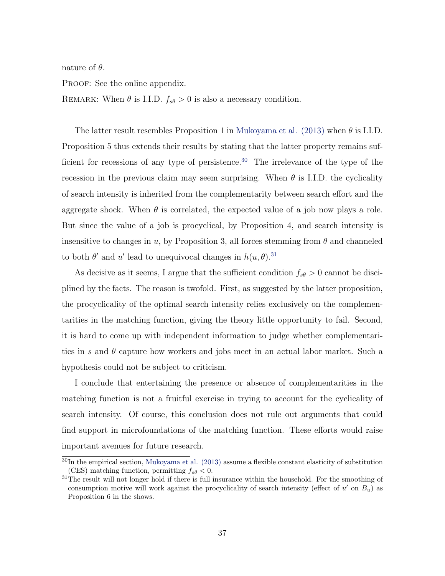<span id="page-38-2"></span>nature of *θ*.

PROOF: See the online appendix.

REMARK: When  $\theta$  is I.I.D.  $f_{s\theta} > 0$  is also a necessary condition.

The latter result resembles Proposition 1 in [Mukoyama et al. \(2013\)](#page-53-4) when *θ* is I.I.D. Proposition 5 thus extends their results by stating that the latter property remains suf-ficient for recessions of any type of persistence.<sup>[30](#page-38-0)</sup> The irrelevance of the type of the recession in the previous claim may seem surprising. When  $\theta$  is I.I.D. the cyclicality of search intensity is inherited from the complementarity between search effort and the aggregate shock. When  $\theta$  is correlated, the expected value of a job now plays a role. But since the value of a job is procyclical, by Proposition 4, and search intensity is insensitive to changes in  $u$ , by Proposition 3, all forces stemming from  $\theta$  and channeled to both  $\theta'$  and  $u'$  lead to unequivocal changes in  $h(u, \theta)$ .<sup>[31](#page-38-1)</sup>

As decisive as it seems, I argue that the sufficient condition  $f_{s\theta} > 0$  cannot be disciplined by the facts. The reason is twofold. First, as suggested by the latter proposition, the procyclicality of the optimal search intensity relies exclusively on the complementarities in the matching function, giving the theory little opportunity to fail. Second, it is hard to come up with independent information to judge whether complementarities in *s* and *θ* capture how workers and jobs meet in an actual labor market. Such a hypothesis could not be subject to criticism.

I conclude that entertaining the presence or absence of complementarities in the matching function is not a fruitful exercise in trying to account for the cyclicality of search intensity. Of course, this conclusion does not rule out arguments that could find support in microfoundations of the matching function. These efforts would raise important avenues for future research.

<span id="page-38-0"></span> $30$ In the empirical section, [Mukoyama et al. \(2013\)](#page-53-4) assume a flexible constant elasticity of substitution (CES) matching function, permitting  $f_{s\theta} < 0$ .

<span id="page-38-1"></span><sup>&</sup>lt;sup>31</sup>The result will not longer hold if there is full insurance within the household. For the smoothing of consumption motive will work against the procyclicality of search intensity (effect of *u ′* on *Bu*) as Proposition 6 in the shows.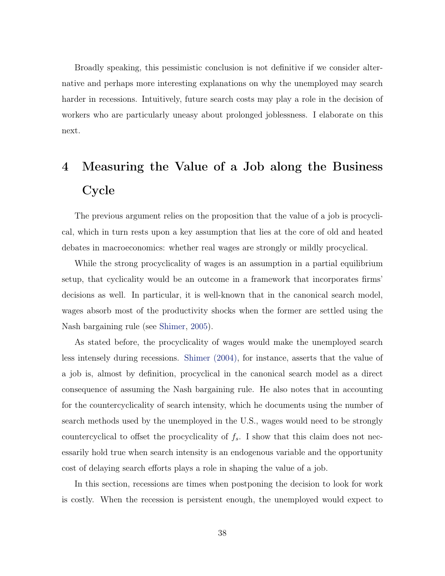<span id="page-39-0"></span>Broadly speaking, this pessimistic conclusion is not definitive if we consider alternative and perhaps more interesting explanations on why the unemployed may search harder in recessions. Intuitively, future search costs may play a role in the decision of workers who are particularly uneasy about prolonged joblessness. I elaborate on this next.

# 4 Measuring the Value of a Job along the Business Cycle

The previous argument relies on the proposition that the value of a job is procyclical, which in turn rests upon a key assumption that lies at the core of old and heated debates in macroeconomics: whether real wages are strongly or mildly procyclical.

While the strong procyclicality of wages is an assumption in a partial equilibrium setup, that cyclicality would be an outcome in a framework that incorporates firms' decisions as well. In particular, it is well-known that in the canonical search model, wages absorb most of the productivity shocks when the former are settled using the Nash bargaining rule (see [Shimer](#page-53-2), [2005\)](#page-53-2).

As stated before, the procyclicality of wages would make the unemployed search less intensely during recessions. [Shimer \(2004\)](#page-53-1), for instance, asserts that the value of a job is, almost by definition, procyclical in the canonical search model as a direct consequence of assuming the Nash bargaining rule. He also notes that in accounting for the countercyclicality of search intensity, which he documents using the number of search methods used by the unemployed in the U.S., wages would need to be strongly countercyclical to offset the procyclicality of *fs*. I show that this claim does not necessarily hold true when search intensity is an endogenous variable and the opportunity cost of delaying search efforts plays a role in shaping the value of a job.

In this section, recessions are times when postponing the decision to look for work is costly. When the recession is persistent enough, the unemployed would expect to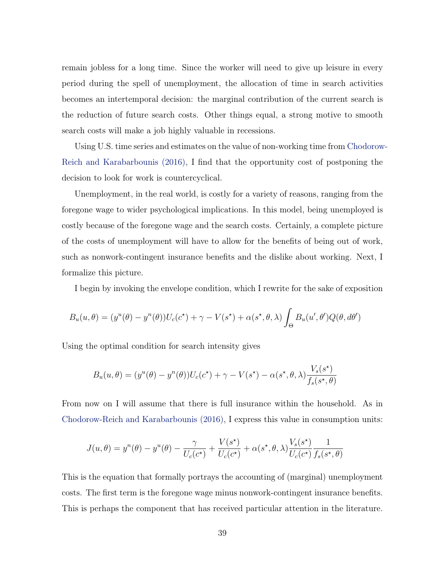<span id="page-40-0"></span>remain jobless for a long time. Since the worker will need to give up leisure in every period during the spell of unemployment, the allocation of time in search activities becomes an intertemporal decision: the marginal contribution of the current search is the reduction of future search costs. Other things equal, a strong motive to smooth search costs will make a job highly valuable in recessions.

Using U.S. time series and estimates on the value of non-working time from [Chodorow-](#page-51-1)[Reich and Karabarbounis \(2016\)](#page-51-1), I find that the opportunity cost of postponing the decision to look for work is countercyclical.

Unemployment, in the real world, is costly for a variety of reasons, ranging from the foregone wage to wider psychological implications. In this model, being unemployed is costly because of the foregone wage and the search costs. Certainly, a complete picture of the costs of unemployment will have to allow for the benefits of being out of work, such as nonwork-contingent insurance benefits and the dislike about working. Next, I formalize this picture.

I begin by invoking the envelope condition, which I rewrite for the sake of exposition

$$
B_u(u, \theta) = (y^u(\theta) - y^u(\theta))U_c(c^*) + \gamma - V(s^*) + \alpha(s^*, \theta, \lambda) \int_{\Theta} B_u(u', \theta')Q(\theta, d\theta')
$$

Using the optimal condition for search intensity gives

$$
B_u(u, \theta) = (y^u(\theta) - y^u(\theta))U_c(c^*) + \gamma - V(s^*) - \alpha(s^*, \theta, \lambda) \frac{V_s(s^*)}{f_s(s^*, \theta)}
$$

From now on I will assume that there is full insurance within the household. As in [Chodorow-Reich and Karabarbounis \(2016\),](#page-51-1) I express this value in consumption units:

$$
J(u, \theta) = y^{n}(\theta) - y^{u}(\theta) - \frac{\gamma}{U_c(c^*)} + \frac{V(s^*)}{U_c(c^*)} + \alpha(s^*, \theta, \lambda) \frac{V_s(s^*)}{U_c(c^*)} \frac{1}{f_s(s^*, \theta)}
$$

This is the equation that formally portrays the accounting of (marginal) unemployment costs. The first term is the foregone wage minus nonwork-contingent insurance benefits. This is perhaps the component that has received particular attention in the literature.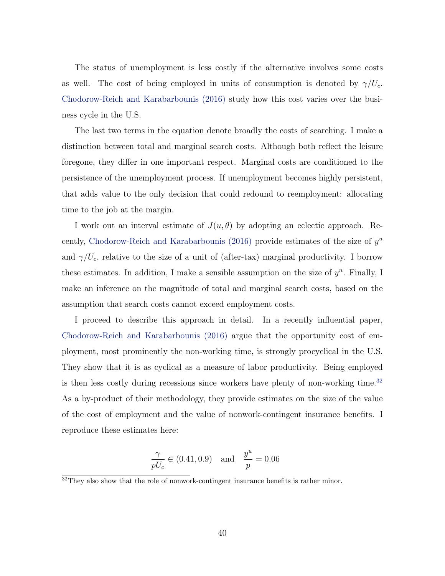<span id="page-41-1"></span>The status of unemployment is less costly if the alternative involves some costs as well. The cost of being employed in units of consumption is denoted by  $\gamma/U_c$ . [Chodorow-Reich and Karabarbounis \(2016\)](#page-51-1) study how this cost varies over the business cycle in the U.S.

The last two terms in the equation denote broadly the costs of searching. I make a distinction between total and marginal search costs. Although both reflect the leisure foregone, they differ in one important respect. Marginal costs are conditioned to the persistence of the unemployment process. If unemployment becomes highly persistent, that adds value to the only decision that could redound to reemployment: allocating time to the job at the margin.

I work out an interval estimate of  $J(u, \theta)$  by adopting an eclectic approach. Recently, [Chodorow-Reich and Karabarbounis \(2016\)](#page-51-1) provide estimates of the size of *y u* and  $\gamma/U_c$ , relative to the size of a unit of (after-tax) marginal productivity. I borrow these estimates. In addition, I make a sensible assumption on the size of  $y^n$ . Finally, I make an inference on the magnitude of total and marginal search costs, based on the assumption that search costs cannot exceed employment costs.

I proceed to describe this approach in detail. In a recently influential paper, [Chodorow-Reich and Karabarbounis \(2016\)](#page-51-1) argue that the opportunity cost of employment, most prominently the non-working time, is strongly procyclical in the U.S. They show that it is as cyclical as a measure of labor productivity. Being employed is then less costly during recessions since workers have plenty of non-working time.<sup>[32](#page-41-0)</sup> As a by-product of their methodology, they provide estimates on the size of the value of the cost of employment and the value of nonwork-contingent insurance benefits. I reproduce these estimates here:

$$
\frac{\gamma}{pU_c} \in (0.41, 0.9)
$$
 and  $\frac{y^u}{p} = 0.06$ 

<span id="page-41-0"></span> $32$ They also show that the role of nonwork-contingent insurance benefits is rather minor.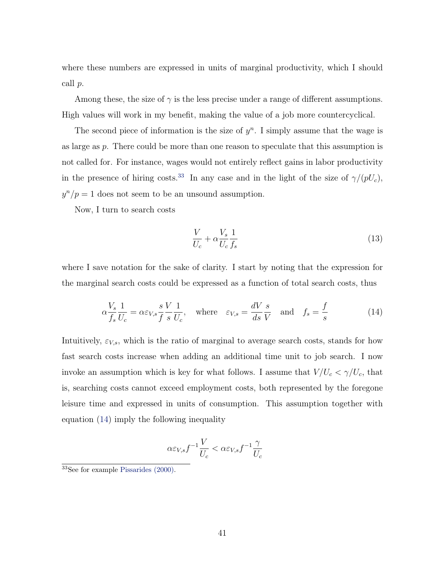<span id="page-42-3"></span>where these numbers are expressed in units of marginal productivity, which I should call *p*.

Among these, the size of  $\gamma$  is the less precise under a range of different assumptions. High values will work in my benefit, making the value of a job more countercyclical.

The second piece of information is the size of  $y<sup>n</sup>$ . I simply assume that the wage is as large as *p*. There could be more than one reason to speculate that this assumption is not called for. For instance, wages would not entirely reflect gains in labor productivity in the presence of hiring costs.<sup>[33](#page-42-0)</sup> In any case and in the light of the size of  $\gamma/(pU_c)$ ,  $y^n/p = 1$  does not seem to be an unsound assumption.

Now, I turn to search costs

<span id="page-42-2"></span>
$$
\frac{V}{U_c} + \alpha \frac{V_s}{U_c} \frac{1}{f_s} \tag{13}
$$

where I save notation for the sake of clarity. I start by noting that the expression for the marginal search costs could be expressed as a function of total search costs, thus

<span id="page-42-1"></span>
$$
\alpha \frac{V_s}{f_s} \frac{1}{U_c} = \alpha \varepsilon_{V,s} \frac{s V}{f s} \frac{1}{U_c}, \quad \text{where} \quad \varepsilon_{V,s} = \frac{dV}{ds} \frac{s}{V} \quad \text{and} \quad f_s = \frac{f}{s} \tag{14}
$$

Intuitively,  $\varepsilon_{V,s}$ , which is the ratio of marginal to average search costs, stands for how fast search costs increase when adding an additional time unit to job search. I now invoke an assumption which is key for what follows. I assume that  $V/U_c < \gamma/U_c$ , that is, searching costs cannot exceed employment costs, both represented by the foregone leisure time and expressed in units of consumption. This assumption together with equation [\(14](#page-42-1)) imply the following inequality

$$
\alpha \varepsilon_{V,s} f^{-1} \frac{V}{U_c} < \alpha \varepsilon_{V,s} f^{-1} \frac{\gamma}{U_c}
$$

<span id="page-42-0"></span><sup>33</sup>See for example [Pissarides \(2000\)](#page-53-5).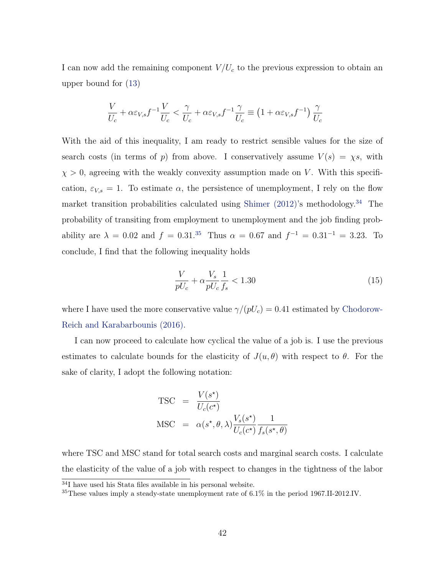<span id="page-43-2"></span>I can now add the remaining component *V/U<sup>c</sup>* to the previous expression to obtain an upper bound for ([13\)](#page-42-2)

$$
\frac{V}{U_c} + \alpha \varepsilon_{V,s} f^{-1} \frac{V}{U_c} < \frac{\gamma}{U_c} + \alpha \varepsilon_{V,s} f^{-1} \frac{\gamma}{U_c} \equiv \left(1 + \alpha \varepsilon_{V,s} f^{-1}\right) \frac{\gamma}{U_c}
$$

With the aid of this inequality, I am ready to restrict sensible values for the size of search costs (in terms of *p*) from above. I conservatively assume  $V(s) = \chi s$ , with  $\chi > 0$ , agreeing with the weakly convexity assumption made on *V*. With this specification,  $\varepsilon_{V,s} = 1$ . To estimate  $\alpha$ , the persistence of unemployment, I rely on the flow market transition probabilities calculated using Shimer  $(2012)$ 's methodology.<sup>[34](#page-43-0)</sup> The probability of transiting from employment to unemployment and the job finding probability are  $\lambda = 0.02$  and  $f = 0.31^{35}$  $f = 0.31^{35}$  $f = 0.31^{35}$  Thus  $\alpha = 0.67$  and  $f^{-1} = 0.31^{-1} = 3.23$ . To conclude, I find that the following inequality holds

$$
\frac{V}{pU_c} + \alpha \frac{V_s}{pU_c} \frac{1}{f_s} < 1.30 \tag{15}
$$

where I have used the more conservative value  $\gamma/(pU_c) = 0.41$  estimated by [Chodorow-](#page-51-1)[Reich and Karabarbounis \(2016\)](#page-51-1).

I can now proceed to calculate how cyclical the value of a job is. I use the previous estimates to calculate bounds for the elasticity of  $J(u, \theta)$  with respect to  $\theta$ . For the sake of clarity, I adopt the following notation:

TSC = 
$$
\frac{V(s^*)}{U_c(c^*)}
$$
  
MSC =  $\alpha(s^*, \theta, \lambda) \frac{V_s(s^*)}{U_c(c^*)} \frac{1}{f_s(s^*, \theta)}$ 

where TSC and MSC stand for total search costs and marginal search costs. I calculate the elasticity of the value of a job with respect to changes in the tightness of the labor

<span id="page-43-0"></span><sup>34</sup>I have used his Stata files available in his personal website.

<span id="page-43-1"></span><sup>35</sup>These values imply a steady-state unemployment rate of 6.1% in the period 1967.II-2012.IV.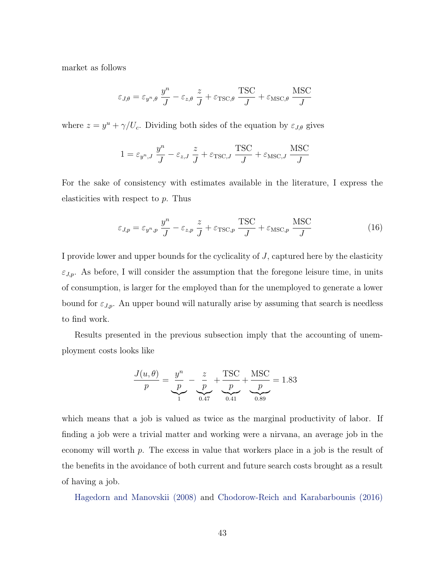<span id="page-44-1"></span>market as follows

$$
\varepsilon_{J,\theta} = \varepsilon_{y^n,\theta} \frac{y^n}{J} - \varepsilon_{z,\theta} \frac{z}{J} + \varepsilon_{\text{TSC},\theta} \frac{\text{TSC}}{J} + \varepsilon_{\text{MSC},\theta} \frac{\text{MSC}}{J}
$$

where  $z = y^u + \gamma/U_c$ . Dividing both sides of the equation by  $\varepsilon_{J,\theta}$  gives

$$
1 = \varepsilon_{y^n,J} \frac{y^n}{J} - \varepsilon_{z,J} \frac{z}{J} + \varepsilon_{\text{TSC},J} \frac{\text{TSC}}{J} + \varepsilon_{\text{MSC},J} \frac{\text{MSC}}{J}
$$

For the sake of consistency with estimates available in the literature, I express the elasticities with respect to *p*. Thus

<span id="page-44-0"></span>
$$
\varepsilon_{J,p} = \varepsilon_{y^n,p} \frac{y^n}{J} - \varepsilon_{z,p} \frac{z}{J} + \varepsilon_{\text{TSC},p} \frac{\text{TSC}}{J} + \varepsilon_{\text{MSC},p} \frac{\text{MSC}}{J} \tag{16}
$$

I provide lower and upper bounds for the cyclicality of *J*, captured here by the elasticity  $\varepsilon_{J,p}$ . As before, I will consider the assumption that the foregone leisure time, in units of consumption, is larger for the employed than for the unemployed to generate a lower bound for  $\varepsilon_{J,p}$ . An upper bound will naturally arise by assuming that search is needless to find work.

Results presented in the previous subsection imply that the accounting of unemployment costs looks like

$$
\frac{J(u, \theta)}{p} = \underbrace{\frac{y^n}{p}}_{1} - \underbrace{\frac{z}{p}}_{0.47} + \underbrace{\frac{\text{TSC}}{p}}_{0.41} + \underbrace{\frac{\text{MSC}}{p}}_{0.89} = 1.83
$$

which means that a job is valued as twice as the marginal productivity of labor. If finding a job were a trivial matter and working were a nirvana, an average job in the economy will worth *p*. The excess in value that workers place in a job is the result of the benefits in the avoidance of both current and future search costs brought as a result of having a job.

[Hagedorn and Manovskii \(2008\)](#page-52-0) and [Chodorow-Reich and Karabarbounis \(2016\)](#page-51-1)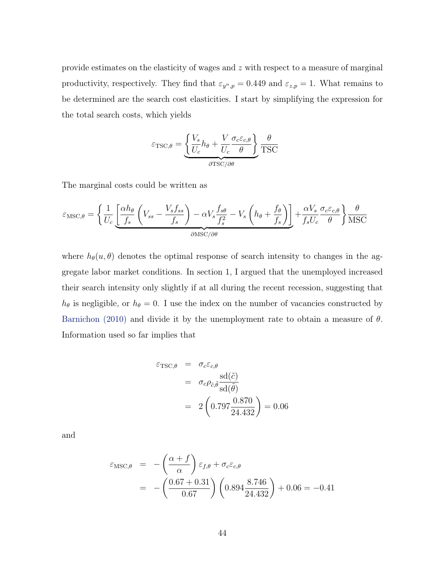<span id="page-45-0"></span>provide estimates on the elasticity of wages and *z* with respect to a measure of marginal productivity, respectively. They find that  $\varepsilon_{y^n,p} = 0.449$  and  $\varepsilon_{z,p} = 1$ . What remains to be determined are the search cost elasticities. I start by simplifying the expression for the total search costs, which yields

$$
\varepsilon_{\text{TSC},\theta} = \underbrace{\left\{ \frac{V_s}{U_c} h_{\theta} + \frac{V}{U_c} \frac{\sigma_c \varepsilon_{c,\theta}}{\theta} \right\}}_{\partial \text{TSC}/\partial \theta} \frac{\theta}{\text{TSC}}
$$

The marginal costs could be written as

$$
\varepsilon_{\text{MSC},\theta} = \left\{ \frac{1}{U_c} \underbrace{\left[ \frac{\alpha h_{\theta}}{f_s} \left( V_{ss} - \frac{V_s f_{ss}}{f_s} \right) - \alpha V_s \frac{f_{s\theta}}{f_s^2} - V_s \left( h_{\theta} + \frac{f_{\theta}}{f_s} \right) \right]}_{\partial \text{MSC}/\partial \theta} + \frac{\alpha V_s}{f_s U_c} \frac{\sigma_c \varepsilon_{c,\theta}}{\theta} \right\} \frac{\theta}{\text{MSC}}
$$

where  $h_{\theta}(u, \theta)$  denotes the optimal response of search intensity to changes in the aggregate labor market conditions. In section 1, I argued that the unemployed increased their search intensity only slightly if at all during the recent recession, suggesting that  $h_{\theta}$  is negligible, or  $h_{\theta} = 0$ . I use the index on the number of vacancies constructed by [Barnichon \(2010\)](#page-51-2) and divide it by the unemployment rate to obtain a measure of *θ*. Information used so far implies that

$$
\varepsilon_{\text{TSC},\theta} = \sigma_c \varepsilon_{c,\theta}
$$
  
=  $\sigma_c \rho_{\tilde{c},\tilde{\theta}} \frac{\text{sd}(\tilde{c})}{\text{sd}(\tilde{\theta})}$   
=  $2 \left( 0.797 \frac{0.870}{24.432} \right) = 0.06$ 

and

$$
\varepsilon_{\text{MSC},\theta} = -\left(\frac{\alpha + f}{\alpha}\right) \varepsilon_{f,\theta} + \sigma_c \varepsilon_{c,\theta}
$$
  
= -\left(\frac{0.67 + 0.31}{0.67}\right) \left(0.894 \frac{8.746}{24.432}\right) + 0.06 = -0.41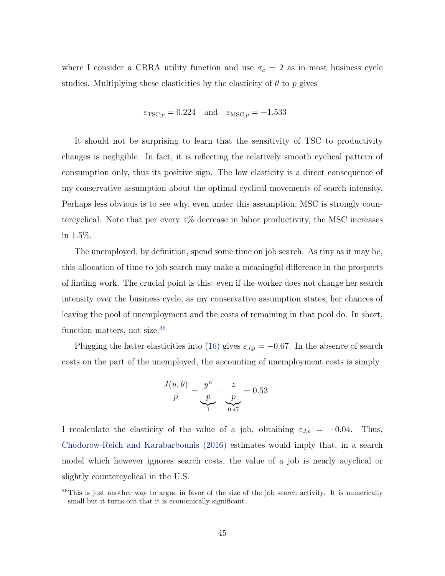<span id="page-46-1"></span>where I consider a CRRA utility function and use  $\sigma_c = 2$  as in most business cycle studies. Multiplying these elasticities by the elasticity of  $\theta$  to  $p$  gives

$$
\varepsilon_{\text{TSC},p} = 0.224
$$
 and  $\varepsilon_{\text{MSC},p} = -1.533$ 

It should not be surprising to learn that the sensitivity of TSC to productivity changes is negligible. In fact, it is reflecting the relatively smooth cyclical pattern of consumption only, thus its positive sign. The low elasticity is a direct consequence of my conservative assumption about the optimal cyclical movements of search intensity. Perhaps less obvious is to see why, even under this assumption, MSC is strongly countercyclical. Note that per every 1% decrease in labor productivity, the MSC increases in 1.5%.

The unemployed, by definition, spend some time on job search. As tiny as it may be, this allocation of time to job search may make a meaningful difference in the prospects of finding work. The crucial point is this: even if the worker does not change her search intensity over the business cycle, as my conservative assumption states, her chances of leaving the pool of unemployment and the costs of remaining in that pool do. In short, function matters, not size.<sup>[36](#page-46-0)</sup>

Plugging the latter elasticities into ([16](#page-44-0)) gives  $\varepsilon_{J,p} = -0.67$ . In the absence of search costs on the part of the unemployed, the accounting of unemployment costs is simply

$$
\frac{J(u, \theta)}{p} = \underbrace{\frac{y^n}{p}}_{1} - \underbrace{\frac{z}{p}}_{0.47} = 0.53
$$

I recalculate the elasticity of the value of a job, obtaining  $\varepsilon_{J,p} = -0.04$ . Thus, [Chodorow-Reich and Karabarbounis \(2016\)](#page-51-1) estimates would imply that, in a search model which however ignores search costs, the value of a job is nearly acyclical or slightly countercyclical in the U.S.

<span id="page-46-0"></span><sup>&</sup>lt;sup>36</sup>This is just another way to argue in favor of the size of the job search activity. It is numerically small but it turns out that it is economically significant.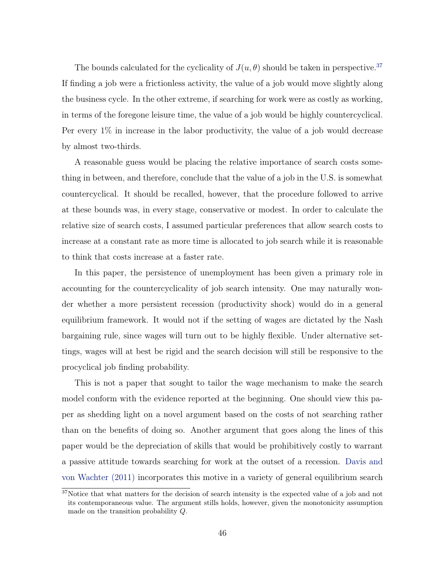<span id="page-47-1"></span>The bounds calculated for the cyclicality of  $J(u, \theta)$  should be taken in perspective.<sup>[37](#page-47-0)</sup> If finding a job were a frictionless activity, the value of a job would move slightly along the business cycle. In the other extreme, if searching for work were as costly as working, in terms of the foregone leisure time, the value of a job would be highly countercyclical. Per every 1% in increase in the labor productivity, the value of a job would decrease by almost two-thirds.

A reasonable guess would be placing the relative importance of search costs something in between, and therefore, conclude that the value of a job in the U.S. is somewhat countercyclical. It should be recalled, however, that the procedure followed to arrive at these bounds was, in every stage, conservative or modest. In order to calculate the relative size of search costs, I assumed particular preferences that allow search costs to increase at a constant rate as more time is allocated to job search while it is reasonable to think that costs increase at a faster rate.

In this paper, the persistence of unemployment has been given a primary role in accounting for the countercyclicality of job search intensity. One may naturally wonder whether a more persistent recession (productivity shock) would do in a general equilibrium framework. It would not if the setting of wages are dictated by the Nash bargaining rule, since wages will turn out to be highly flexible. Under alternative settings, wages will at best be rigid and the search decision will still be responsive to the procyclical job finding probability.

This is not a paper that sought to tailor the wage mechanism to make the search model conform with the evidence reported at the beginning. One should view this paper as shedding light on a novel argument based on the costs of not searching rather than on the benefits of doing so. Another argument that goes along the lines of this paper would be the depreciation of skills that would be prohibitively costly to warrant a passive attitude towards searching for work at the outset of a recession. [Davis and](#page-51-3) [von Wachter \(2011\)](#page-51-3) incorporates this motive in a variety of general equilibrium search

<span id="page-47-0"></span><sup>&</sup>lt;sup>37</sup>Notice that what matters for the decision of search intensity is the expected value of a job and not its contemporaneous value. The argument stills holds, however, given the monotonicity assumption made on the transition probability *Q*.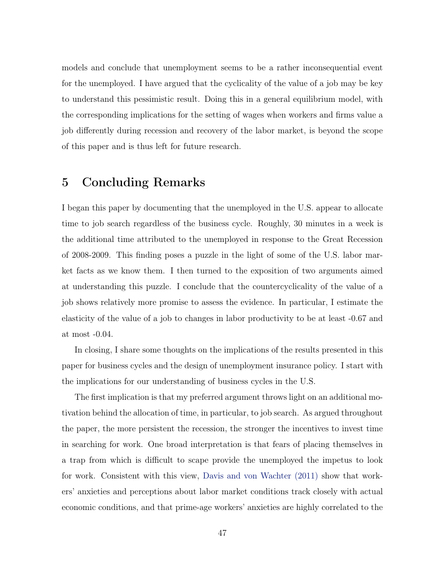<span id="page-48-0"></span>models and conclude that unemployment seems to be a rather inconsequential event for the unemployed. I have argued that the cyclicality of the value of a job may be key to understand this pessimistic result. Doing this in a general equilibrium model, with the corresponding implications for the setting of wages when workers and firms value a job differently during recession and recovery of the labor market, is beyond the scope of this paper and is thus left for future research.

## 5 Concluding Remarks

I began this paper by documenting that the unemployed in the U.S. appear to allocate time to job search regardless of the business cycle. Roughly, 30 minutes in a week is the additional time attributed to the unemployed in response to the Great Recession of 2008-2009. This finding poses a puzzle in the light of some of the U.S. labor market facts as we know them. I then turned to the exposition of two arguments aimed at understanding this puzzle. I conclude that the countercyclicality of the value of a job shows relatively more promise to assess the evidence. In particular, I estimate the elasticity of the value of a job to changes in labor productivity to be at least -0.67 and at most -0.04.

In closing, I share some thoughts on the implications of the results presented in this paper for business cycles and the design of unemployment insurance policy. I start with the implications for our understanding of business cycles in the U.S.

The first implication is that my preferred argument throws light on an additional motivation behind the allocation of time, in particular, to job search. As argued throughout the paper, the more persistent the recession, the stronger the incentives to invest time in searching for work. One broad interpretation is that fears of placing themselves in a trap from which is difficult to scape provide the unemployed the impetus to look for work. Consistent with this view, [Davis and von Wachter \(2011\)](#page-51-3) show that workers' anxieties and perceptions about labor market conditions track closely with actual economic conditions, and that prime-age workers' anxieties are highly correlated to the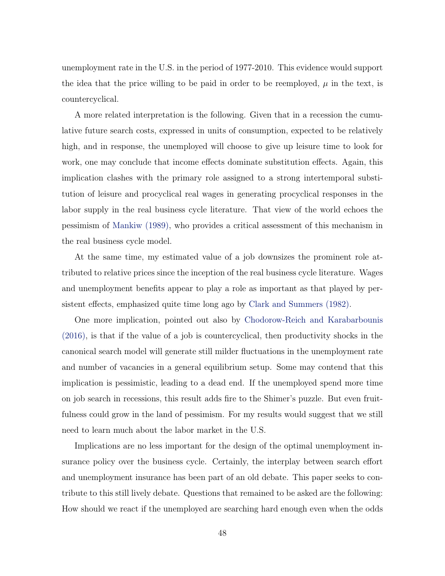<span id="page-49-0"></span>unemployment rate in the U.S. in the period of 1977-2010. This evidence would support the idea that the price willing to be paid in order to be reemployed,  $\mu$  in the text, is countercyclical.

A more related interpretation is the following. Given that in a recession the cumulative future search costs, expressed in units of consumption, expected to be relatively high, and in response, the unemployed will choose to give up leisure time to look for work, one may conclude that income effects dominate substitution effects. Again, this implication clashes with the primary role assigned to a strong intertemporal substitution of leisure and procyclical real wages in generating procyclical responses in the labor supply in the real business cycle literature. That view of the world echoes the pessimism of [Mankiw \(1989\)](#page-52-1), who provides a critical assessment of this mechanism in the real business cycle model.

At the same time, my estimated value of a job downsizes the prominent role attributed to relative prices since the inception of the real business cycle literature. Wages and unemployment benefits appear to play a role as important as that played by persistent effects, emphasized quite time long ago by [Clark and Summers \(1982\).](#page-51-4)

One more implication, pointed out also by [Chodorow-Reich and Karabarbounis](#page-51-1) [\(2016\),](#page-51-1) is that if the value of a job is countercyclical, then productivity shocks in the canonical search model will generate still milder fluctuations in the unemployment rate and number of vacancies in a general equilibrium setup. Some may contend that this implication is pessimistic, leading to a dead end. If the unemployed spend more time on job search in recessions, this result adds fire to the Shimer's puzzle. But even fruitfulness could grow in the land of pessimism. For my results would suggest that we still need to learn much about the labor market in the U.S.

Implications are no less important for the design of the optimal unemployment insurance policy over the business cycle. Certainly, the interplay between search effort and unemployment insurance has been part of an old debate. This paper seeks to contribute to this still lively debate. Questions that remained to be asked are the following: How should we react if the unemployed are searching hard enough even when the odds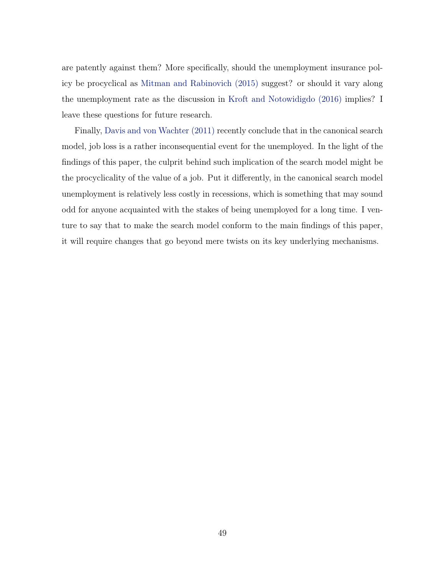<span id="page-50-0"></span>are patently against them? More specifically, should the unemployment insurance policy be procyclical as [Mitman and Rabinovich \(2015\)](#page-53-6) suggest? or should it vary along the unemployment rate as the discussion in [Kroft and Notowidigdo \(2016\)](#page-52-2) implies? I leave these questions for future research.

Finally, [Davis and von Wachter \(2011\)](#page-51-3) recently conclude that in the canonical search model, job loss is a rather inconsequential event for the unemployed. In the light of the findings of this paper, the culprit behind such implication of the search model might be the procyclicality of the value of a job. Put it differently, in the canonical search model unemployment is relatively less costly in recessions, which is something that may sound odd for anyone acquainted with the stakes of being unemployed for a long time. I venture to say that to make the search model conform to the main findings of this paper, it will require changes that go beyond mere twists on its key underlying mechanisms.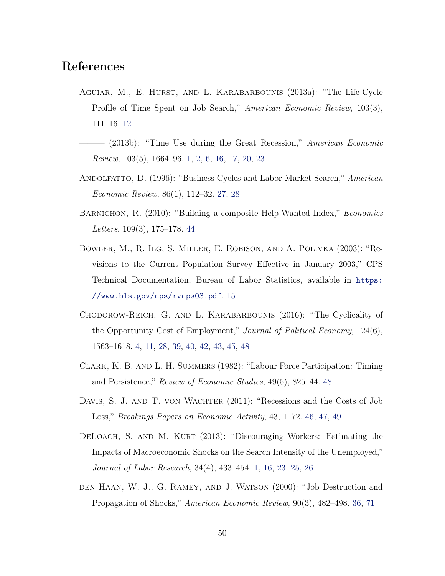### References

- AGUIAR, M., E. HURST, AND L. KARABARBOUNIS (2013a): "The Life-Cycle Profile of Time Spent on Job Search," *American Economic Review*, 103(3), 111–16. [12](#page-13-0)
- ——— (2013b): "Time Use during the Great Recession," *American Economic Review*, 103(5), 1664–96. 1, [2,](#page-3-0) [6,](#page-7-0) [16,](#page-17-0) [17,](#page-18-0) [20](#page-21-0), [23](#page-24-0)
- Andolfatto, D. (1996): "Business Cycles and Labor-Market Search," *American Economic Review*, 86(1), 112–32. [27,](#page-28-0) [28](#page-29-0)
- <span id="page-51-2"></span>BARNICHON, R. (2010): "Building a composite Help-Wanted Index," *Economics Letters*, 109(3), 175–178. [44](#page-45-0)
- Bowler, M., R. Ilg, S. Miller, E. Robison, and A. Polivka (2003): "Revisions to the Current Population Survey Effective in January 2003," CPS Technical Documentation, Bureau of Labor Statistics, available in [https:](https://www.bls.gov/cps/rvcps03.pdf) [//www.bls.gov/cps/rvcps03.pdf](https://www.bls.gov/cps/rvcps03.pdf). [15](#page-16-0)
- <span id="page-51-1"></span>Chodorow-Reich, G. and L. Karabarbounis (2016): "The Cyclicality of the Opportunity Cost of Employment," *Journal of Political Economy*, 124(6), 1563–1618. [4](#page-5-0), [11](#page-12-0), [28](#page-29-0), [39,](#page-40-0) [40,](#page-41-1) [42,](#page-43-2) [43](#page-44-1), [45](#page-46-1), [48](#page-49-0)
- <span id="page-51-4"></span>Clark, K. B. and L. H. Summers (1982): "Labour Force Participation: Timing and Persistence," *Review of Economic Studies*, 49(5), 825–44. [48](#page-49-0)
- <span id="page-51-3"></span>DAVIS, S. J. AND T. VON WACHTER (2011): "Recessions and the Costs of Job Loss," *Brookings Papers on Economic Activity*, 43, 1–72. [46,](#page-47-1) [47,](#page-48-0) [49](#page-50-0)
- DELOACH, S. AND M. KURT (2013): "Discouraging Workers: Estimating the Impacts of Macroeconomic Shocks on the Search Intensity of the Unemployed," *Journal of Labor Research*, 34(4), 433–454. 1, [16](#page-17-0), [23](#page-24-0), [25](#page-26-0), [26](#page-27-0)
- <span id="page-51-0"></span>DEN HAAN, W. J., G. RAMEY, AND J. WATSON (2000): "Job Destruction and Propagation of Shocks," *American Economic Review*, 90(3), 482–498. [36,](#page-37-0) [71](#page-72-0)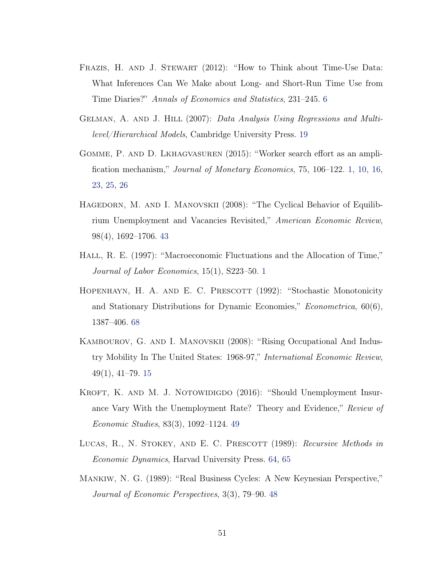- FRAZIS, H. AND J. STEWART (2012): "How to Think about Time-Use Data: What Inferences Can We Make about Long- and Short-Run Time Use from Time Diaries?" *Annals of Economics and Statistics*, 231–245. [6](#page-7-0)
- Gelman, A. and J. Hill (2007): *Data Analysis Using Regressions and Multilevel/Hierarchical Models*, Cambridge University Press. [19](#page-20-0)
- Gomme, P. and D. Lkhagvasuren (2015): "Worker search effort as an amplification mechanism," *Journal of Monetary Economics*, 75, 106–122. 1, [10](#page-11-0), [16,](#page-17-0) [23](#page-24-0), [25](#page-26-0), [26](#page-27-0)
- <span id="page-52-0"></span>HAGEDORN, M. AND I. MANOVSKII (2008): "The Cyclical Behavior of Equilibrium Unemployment and Vacancies Revisited," *American Economic Review*, 98(4), 1692–1706. [43](#page-44-1)
- HALL, R. E. (1997): "Macroeconomic Fluctuations and the Allocation of Time," *Journal of Labor Economics*, 15(1), S223–50. 1
- <span id="page-52-4"></span>HOPENHAYN, H. A. AND E. C. PRESCOTT (1992): "Stochastic Monotonicity and Stationary Distributions for Dynamic Economies," *Econometrica*, 60(6), 1387–406. [68](#page-69-0)
- Kambourov, G. and I. Manovskii (2008): "Rising Occupational And Industry Mobility In The United States: 1968-97," *International Economic Review*, 49(1), 41–79. [15](#page-16-0)
- <span id="page-52-2"></span>KROFT, K. AND M. J. NOTOWIDIGDO (2016): "Should Unemployment Insurance Vary With the Unemployment Rate? Theory and Evidence," *Review of Economic Studies*, 83(3), 1092–1124. [49](#page-50-0)
- <span id="page-52-3"></span>LUCAS, R., N. STOKEY, AND E. C. PRESCOTT (1989): *Recursive Methods in Economic Dynamics*, Harvad University Press. [64](#page-65-0), [65](#page-66-0)
- <span id="page-52-1"></span>Mankiw, N. G. (1989): "Real Business Cycles: A New Keynesian Perspective," *Journal of Economic Perspectives*, 3(3), 79–90. [48](#page-49-0)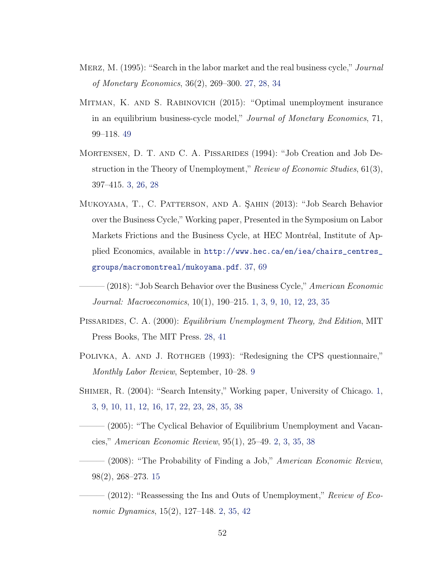- Merz, M. (1995): "Search in the labor market and the real business cycle," *Journal of Monetary Economics*, 36(2), 269–300. [27,](#page-28-0) [28,](#page-29-0) [34](#page-35-0)
- <span id="page-53-6"></span>Mitman, K. and S. Rabinovich (2015): "Optimal unemployment insurance in an equilibrium business-cycle model," *Journal of Monetary Economics*, 71, 99–118. [49](#page-50-0)
- Mortensen, D. T. and C. A. Pissarides (1994): "Job Creation and Job Destruction in the Theory of Unemployment," *Review of Economic Studies*, 61(3), 397–415. [3,](#page-4-0) [26](#page-27-0), [28](#page-29-0)
- <span id="page-53-4"></span>Mukoyama, T., C. Patterson, and A. Şahin (2013): "Job Search Behavior over the Business Cycle," Working paper, Presented in the Symposium on Labor Markets Frictions and the Business Cycle, at HEC Montréal, Institute of Applied Economics, available in [http://www.hec.ca/en/iea/chairs\\_centres\\_](http://www.hec.ca/en/iea/chairs_centres_groups/macromontreal/mukoyama.pdf) [groups/macromontreal/mukoyama.pdf](http://www.hec.ca/en/iea/chairs_centres_groups/macromontreal/mukoyama.pdf). [37](#page-38-2), [69](#page-70-0)
	- ——— (2018): "Job Search Behavior over the Business Cycle," *American Economic Journal: Macroeconomics*, 10(1), 190–215. 1, [3](#page-4-0), [9](#page-10-0), [10](#page-11-0), [12](#page-13-0), [23,](#page-24-0) [35](#page-36-3)
- <span id="page-53-5"></span><span id="page-53-0"></span>Pissarides, C. A. (2000): *Equilibrium Unemployment Theory, 2nd Edition*, MIT Press Books, The MIT Press. [28,](#page-29-0) [41](#page-42-3)
- POLIVKA, A. AND J. ROTHGEB (1993): "Redesigning the CPS questionnaire," *Monthly Labor Review*, September, 10–28. [9](#page-10-0)
- <span id="page-53-1"></span>SHIMER, R. (2004): "Search Intensity," Working paper, University of Chicago. 1, [3,](#page-4-0) [9,](#page-10-0) [10](#page-11-0), [11](#page-12-0), [12](#page-13-0), [16,](#page-17-0) [17,](#page-18-0) [22,](#page-23-0) [23](#page-24-0), [28](#page-29-0), [35](#page-36-3), [38](#page-39-0)
- <span id="page-53-2"></span>——— (2005): "The Cyclical Behavior of Equilibrium Unemployment and Vacancies," *American Economic Review*, 95(1), 25–49. [2,](#page-3-0) [3,](#page-4-0) [35,](#page-36-3) [38](#page-39-0)
- ——— (2008): "The Probability of Finding a Job," *American Economic Review*, 98(2), 268–273. [15](#page-16-0)
- <span id="page-53-3"></span> $-$  (2012): "Reassessing the Ins and Outs of Unemployment," *Review of Economic Dynamics*, 15(2), 127–148. [2](#page-3-0), [35](#page-36-3), [42](#page-43-2)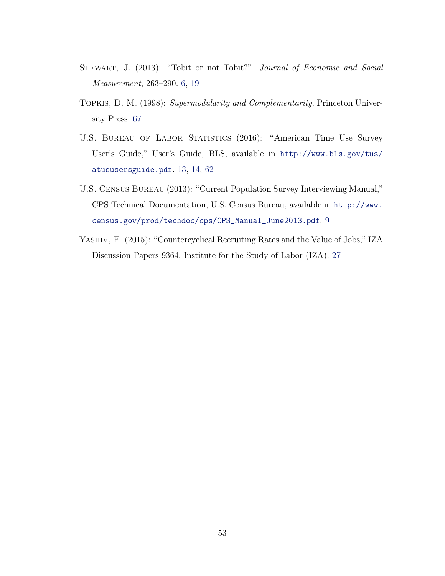- STEWART, J. (2013): "Tobit or not Tobit?" *Journal of Economic and Social Measurement*, 263–290. [6](#page-7-0), [19](#page-20-0)
- <span id="page-54-1"></span>Topkis, D. M. (1998): *Supermodularity and Complementarity*, Princeton University Press. [67](#page-68-0)
- <span id="page-54-0"></span>U.S. BUREAU OF LABOR STATISTICS (2016): "American Time Use Survey User's Guide," User's Guide, BLS, available in [http://www.bls.gov/tus/](http://www.bls.gov/tus/atususersguide.pdf) [atususersguide.pdf](http://www.bls.gov/tus/atususersguide.pdf). [13](#page-14-0), [14](#page-15-0), [62](#page-63-0)
- U.S. Census Bureau (2013): "Current Population Survey Interviewing Manual," CPS Technical Documentation, U.S. Census Bureau, available in [http://www.](http://www.census.gov/prod/techdoc/cps/CPS_Manual_June2013.pdf) [census.gov/prod/techdoc/cps/CPS\\_Manual\\_June2013.pdf](http://www.census.gov/prod/techdoc/cps/CPS_Manual_June2013.pdf). [9](#page-10-0)
- YASHIV, E. (2015): "Countercyclical Recruiting Rates and the Value of Jobs," IZA Discussion Papers 9364, Institute for the Study of Labor (IZA). [27](#page-28-0)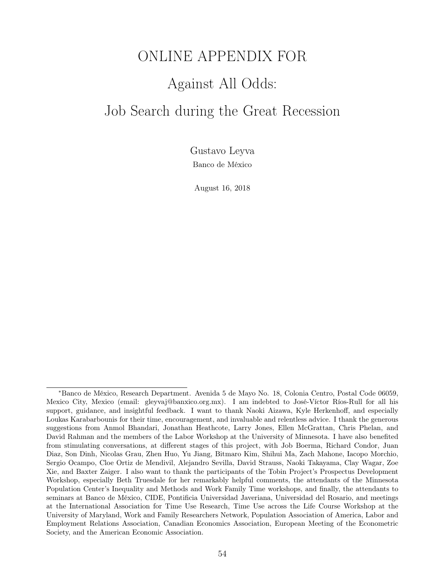# ONLINE APPENDIX FOR Against All Odds: Job Search during the Great Recession

Gustavo Leyva Banco de México

August 16, 2018

*<sup>∗</sup>*Banco de México, Research Department. Avenida 5 de Mayo No. 18, Colonia Centro, Postal Code 06059, Mexico City, Mexico (email: gleyvaj@banxico.org.mx). I am indebted to José-Víctor Ríos-Rull for all his support, guidance, and insightful feedback. I want to thank Naoki Aizawa, Kyle Herkenhoff, and especially Loukas Karabarbounis for their time, encouragement, and invaluable and relentless advice. I thank the generous suggestions from Anmol Bhandari, Jonathan Heathcote, Larry Jones, Ellen McGrattan, Chris Phelan, and David Rahman and the members of the Labor Workshop at the University of Minnesota. I have also benefited from stimulating conversations, at different stages of this project, with Job Boerma, Richard Condor, Juan Diaz, Son Dinh, Nicolas Grau, Zhen Huo, Yu Jiang, Bitmaro Kim, Shihui Ma, Zach Mahone, Iacopo Morchio, Sergio Ocampo, Cloe Ortiz de Mendivil, Alejandro Sevilla, David Strauss, Naoki Takayama, Clay Wagar, Zoe Xie, and Baxter Zaiger. I also want to thank the participants of the Tobin Project's Prospectus Development Workshop, especially Beth Truesdale for her remarkably helpful comments, the attendants of the Minnesota Population Center's Inequality and Methods and Work Family Time workshops, and finally, the attendants to seminars at Banco de México, CIDE, Pontificia Universidad Javeriana, Universidad del Rosario, and meetings at the International Association for Time Use Research, Time Use across the Life Course Workshop at the University of Maryland, Work and Family Researchers Network, Population Association of America, Labor and Employment Relations Association, Canadian Economics Association, European Meeting of the Econometric Society, and the American Economic Association.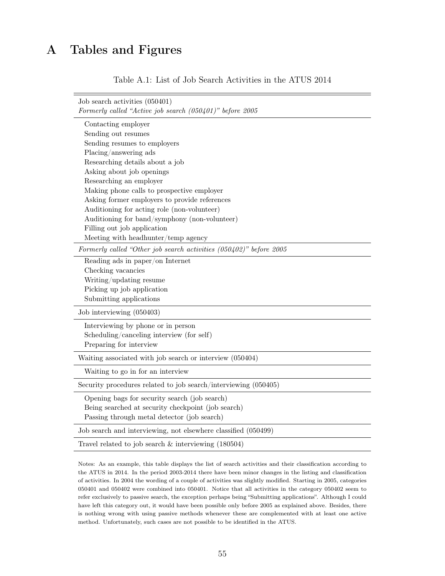# A Tables and Figures

| Table A.1: List of Job Search Activities in the ATUS 2014 |  |
|-----------------------------------------------------------|--|
|-----------------------------------------------------------|--|

| Job search activities (050401)<br>Formerly called "Active job search (050401)" before 2005 |
|--------------------------------------------------------------------------------------------|
|                                                                                            |
| Contacting employer<br>Sending out resumes                                                 |
| Sending resumes to employers                                                               |
| Placing/answering ads                                                                      |
| Researching details about a job                                                            |
| Asking about job openings                                                                  |
| Researching an employer                                                                    |
| Making phone calls to prospective employer                                                 |
| Asking former employers to provide references                                              |
| Auditioning for acting role (non-volunteer)                                                |
| Auditioning for band/symphony (non-volunteer)                                              |
| Filling out job application                                                                |
| Meeting with headhunter/temp agency                                                        |
| Formerly called "Other job search activities (050402)" before 2005                         |
| Reading ads in paper/on Internet                                                           |
| Checking vacancies                                                                         |
| Writing/updating resume                                                                    |
| Picking up job application                                                                 |
| Submitting applications                                                                    |
| Job interviewing (050403)                                                                  |
| Interviewing by phone or in person                                                         |
| Scheduling/canceling interview (for self)                                                  |
| Preparing for interview                                                                    |
| Waiting associated with job search or interview (050404)                                   |
| Waiting to go in for an interview                                                          |
| Security procedures related to job search/interviewing (050405)                            |
| Opening bags for security search (job search)                                              |
| Being searched at security checkpoint (job search)                                         |
| Passing through metal detector (job search)                                                |
| Job search and interviewing, not elsewhere classified (050499)                             |
| Travel related to job search $\&$ interviewing (180504)                                    |

Notes: As an example, this table displays the list of search activities and their classification according to the ATUS in 2014. In the period 2003-2014 there have been minor changes in the listing and classification of activities. In 2004 the wording of a couple of activities was slightly modified. Starting in 2005, categories 050401 and 050402 were combined into 050401. Notice that all activities in the category 050402 seem to refer exclusively to passive search, the exception perhaps being "Submitting applications". Although I could have left this category out, it would have been possible only before 2005 as explained above. Besides, there is nothing wrong with using passive methods whenever these are complemented with at least one active method. Unfortunately, such cases are not possible to be identified in the ATUS.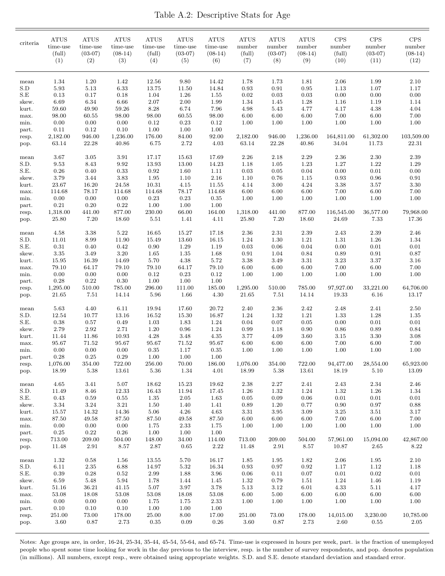|  | Table A.2: Descriptive Stats for Age |  |  |  |
|--|--------------------------------------|--|--|--|
|--|--------------------------------------|--|--|--|

| criteria       | <b>ATUS</b><br>time-use<br>(full)<br>(1) | <b>ATUS</b><br>time-use<br>$(03-07)$<br>(2) | <b>ATUS</b><br>time-use<br>$(08-14)$<br>(3) | <b>ATUS</b><br>time-use<br>(full)<br>(4) | <b>ATUS</b><br>time-use<br>$(03-07)$<br>(5) | ATUS<br>time-use<br>$(08-14)$<br>(6) | <b>ATUS</b><br>number<br>(full)<br>(7) | ATUS<br>number<br>$(03-07)$<br>(8) | <b>ATUS</b><br>number<br>$(08-14)$<br>(9) | <b>CPS</b><br>number<br>(full)<br>(10) | <b>CPS</b><br>number<br>$(03-07)$<br>(11) | CPS<br>number<br>$(08-14)$<br>(12) |
|----------------|------------------------------------------|---------------------------------------------|---------------------------------------------|------------------------------------------|---------------------------------------------|--------------------------------------|----------------------------------------|------------------------------------|-------------------------------------------|----------------------------------------|-------------------------------------------|------------------------------------|
|                |                                          |                                             |                                             |                                          |                                             |                                      |                                        |                                    |                                           |                                        |                                           |                                    |
| mean<br>S.D    | 1.34<br>5.93                             | 1.20<br>5.13                                | 1.42<br>6.33                                | 12.56<br>13.75                           | 9.80<br>11.50                               | 14.42<br>14.84                       | 1.78<br>0.93                           | 1.73<br>0.91                       | 1.81<br>0.95                              | 2.06<br>1.13                           | 1.99<br>1.07                              | 2.10<br>1.17                       |
| S.E            | 0.13                                     | 0.17                                        | $0.18\,$                                    | 1.04                                     | 1.26                                        | 1.55                                 | $0.02\,$                               | 0.03                               | 0.03                                      | 0.00                                   | 0.00                                      | 0.00                               |
| skew.          | 6.69                                     | 6.34                                        | 6.66                                        | 2.07                                     | 2.00                                        | 1.99                                 | 1.34                                   | 1.45                               | 1.28                                      | 1.16                                   | 1.19                                      | 1.14                               |
| kurt.          | 59.60                                    | 49.90                                       | 59.26                                       | 8.28                                     | 6.74                                        | 7.96                                 | 4.98                                   | 5.43                               | 4.77                                      | 4.17                                   | 4.38                                      | 4.04                               |
| max.           | 98.00                                    | 60.55                                       | 98.00                                       | 98.00                                    | 60.55                                       | 98.00                                | 6.00                                   | 6.00                               | 6.00                                      | 7.00                                   | 6.00                                      | 7.00                               |
| min.           | 0.00                                     | 0.00                                        | 0.00                                        | 0.12                                     | 0.23                                        | 0.12                                 | 1.00                                   | 1.00                               | 1.00                                      | 1.00                                   | 1.00                                      | 1.00                               |
| part.          | 0.11                                     | 0.12                                        | 0.10                                        | 1.00                                     | $1.00\,$                                    | 1.00                                 |                                        |                                    |                                           |                                        |                                           |                                    |
| resp.          | 2,182.00                                 | 946.00                                      | 1,236.00                                    | 176.00                                   | 84.00                                       | 92.00                                | 2,182.00                               | 946.00                             | 1,236.00                                  | 164,811.00                             | 61,302.00                                 | 103,509.00                         |
| pop.           | 63.14                                    | 22.28                                       | 40.86                                       | 6.75                                     | 2.72                                        | 4.03                                 | 63.14                                  | 22.28                              | 40.86                                     | 34.04                                  | 11.73                                     | 22.31                              |
| mean           | 3.67                                     | $3.05\,$                                    | $3.91\,$                                    | 17.17                                    | 15.63                                       | 17.69                                | 2.26                                   | 2.18                               | 2.29                                      | $2.36\,$                               | 2.30                                      | 2.39                               |
| S.D.           | 9.53                                     | 8.43                                        | 9.92                                        | 13.93                                    | 13.00                                       | 14.23                                | 1.18                                   | 1.05                               | 1.23                                      | 1.27                                   | 1.22                                      | 1.29                               |
| S.E.           | 0.26                                     | 0.40                                        | $\rm 0.33$                                  | 0.92                                     | 1.60                                        | 1.11                                 | 0.03                                   | 0.05                               | 0.04                                      | 0.00                                   | 0.01                                      | 0.00                               |
| skew.          | 3.79                                     | 3.44                                        | $3.83\,$                                    | 1.95                                     | 1.10                                        | 2.16                                 | 1.10                                   | 0.76                               | $1.15\,$                                  | 0.93                                   | 0.96                                      | $\rm 0.91$                         |
| kurt.          | 23.67                                    | 16.20                                       | 24.58                                       | 10.31                                    | 4.15                                        | 11.55                                | 4.14                                   | 3.00                               | 4.24                                      | 3.38                                   | 3.57                                      | 3.30                               |
| max.           | 114.68                                   | 78.17                                       | 114.68                                      | 114.68                                   | 78.17                                       | 114.68                               | 6.00                                   | 6.00                               | $6.00\,$                                  | $7.00\,$                               | 6.00                                      | $7.00\,$                           |
| min.           | 0.00                                     | 0.00                                        | $0.00\,$                                    | 0.23                                     | 0.23                                        | $\,0.35\,$                           | 1.00                                   | 1.00                               | 1.00                                      | 1.00                                   | 1.00                                      | 1.00                               |
| part.          | 0.21<br>1,318.00                         | 0.20                                        | $0.22\,$                                    | 1.00                                     | 1.00                                        | 1.00                                 |                                        |                                    |                                           |                                        |                                           |                                    |
| resp.<br>pop.  | 25.80                                    | 441.00<br>7.20                              | 877.00<br>18.60                             | 230.00<br>$5.51\,$                       | 66.00<br>1.41                               | 164.00<br>4.11                       | 1,318.00<br>25.80                      | 441.00<br>7.20                     | 877.00<br>18.60                           | 116,545.00<br>24.69                    | 36,577.00<br>7.33                         | 79,968.00<br>17.36                 |
| mean           | 4.58                                     | 3.38                                        | 5.22                                        | 16.65                                    | 15.27                                       | 17.18                                | 2.36                                   | 2.31                               | 2.39                                      | 2.43                                   | 2.39                                      | 2.46                               |
| S.D.           | 11.01                                    | $8.99\,$                                    | 11.90                                       | 15.49                                    | 13.60                                       | 16.15                                | 1.24                                   | 1.30                               | 1.21                                      | 1.31                                   | 1.26                                      | 1.34                               |
| S.E.           | 0.31                                     | 0.40                                        | 0.42                                        | 0.90                                     | $1.29\,$                                    | 1.19                                 | 0.03                                   | 0.06                               | 0.04                                      | 0.00                                   | 0.01                                      | 0.01                               |
| skew.          | $3.35\,$                                 | 3.49                                        | $3.20\,$                                    | 1.65                                     | $1.35\,$                                    | 1.68                                 | 0.91                                   | 1.04                               | 0.84                                      | 0.89                                   | 0.91                                      | 0.87                               |
| kurt.          | 15.95                                    | 16.39                                       | 14.69                                       | 5.70                                     | 4.38                                        | 5.72                                 | 3.38                                   | $3.49\,$                           | $3.31\,$                                  | $3.23\,$                               | 3.37                                      | 3.16                               |
| max.           | 79.10                                    | 64.17                                       | 79.10                                       | 79.10                                    | 64.17                                       | 79.10                                | 6.00                                   | $6.00\,$                           | $6.00\,$                                  | $7.00\,$                               | 6.00                                      | 7.00                               |
| min.           | 0.00                                     | 0.00                                        | $0.00\,$                                    | 0.12                                     | $\rm 0.23$                                  | 0.12                                 | 1.00                                   | 1.00                               | 1.00                                      | 1.00                                   | 1.00                                      | 1.00                               |
| part.          | 0.28                                     | 0.22                                        | $0.30\,$                                    | 1.00                                     | 1.00                                        | 1.00                                 |                                        |                                    |                                           |                                        |                                           |                                    |
| resp.<br>pop.  | 1,295.00<br>21.65                        | 510.00<br>7.51                              | 785.00<br>14.14                             | 296.00<br>5.96                           | 111.00<br>1.66                              | 185.00<br>4.30                       | 1,295.00<br>21.65                      | 510.00<br>7.51                     | 785.00<br>14.14                           | 97,927.00<br>19.33                     | 33,221.00<br>6.16                         | 64,706.00<br>13.17                 |
|                |                                          |                                             |                                             |                                          |                                             |                                      |                                        |                                    |                                           |                                        |                                           |                                    |
| mean           | 5.63                                     | 4.40                                        | $6.11\,$                                    | 19.94                                    | 17.60                                       | 20.72                                | 2.40                                   | 2.36                               | 2.42                                      | 2.48                                   | 2.41                                      | 2.50                               |
| S.D.           | 12.54                                    | 10.77                                       | 13.16                                       | 16.52                                    | 15.30                                       | 16.87                                | 1.24                                   | 1.32                               | 1.21                                      | 1.33                                   | 1.28                                      | 1.35                               |
| S.E.           | 0.38                                     | 0.57                                        | $0.49\,$                                    | 1.03                                     | 1.83                                        | 1.24                                 | 0.04                                   | 0.07                               | 0.05                                      | 0.00                                   | 0.01                                      | $0.01\,$                           |
| skew.          | 2.79<br>11.44                            | 2.92<br>11.86                               | 2.71<br>10.93                               | 1.20<br>4.28                             | $\rm 0.96$<br>3.48                          | 1.24<br>4.35                         | 0.99<br>3.77                           | 1.18<br>4.09                       | 0.90<br>3.60                              | 0.86<br>3.15                           | 0.89<br>3.30                              | 0.84<br>3.08                       |
| kurt.<br>max.  | 95.67                                    | 71.52                                       | 95.67                                       | 95.67                                    | 71.52                                       | 95.67                                | 6.00                                   | 6.00                               | 6.00                                      | 7.00                                   | 6.00                                      | 7.00                               |
| min.           | 0.00                                     | 0.00                                        | 0.00                                        | 0.35                                     | 1.17                                        | 0.35                                 | 1.00                                   | 1.00                               | 1.00                                      | 1.00                                   | 1.00                                      | 1.00                               |
| part.          | $0.28\,$                                 | $0.25\,$                                    | $\rm 0.29$                                  | $1.00\,$                                 | 1.00                                        | $1.00\,$                             |                                        |                                    |                                           |                                        |                                           |                                    |
| resp.          | 1,076.00                                 | 354.00                                      | 722.00                                      | 256.00                                   | 70.00                                       | 186.00                               | 1,076.00                               | 354.00                             | 722.00                                    | 94,477.00                              | 28,554.00                                 | 65,923.00                          |
| pop.           | 18.99                                    | $5.38\,$                                    | 13.61                                       | $5.36\,$                                 | 1.34                                        | 4.01                                 | 18.99                                  | $5.38\,$                           | 13.61                                     | 18.19                                  | 5.10                                      | 13.09                              |
| mean           | 4.65                                     | 3.41                                        | $5.07\,$                                    | 18.62                                    | 15.23                                       | 19.62                                | 2.38                                   | 2.27                               | 2.41                                      | 2.43                                   | 2.34                                      | 2.46                               |
| S.D.           | 11.49                                    | 8.46                                        | 12.33                                       | 16.43                                    | 11.94                                       | 17.45                                | 1.26                                   | 1.32                               | 1.24                                      | 1.32                                   | 1.26                                      | 1.34                               |
| S.E.           | 0.43                                     | $\,0.59\,$                                  | $\rm 0.55$                                  | 1.35                                     | $2.05\,$                                    | 1.63                                 | 0.05                                   | $0.09\,$                           | $0.06\,$                                  | $0.01\,$                               | $0.01\,$                                  | 0.01                               |
| skew.          | $3.34\,$                                 | $3.24\,$                                    | $3.21\,$                                    | 1.50                                     | 1.40                                        | 1.41                                 | 0.89                                   | 1.20                               | $0.77\,$                                  | 0.90                                   | $0.97\,$                                  | 0.88                               |
| kurt.          | 15.57                                    | 14.32                                       | 14.36                                       | 5.06                                     | 4.26                                        | 4.63                                 | 3.31                                   | 3.95                               | 3.09                                      | $3.25\,$                               | 3.51                                      | 3.17                               |
| max.           | 87.50                                    | 49.58                                       | $87.50\,$                                   | 87.50                                    | 49.58                                       | $87.50\,$                            | 6.00                                   | $6.00\,$                           | 6.00                                      | 7.00                                   | 6.00                                      | $7.00\,$                           |
| min.           | 0.00                                     | 0.00                                        | 0.00                                        | 1.75                                     | 2.33                                        | 1.75                                 | 1.00                                   | 1.00                               | 1.00                                      | 1.00                                   | 1.00                                      | 1.00                               |
| part.          | 0.25                                     | 0.22                                        | 0.26                                        | 1.00                                     | 1.00                                        | 1.00                                 |                                        |                                    |                                           |                                        |                                           |                                    |
| resp.          | 713.00                                   | 209.00                                      | 504.00                                      | 148.00                                   | 34.00                                       | 114.00                               | 713.00                                 | 209.00                             | 504.00                                    | 57,961.00                              | 15,094.00                                 | 42,867.00                          |
| pop.           | 11.48                                    | 2.91                                        | 8.57                                        | 2.87                                     | 0.65                                        | $2.22\,$                             | 11.48                                  | 2.91                               | 8.57                                      | 10.87                                  | 2.65                                      | 8.22                               |
| mean           | 1.32                                     | $\rm 0.58$                                  | 1.56                                        | 13.55                                    | 5.70                                        | 16.17                                | 1.85                                   | 1.95                               | 1.82                                      | $2.06\,$                               | $1.95\,$                                  | 2.10                               |
| S.D.           | 6.11                                     | $2.35\,$                                    | 6.88                                        | 14.97                                    | $5.32\,$                                    | 16.34                                | 0.93                                   | $0.97\,$                           | $\rm 0.92$                                | 1.17                                   | $1.12\,$                                  | 1.18                               |
| S.E.           | 0.39                                     | $0.28\,$                                    | $\rm 0.52$                                  | 2.99                                     | 1.88                                        | 3.96                                 | 0.06                                   | 0.11                               | 0.07                                      | 0.01                                   | 0.02                                      | $0.01\,$                           |
| skew.          | 6.59                                     | 5.48                                        | $5.94\,$                                    | 1.78                                     | 1.44                                        | 1.45                                 | 1.32                                   | 0.79                               | 1.51                                      | 1.24                                   | 1.46                                      | 1.19                               |
| kurt.          | 51.16                                    | 36.21                                       | 41.15                                       | $5.07\,$                                 | $3.97\,$                                    | 3.78                                 | 5.13                                   | $3.12\,$                           | $6.01\,$                                  | 4.33                                   | $5.11\,$                                  | 4.17                               |
| max.           | 53.08                                    | 18.08                                       | $53.08\,$                                   | 53.08                                    | 18.08                                       | 53.08                                | 6.00                                   | $5.00\,$                           | 6.00                                      | $6.00\,$                               | 6.00<br>1.00                              | 6.00                               |
| min.           | 0.00<br>0.10                             | 0.00<br>0.10                                | $0.00\,$<br>0.10                            | 1.75<br>1.00                             | 1.75<br>1.00                                | $2.33\,$<br>$1.00\,$                 | 1.00                                   | 1.00                               | 1.00                                      | 1.00                                   |                                           | 1.00                               |
| part.<br>resp. | 251.00                                   | 73.00                                       | 178.00                                      | 25.00                                    | 8.00                                        | 17.00                                | 251.00                                 | 73.00                              | 178.00                                    | 14,015.00                              | 3,230.00                                  | 10,785.00                          |
| pop.           | 3.60                                     | 0.87                                        | 2.73                                        | 0.35                                     | 0.09                                        | 0.26                                 | 3.60                                   | 0.87                               | 2.73                                      | 2.60                                   | 0.55                                      | 2.05                               |

Notes: Age groups are, in order, 16-24, 25-34, 35-44, 45-54, 55-64, and 65-74. Time-use is expressed in hours per week, part. is the fraction of unemployed people who spent some time looking for work in the day previous to the interview, resp. is the number of survey respondents, and pop. denotes population (in millions). All numbers, except resp., were obtained using appropriate weights. S.D. and S.E. denote standard deviation and standard error.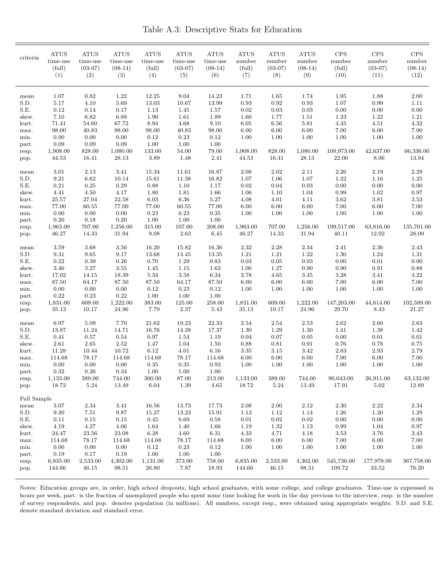Table A.3: Descriptive Stats for Education

| criteria       | <b>ATUS</b><br>time-use<br>(full)<br>(1) | <b>ATUS</b><br>time-use<br>$(03-07)$<br>(2) | <b>ATUS</b><br>time-use<br>$(08-14)$<br>(3) | ATUS<br>time-use<br>(full)<br>(4) | <b>ATUS</b><br>time-use<br>$(03-07)$<br>(5) | <b>ATUS</b><br>time-use<br>$(08-14)$<br>(6) | <b>ATUS</b><br>number<br>(full)<br>(7) | <b>ATUS</b><br>number<br>$(03-07)$<br>(8) | <b>ATUS</b><br>number<br>$(08-14)$<br>(9) | <b>CPS</b><br>number<br>(full)<br>(10) | $\mathrm{CPS}$<br>number<br>$(03-07)$<br>(11) | <b>CPS</b><br>number<br>$(08-14)$<br>(12) |
|----------------|------------------------------------------|---------------------------------------------|---------------------------------------------|-----------------------------------|---------------------------------------------|---------------------------------------------|----------------------------------------|-------------------------------------------|-------------------------------------------|----------------------------------------|-----------------------------------------------|-------------------------------------------|
| mean           | 1.07                                     | 0.82                                        | 1.22                                        | 12.25                             | 9.04                                        | 14.23                                       | 1.71                                   | 1.65                                      | 1.74                                      | 1.95                                   | 1.88                                          | 2.00                                      |
| S.D.           | 5.17                                     | 4.10                                        | 5.69                                        | 13.03                             | 10.67                                       | 13.99                                       | 0.93                                   | 0.92                                      | 0.93                                      | 1.07                                   | 0.99                                          | 1.11                                      |
| S.E.           | 0.12                                     | 0.14                                        | 0.17                                        | 1.13                              | 1.45                                        | 1.57                                        | $0.02\,$                               | 0.03                                      | 0.03                                      | 0.00                                   | $0.00\,$                                      | 0.00                                      |
| skew.          | 7.10                                     | 6.82                                        | 6.88                                        | 1.90                              | 1.61                                        | 1.89                                        | 1.60                                   | 1.77                                      | 1.51                                      | 1.23                                   | 1.22                                          | 1.21                                      |
| kurt.          | 71.41                                    | 54.60                                       | 67.72                                       | 8.94                              | 4.68                                        | 9.10                                        | 6.05                                   | 6.56                                      | 5.81                                      | 4.45                                   | 4.51                                          | 4.32                                      |
| max.           | 98.00                                    | 40.83                                       | 98.00                                       | 98.00                             | 40.83                                       | 98.00                                       | 6.00                                   | 6.00                                      | 6.00                                      | 7.00                                   | 6.00                                          | 7.00                                      |
| min.           | 0.00                                     | 0.00                                        | 0.00                                        | 0.12                              | $\rm 0.23$                                  | 0.12                                        | 1.00                                   | 1.00                                      | 1.00                                      | 1.00                                   | 1.00                                          | 1.00                                      |
| part.          | 0.09                                     | 0.09                                        | 0.09                                        | 1.00                              | 1.00                                        | 1.00                                        |                                        |                                           |                                           |                                        | 42,637.00                                     | 66,336.00                                 |
| resp.          | 1,908.00<br>44.53                        | 828.00<br>16.41                             | 1,080.00<br>28.13                           | 133.00<br>3.89                    | 54.00<br>1.48                               | 79.00<br>2.41                               | 1,908.00<br>44.53                      | 828.00<br>16.41                           | 1,080.00<br>28.13                         | 108,973.00<br>22.00                    | 8.06                                          | 13.94                                     |
| pop.           |                                          |                                             |                                             |                                   |                                             |                                             |                                        |                                           |                                           |                                        |                                               |                                           |
| mean           | 3.01                                     | 2.13                                        | 3.41                                        | 15.34                             | 11.61                                       | 16.87                                       | 2.08                                   | $2.02\,$                                  | 2.11                                      | 2.26                                   | 2.19                                          | 2.29                                      |
| S.D.           | 9.21                                     | 6.62                                        | 10.14                                       | 15.61                             | 11.38                                       | 16.82                                       | 1.07                                   | 1.06                                      | 1.07                                      | 1.22                                   | $1.16\,$                                      | 1.25                                      |
| S.E.           | 0.21                                     | 0.25                                        | 0.29                                        | 0.88                              | 1.10                                        | 1.17                                        | 0.02                                   | 0.04                                      | 0.03                                      | 0.00                                   | 0.00                                          | 0.00                                      |
| skew.          | 4.41                                     | 4.50                                        | 4.17                                        | 1.80                              | 1.81                                        | 1.66                                        | 1.06                                   | 1.10                                      | 1.04                                      | 0.99                                   | 1.02                                          | 0.97                                      |
| kurt.          | 25.57                                    | 27.04                                       | 22.58                                       | 6.03                              | 6.36                                        | 5.27                                        | 4.08                                   | 4.01                                      | 4.11                                      | 3.62                                   | 3.81                                          | 3.53                                      |
| max.           | 77.00                                    | 60.55                                       | 77.00                                       | 77.00                             | 60.55                                       | 77.00                                       | 6.00                                   | 6.00                                      | 6.00                                      | 7.00                                   | 6.00                                          | 7.00                                      |
| min.           | 0.00<br>$0.20\,$                         | 0.00<br>0.18                                | 0.00<br>0.20                                | 0.23<br>1.00                      | 0.23<br>1.00                                | 0.35<br>1.00                                | 1.00                                   | 1.00                                      | 1.00                                      | 1.00                                   | 1.00                                          | 1.00                                      |
| part.<br>resp. | 1,963.00                                 | 707.00                                      | 1,256.00                                    | 315.00                            | 107.00                                      | 208.00                                      | 1,963.00                               | 707.00                                    | 1,256.00                                  | 199,517.00                             | 63,816.00                                     | 135,701.00                                |
| pop.           | 46.27                                    | 14.33                                       | 31.94                                       | 9.08                              | 2.63                                        | 6.45                                        | 46.27                                  | 14.33                                     | 31.94                                     | 40.11                                  | 12.02                                         | 28.09                                     |
| mean           | 3.59                                     | 3.68                                        | 3.56                                        | 16.20                             | 15.82                                       | 16.36                                       | 2.32                                   | 2.28                                      | 2.34                                      | 2.41                                   | 2.36                                          | 2.43                                      |
| S.D.           | 9.31                                     | 9.65                                        | 9.17                                        | 13.68                             | 14.45                                       | 13.35                                       | 1.21                                   | 1.21                                      | 1.22                                      | 1.30                                   | 1.24                                          | 1.31                                      |
| S.E.           | 0.22                                     | 0.39                                        | 0.26                                        | 0.70                              | $1.29\,$                                    | 0.83                                        | 0.03                                   | $\rm 0.05$                                | 0.03                                      | 0.00                                   | $0.01\,$                                      | 0.00                                      |
| skew.          | 3.46                                     | $3.27\,$                                    | 3.55                                        | 1.45                              | 1.15                                        | 1.62                                        | 1.00                                   | 1.27                                      | 0.90                                      | 0.90                                   | $\rm 0.91$                                    | 0.88                                      |
| kurt.          | 17.02                                    | 14.15                                       | 18.39                                       | 5.34                              | 3.58                                        | 6.34                                        | 3.78                                   | 4.65                                      | 3.45                                      | 3.28                                   | 3.41                                          | 3.22                                      |
| max.           | 87.50                                    | 64.17                                       | 87.50                                       | 87.50                             | 64.17                                       | 87.50                                       | 6.00                                   | 6.00                                      | 6.00                                      | 7.00                                   | 6.00                                          | 7.00                                      |
| min.           | 0.00                                     | 0.00                                        | 0.00                                        | 0.12                              | $\rm 0.23$                                  | 0.12                                        | 1.00                                   | 1.00                                      | 1.00                                      | 1.00                                   | 1.00                                          | 1.00                                      |
| part.          | 0.22                                     | 0.23                                        | 0.22                                        | 1.00                              | 1.00                                        | 1.00                                        |                                        |                                           |                                           |                                        |                                               |                                           |
| resp.<br>pop.  | 1,831.00<br>35.13                        | 609.00<br>10.17                             | 1,222.00<br>24.96                           | 383.00<br>7.79                    | 125.00<br>2.37                              | 258.00<br>5.43                              | 1,831.00<br>35.13                      | 609.00<br>10.17                           | 1,222.00<br>24.96                         | 147,203.00<br>29.70                    | 44,614.00<br>8.43                             | 102,589.00<br>21.27                       |
|                |                                          |                                             |                                             |                                   |                                             |                                             |                                        |                                           |                                           |                                        |                                               |                                           |
| mean           | 6.97                                     | 5.09                                        | 7.70                                        | 21.62                             | 19.23                                       | 22.33                                       | 2.54                                   | 2.54                                      | 2.53                                      | 2.62                                   | 2.60                                          | 2.63                                      |
| S.D.<br>S.E.   | 13.87<br>0.41                            | 11.24<br>0.57                               | 14.71<br>0.54                               | 16.76<br>0.97                     | 14.38<br>1.54                               | 17.37<br>1.19                               | 1.30<br>0.04                           | 1.29<br>0.07                              | 1.30<br>0.05                              | 1.41<br>0.00                           | 1.38<br>$0.01\,$                              | 1.42<br>0.01                              |
| skew.          | 2.61                                     | 2.65                                        | 2.52                                        | 1.47                              | 1.04                                        | 1.50                                        | 0.88                                   | 0.81                                      | 0.91                                      | 0.76                                   | 0.78                                          | 0.75                                      |
| kurt.          | 11.28                                    | 10.44                                       | 10.72                                       | 6.12                              | 4.01                                        | 6.16                                        | 3.35                                   | 3.15                                      | 3.42                                      | 2.83                                   | $2.93\,$                                      | 2.79                                      |
| max.           | 114.68                                   | 78.17                                       | 114.68                                      | 114.68                            | 78.17                                       | 114.68                                      | 6.00                                   | 6.00                                      | 6.00                                      | 7.00                                   | 6.00                                          | 7.00                                      |
| min.           | 0.00                                     | 0.00                                        | 0.00                                        | 0.35                              | 0.35                                        | 0.93                                        | 1.00                                   | 1.00                                      | 1.00                                      | 1.00                                   | 1.00                                          | 1.00                                      |
| part.          | 0.32                                     | $0.26\,$                                    | 0.34                                        | 1.00                              | $1.00\,$                                    | 1.00                                        |                                        |                                           |                                           |                                        |                                               |                                           |
| resp.          | 1,133.00                                 | 389.00                                      | 744.00                                      | 300.00                            | 87.00                                       | 213.00                                      | 1,133.00                               | 389.00                                    | 744.00                                    | 90,043.00                              | 26,911.00                                     | 63,132.00                                 |
| pop.           | 18.72                                    | 5.24                                        | 13.49                                       | 6.04                              | 1.39                                        | 4.65                                        | 18.72                                  | $5.24\,$                                  | 13.49                                     | 17.91                                  | 5.02                                          | 12.89                                     |
| Full Sample    |                                          |                                             |                                             |                                   |                                             |                                             |                                        |                                           |                                           |                                        |                                               |                                           |
| mean           | $3.07\,$                                 | 2.34                                        | 3.41                                        | 16.56                             | 13.73                                       | 17.73                                       | 2.08                                   | 2.00                                      | 2.12                                      | 2.30                                   | $2.22\,$                                      | $2.34\,$                                  |
| S.D.           | 9.20                                     | 7.51                                        | 9.87                                        | 15.27                             | 13.23                                       | 15.91                                       | 1.13                                   | 1.12                                      | 1.14                                      | 1.26                                   | 1.20                                          | 1.29                                      |
| S.E.           | 0.11                                     | $0.15\,$                                    | $0.15\,$                                    | $0.45\,$                          | $\,0.69\,$                                  | 0.58                                        | $0.01\,$                               | $0.02\,$                                  | 0.02                                      | 0.00                                   | $0.00\,$                                      | $0.00\,$                                  |
| skew.          | 4.19                                     | 4.27                                        | 4.06                                        | 1.64                              | 1.40                                        | 1.66                                        | 1.19                                   | 1.32                                      | 1.13                                      | 0.99                                   | 1.04                                          | 0.97                                      |
| kurt.          | 24.47                                    | 23.56                                       | 23.08                                       | 6.28                              | 4.60                                        | 6.31                                        | 4.33                                   | 4.71                                      | 4.18                                      | 3.53                                   | 3.76                                          | 3.43                                      |
| max.           | 114.68                                   | 78.17                                       | 114.68                                      | 114.68                            | 78.17                                       | 114.68                                      | 6.00                                   | 6.00                                      | 6.00                                      | 7.00                                   | 6.00                                          | $7.00\,$                                  |
| min.           | 0.00                                     | 0.00                                        | 0.00                                        | 0.12                              | 0.23                                        | 0.12                                        | 1.00                                   | 1.00                                      | 1.00                                      | 1.00                                   | 1.00                                          | 1.00                                      |
| part.          | 0.19                                     | 0.17                                        | 0.19                                        | 1.00                              | 1.00                                        | 1.00                                        |                                        |                                           |                                           | 545,736.00                             |                                               |                                           |
| resp.<br>pop.  | 6,835.00<br>144.66                       | 2,533.00<br>46.15                           | 4,302.00<br>98.51                           | 1,131.00<br>26.80                 | 373.00<br>7.87                              | 758.00<br>18.93                             | 6,835.00<br>144.66                     | 2,533.00<br>46.15                         | 4,302.00<br>98.51                         | 109.72                                 | 177,978.00<br>33.52                           | 367,758.00<br>76.20                       |

Notes: Education groups are, in order, high school dropouts, high school graduates, with some college, and college graduates. Time-use is expressed in hours per week, part. is the fraction of unemployed people who spent some time looking for work in the day previous to the interview, resp. is the number of survey respondents, and pop. denotes population (in millions). All numbers, except resp., were obtained using appropriate weights. S.D. and S.E. denote standard deviation and standard error.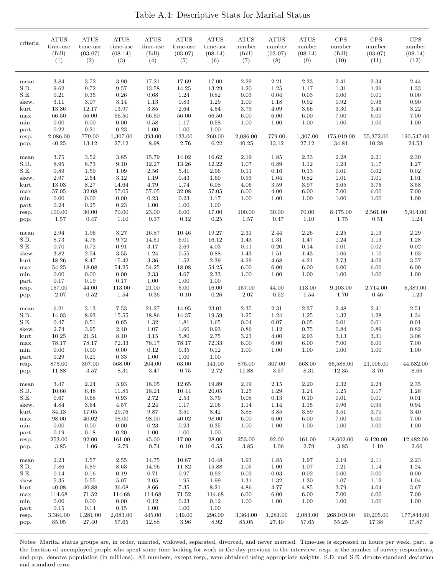| criteria       | <b>ATUS</b><br>time-use<br>(full)<br>(1) | <b>ATUS</b><br>time-use<br>$(03-07)$<br>(2) | <b>ATUS</b><br>time-use<br>$(08-14)$<br>(3) | <b>ATUS</b><br>time-use<br>(full)<br>(4) | <b>ATUS</b><br>time-use<br>$(03-07)$<br>(5) | <b>ATUS</b><br>time-use<br>$(08-14)$<br>(6) | <b>ATUS</b><br>number<br>(full)<br>(7) | <b>ATUS</b><br>number<br>$(03-07)$<br>(8) | <b>ATUS</b><br>number<br>$(08-14)$<br>(9) | <b>CPS</b><br>number<br>(full)<br>(10) | $\mathrm{CPS}$<br>number<br>$(03-07)$<br>(11) | <b>CPS</b><br>number<br>$(08-14)$<br>(12) |
|----------------|------------------------------------------|---------------------------------------------|---------------------------------------------|------------------------------------------|---------------------------------------------|---------------------------------------------|----------------------------------------|-------------------------------------------|-------------------------------------------|----------------------------------------|-----------------------------------------------|-------------------------------------------|
| mean           | 3.84                                     | 3.72                                        | 3.90                                        | 17.21                                    | 17.69                                       | 17.00                                       | 2.29                                   | 2.21                                      | 2.33                                      | 2.41                                   | 2.34                                          | 2.44                                      |
| S.D.           | 9.62                                     | 9.72                                        | 9.57                                        | 13.58                                    | 14.25                                       | 13.29                                       | 1.20                                   | 1.25                                      | 1.17                                      | 1.31                                   | 1.26                                          | 1.33                                      |
| S.E.           | 0.21                                     | $\rm 0.35$                                  | 0.26                                        | 0.68                                     | 1.24                                        | 0.82                                        | 0.03                                   | 0.04                                      | 0.03                                      | 0.00                                   | 0.01                                          | 0.00                                      |
| skew.          | 3.11                                     | 3.07                                        | 3.14                                        | 1.13                                     | 0.83                                        | 1.29                                        | 1.00                                   | 1.18                                      | 0.92                                      | 0.92                                   | 0.96                                          | 0.90                                      |
| kurt.          | 13.36                                    | 12.17                                       | 13.97                                       | 3.85                                     | 2.64                                        | 4.54                                        | 3.79                                   | 4.09                                      | 3.66                                      | 3.30                                   | 3.49                                          | 3.22                                      |
| max.<br>min.   | 66.50<br>0.00                            | 56.00<br>0.00                               | 66.50<br>0.00                               | 66.50<br>0.58                            | 56.00<br>1.17                               | 66.50<br>0.58                               | 6.00<br>1.00                           | 6.00<br>1.00                              | 6.00<br>1.00                              | 7.00<br>1.00                           | 6.00<br>1.00                                  | 7.00<br>1.00                              |
| part.          | 0.22                                     | 0.21                                        | 0.23                                        | 1.00                                     | 1.00                                        | 1.00                                        |                                        |                                           |                                           |                                        |                                               |                                           |
| resp.          | 2,086.00                                 | 779.00                                      | 1,307.00                                    | 393.00                                   | 133.00                                      | 260.00                                      | 2,086.00                               | 779.00                                    | 1,307.00                                  | 175,919.00                             | 55,372.00                                     | 120,547.00                                |
| pop.           | 40.25                                    | 13.12                                       | 27.12                                       | 8.98                                     | 2.76                                        | 6.22                                        | 40.25                                  | 13.12                                     | 27.12                                     | 34.81                                  | 10.28                                         | 24.53                                     |
| mean           | 3.75                                     | 3.52                                        | $3.85\,$                                    | 15.79                                    | 14.02                                       | 16.62                                       | 2.19                                   | 1.85                                      | 2.33                                      | 2.28                                   | 2.21                                          | 2.30                                      |
| S.D.           | 8.95                                     | 8.73                                        | 9.10                                        | 12.27                                    | 13.26                                       | 12.22                                       | 1.07                                   | 0.89                                      | 1.12                                      | 1.24                                   | 1.17                                          | 1.27                                      |
| S.E.           | 0.89                                     | 1.59                                        | 1.09                                        | 2.56                                     | 5.41                                        | 2.96                                        | 0.11                                   | 0.16                                      | 0.13                                      | 0.01                                   | 0.02                                          | 0.02                                      |
| skew.          | 2.97<br>13.03                            | 2.54<br>8.27                                | 3.12<br>14.64                               | 1.19<br>4.79                             | 0.43<br>1.74                                | 1.60<br>6.08                                | 0.93<br>4.06                           | 1.04<br>3.59                              | 0.82<br>3.97                              | 1.01<br>3.65                           | 1.01<br>3.75                                  | 1.01<br>3.58                              |
| kurt.<br>max.  | 57.05                                    | 32.08                                       | 57.05                                       | 57.05                                    | 32.08                                       | 57.05                                       | 6.00                                   | 4.00                                      | 6.00                                      | 7.00                                   | 6.00                                          | 7.00                                      |
| min.           | 0.00                                     | 0.00                                        | 0.00                                        | 0.23                                     | 0.23                                        | 1.17                                        | 1.00                                   | 1.00                                      | 1.00                                      | 1.00                                   | 1.00                                          | 1.00                                      |
| part.          | 0.24                                     | 0.25                                        | 0.23                                        | 1.00                                     | 1.00                                        | 1.00                                        |                                        |                                           |                                           |                                        |                                               |                                           |
| resp.          | 100.00                                   | 30.00                                       | 70.00                                       | 23.00                                    | 6.00                                        | 17.00                                       | 100.00                                 | 30.00                                     | 70.00                                     | 8,475.00                               | 2,561.00                                      | 5,914.00                                  |
| pop.           | 1.57                                     | 0.47                                        | 1.10                                        | 0.37                                     | 0.12                                        | 0.25                                        | 1.57                                   | 0.47                                      | 1.10                                      | 1.75                                   | 0.51                                          | 1.24                                      |
| mean           | 2.94                                     | 1.96                                        | $3.27\,$                                    | 16.87                                    | 10.46                                       | 19.27                                       | 2.31                                   | 2.44                                      | 2.26                                      | 2.25                                   | 2.13                                          | 2.29                                      |
| S.D.           | 8.73                                     | 4.75                                        | 9.72                                        | 14.51                                    | 6.01                                        | 16.12                                       | 1.43                                   | 1.31                                      | 1.47                                      | 1.24                                   | 1.13                                          | 1.28                                      |
| S.E.           | 0.70                                     | 0.72                                        | 0.91                                        | 3.17                                     | 2.69                                        | 4.03                                        | 0.11                                   | $0.20\,$                                  | 0.14                                      | 0.01                                   | 0.02                                          | $0.02\,$                                  |
| skew.          | 3.82<br>18.26                            | 2.54<br>8.47                                | 3.55<br>15.42                               | 1.24<br>3.36                             | 0.55<br>1.52                                | 0.88<br>2.39                                | 1.43<br>4.29                           | 1.51<br>4.68                              | 1.43<br>4.21                              | 1.06<br>3.73                           | 1.10<br>4.09                                  | 1.03<br>3.57                              |
| kurt.<br>max.  | 54.25                                    | 18.08                                       | 54.25                                       | 54.25                                    | 18.08                                       | 54.25                                       | 6.00                                   | 6.00                                      | 6.00                                      | 6.00                                   | 6.00                                          | 6.00                                      |
| min.           | 0.00                                     | 0.00                                        | $0.00\,$                                    | $2.33\,$                                 | 4.67                                        | 2.33                                        | 1.00                                   | 1.00                                      | 1.00                                      | 1.00                                   | 1.00                                          | 1.00                                      |
| part.          | 0.17                                     | 0.19                                        | 0.17                                        | 1.00                                     | 1.00                                        | 1.00                                        |                                        |                                           |                                           |                                        |                                               |                                           |
| resp.          | 157.00                                   | 44.00                                       | 113.00                                      | 21.00                                    | 5.00                                        | 16.00                                       | 157.00                                 | 44.00                                     | 113.00                                    | 9,103.00                               | 2,714.00                                      | 6,389.00                                  |
| pop.           | 2.07                                     | 0.52                                        | 1.54                                        | 0.36                                     | 0.10                                        | 0.26                                        | 2.07                                   | 0.52                                      | 1.54                                      | 1.70                                   | 0.46                                          | 1.23                                      |
| mean           | 6.21                                     | 3.13                                        | 7.53                                        | 21.27                                    | 14.95                                       | 23.01                                       | 2.35                                   | 2.31                                      | 2.37                                      | 2.48                                   | 2.41                                          | 2.51                                      |
| S.D.           | 14.03                                    | $8.93\,$                                    | 15.55                                       | 18.86                                    | 14.37                                       | 19.59                                       | 1.25                                   | 1.24                                      | 1.25                                      | 1.32                                   | 1.28                                          | 1.34                                      |
| S.E.           | 0.47                                     | 0.51                                        | 0.65                                        | 1.32                                     | 1.81                                        | 1.65                                        | 0.04                                   | 0.07                                      | 0.05                                      | 0.01                                   | 0.01                                          | $0.01\,$                                  |
| skew.          | 2.74                                     | 3.95                                        | 2.40                                        | 1.07                                     | 1.60                                        | 0.93                                        | 0.86                                   | 1.12                                      | 0.75                                      | 0.84                                   | 0.89                                          | 0.82                                      |
| kurt.<br>max.  | 10.25<br>78.17                           | 21.51<br>78.17                              | 8.10<br>72.33                               | 3.15<br>78.17                            | $5.80\,$<br>78.17                           | 2.75<br>72.33                               | 3.23<br>6.00                           | 4.00<br>6.00                              | 2.93<br>6.00                              | 3.13<br>7.00                           | 3.31<br>6.00                                  | 3.06<br>7.00                              |
| min.           | 0.00                                     | 0.00                                        | 0.00                                        | 0.12                                     | 0.35                                        | 0.12                                        | 1.00                                   | 1.00                                      | 1.00                                      | 1.00                                   | 1.00                                          | 1.00                                      |
| part.          | $0.29\,$                                 | $\rm 0.21$                                  | 0.33                                        | $1.00\,$                                 | 1.00                                        | 1.00                                        |                                        |                                           |                                           |                                        |                                               |                                           |
| resp.          | 875.00                                   | 307.00                                      | 568.00                                      | 204.00                                   | 63.00                                       | 141.00                                      | 875.00                                 | 307.00                                    | 568.00                                    | 65,588.00                              | 21,006.00                                     | 44,582.00                                 |
| pop.           | 11.88                                    | 3.57                                        | $8.31\,$                                    | 3.47                                     | 0.75                                        | $2.72\,$                                    | 11.88                                  | $3.57\,$                                  | 8.31                                      | 12.35                                  | $3.70\,$                                      | 8.66                                      |
| mean           | 3.47                                     | 2.24                                        | 3.93                                        | 18.05                                    | 12.65                                       | 19.89                                       | 2.19                                   | $2.15\,$                                  | $2.20\,$                                  | $2.32\,$                               | 2.24                                          | $2.35\,$                                  |
| S.D.           | 10.66                                    | 6.48                                        | 11.85                                       | 18.24                                    | 10.44                                       | 20.05                                       | 1.25                                   | 1.29                                      | 1.24                                      | 1.25                                   | 1.17                                          | 1.28                                      |
| S.E.           | 0.67                                     | 0.68                                        | 0.93                                        | 2.72                                     | 2.53                                        | 3.79                                        | $0.08\,$                               | $0.13\,$                                  | $0.10\,$                                  | $0.01\,$                               | 0.01                                          | $0.01\,$                                  |
| skew.<br>kurt. | 4.84<br>34.13                            | $3.64\,$<br>$17.05\,$                       | 4.57<br>29.76                               | $2.24\,$<br>9.87                         | 1.17<br>3.51                                | 2.06<br>8.42                                | 1.14<br>3.88                           | 1.14<br>3.85                              | $1.15\,$<br>3.89                          | $\rm 0.96$<br>3.51                     | 0.99<br>3.70                                  | $\rm 0.94$<br>3.40                        |
| max.           | 98.00                                    | $40.02\,$                                   | 98.00                                       | 98.00                                    | 40.02                                       | 98.00                                       | 6.00                                   | 6.00                                      | 6.00                                      | $7.00\,$                               | 6.00                                          | $7.00\,$                                  |
| min.           | 0.00                                     | 0.00                                        | 0.00                                        | 0.23                                     | 0.23                                        | 0.35                                        | 1.00                                   | 1.00                                      | 1.00                                      | 1.00                                   | 1.00                                          | 1.00                                      |
| part.          | 0.19                                     | 0.18                                        | 0.20                                        | 1.00                                     | 1.00                                        | 1.00                                        |                                        |                                           |                                           |                                        |                                               |                                           |
| resp.          | 253.00                                   | 92.00                                       | 161.00                                      | 45.00                                    | 17.00                                       | 28.00                                       | 253.00                                 | 92.00                                     | 161.00                                    | 18,602.00                              | 6,120.00                                      | 12,482.00                                 |
| pop.           | 3.85                                     | 1.06                                        | 2.79                                        | 0.74                                     | 0.19                                        | 0.55                                        | 3.85                                   | 1.06                                      | 2.79                                      | 3.85                                   | 1.19                                          | 2.66                                      |
| mean           | 2.23                                     | 1.57                                        | 2.55                                        | 14.75                                    | 10.87                                       | 16.48                                       | 1.93                                   | 1.85                                      | 1.97                                      | 2.19                                   | $2.11\,$                                      | 2.23                                      |
| S.D.<br>S.E.   | 7.86<br>0.14                             | $5.89\,$<br>$0.16\,$                        | $8.63\,$<br>0.19                            | 14.96<br>$0.71\,$                        | 11.82<br>$0.97\,$                           | 15.88<br>0.92                               | 1.05<br>$0.02\,$                       | 1.00<br>0.03                              | 1.07<br>$0.02\,$                          | $1.21\,$<br>0.00                       | 1.14<br>$0.00\,$                              | 1.24<br>$0.00\,$                          |
| skew.          | 5.35                                     | 5.55                                        | 5.07                                        | 2.05                                     | 1.95                                        | 1.99                                        | 1.31                                   | 1.32                                      | 1.30                                      | 1.07                                   | 1.12                                          | 1.04                                      |
| kurt.          | 40.08                                    | 40.88                                       | 36.08                                       | 8.66                                     | $7.35\,$                                    | $8.21\,$                                    | 4.86                                   | 4.77                                      | 4.85                                      | $3.79\,$                               | 4.04                                          | $3.67\,$                                  |
| max.           | 114.68                                   | 71.52                                       | 114.68                                      | 114.68                                   | 71.52                                       | 114.68                                      | 6.00                                   | $6.00\,$                                  | $6.00\,$                                  | $7.00\,$                               | $6.00\,$                                      | $7.00\,$                                  |
| min.           | $0.00\,$                                 | $0.00\,$                                    | 0.00                                        | $0.12\,$                                 | $0.23\,$                                    | $\rm 0.12$                                  | 1.00                                   | 1.00                                      | 1.00                                      | 1.00                                   | 1.00                                          | 1.00                                      |
| part.          | $0.15\,$                                 | 0.14                                        | 0.15                                        | 1.00                                     | 1.00                                        | 1.00                                        |                                        |                                           |                                           |                                        |                                               |                                           |
| resp.          | 3,364.00                                 | 1,281.00                                    | 2,083.00                                    | 445.00                                   | 149.00                                      | 296.00                                      | 3,364.00                               | 1,281.00                                  | 2,083.00                                  | 268,049.00                             | 90,205.00                                     | 177,844.00                                |
| pop.           | 85.05                                    | 27.40                                       | 57.65                                       | 12.88                                    | 3.96                                        | 8.92                                        | 85.05                                  | 27.40                                     | 57.65                                     | 55.25                                  | 17.38                                         | 37.87                                     |

Notes: Marital status groups are, in order, married, widowed, separated, divorced, and never married. Time-use is expressed in hours per week, part. is the fraction of unemployed people who spent some time looking for work in the day previous to the interview, resp. is the number of survey respondents, and pop. denotes population (in millions). All numbers, except resp., were obtained using appropriate weights. S.D. and S.E. denote standard deviation and standard error.

Table A.4: Descriptive Stats for Marital Status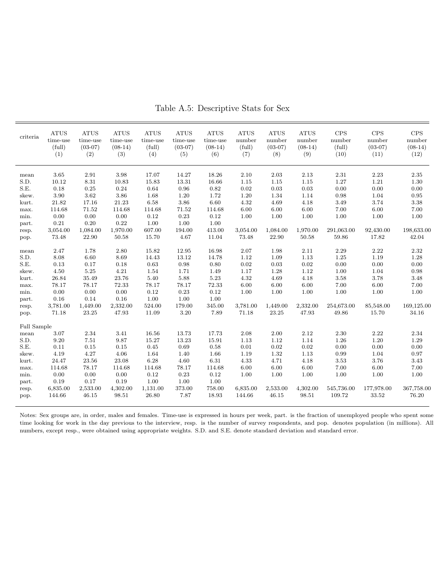| criteria    | <b>ATUS</b><br>$time$ -use<br>(full)<br>(1) | <b>ATUS</b><br>time-use<br>$(03-07)$<br>(2) | <b>ATUS</b><br>time-use<br>$(08-14)$<br>(3) | <b>ATUS</b><br>time-use<br>(full)<br>(4) | <b>ATUS</b><br>time-use<br>$(03-07)$<br>(5) | <b>ATUS</b><br>time-use<br>$(08-14)$<br>(6) | <b>ATUS</b><br>number<br>(full)<br>(7) | <b>ATUS</b><br>number<br>$(03-07)$<br>(8) | <b>ATUS</b><br>number<br>$(08-14)$<br>(9) | CPS<br>number<br>(full)<br>(10) | CPS<br>number<br>$(03-07)$<br>(11) | CPS<br>number<br>$(08-14)$<br>(12) |
|-------------|---------------------------------------------|---------------------------------------------|---------------------------------------------|------------------------------------------|---------------------------------------------|---------------------------------------------|----------------------------------------|-------------------------------------------|-------------------------------------------|---------------------------------|------------------------------------|------------------------------------|
| mean        | 3.65                                        | 2.91                                        | 3.98                                        | 17.07                                    | 14.27                                       | 18.26                                       | 2.10                                   | 2.03                                      | 2.13                                      | 2.31                            | 2.23                               | $2.35\,$                           |
| S.D.        | 10.12                                       | 8.31                                        | 10.83                                       | 15.83                                    | 13.31                                       | 16.66                                       | 1.15                                   | 1.15                                      | 1.15                                      | 1.27                            | $1.21\,$                           | 1.30                               |
| S.E.        | 0.18                                        | 0.25                                        | 0.24                                        | 0.64                                     | 0.96                                        | 0.82                                        | 0.02                                   | 0.03                                      | 0.03                                      | 0.00                            | 0.00                               | 0.00                               |
| skew.       | 3.90                                        | 3.62                                        | 3.86                                        | 1.68                                     | 1.20                                        | 1.72                                        | 1.20                                   | 1.34                                      | 1.14                                      | 0.98                            | 1.04                               | 0.95                               |
| kurt.       | 21.82                                       | 17.16                                       | 21.23                                       | 6.58                                     | $3.86\,$                                    | 6.60                                        | 4.32                                   | 4.69                                      | 4.18                                      | 3.49                            | 3.74                               | 3.38                               |
| max.        | 114.68                                      | 71.52                                       | 114.68                                      | 114.68                                   | 71.52                                       | 114.68                                      | 6.00                                   | $6.00\,$                                  | 6.00                                      | 7.00                            | $6.00\,$                           | 7.00                               |
| min.        | 0.00                                        | 0.00                                        | 0.00                                        | 0.12                                     | 0.23                                        | 0.12                                        | 1.00                                   | 1.00                                      | 1.00                                      | 1.00                            | 1.00                               | 1.00                               |
| part.       | 0.21                                        | 0.20                                        | 0.22                                        | 1.00                                     | 1.00                                        | 1.00                                        |                                        |                                           |                                           |                                 |                                    |                                    |
| resp.       | 3,054.00                                    | 1,084.00                                    | 1,970.00                                    | 607.00                                   | 194.00                                      | 413.00                                      | 3,054.00                               | 1,084.00                                  | 1,970.00                                  | 291,063.00                      | 92,430.00                          | 198,633.00                         |
| pop.        | 73.48                                       | 22.90                                       | 50.58                                       | 15.70                                    | 4.67                                        | 11.04                                       | 73.48                                  | 22.90                                     | 50.58                                     | 59.86                           | 17.82                              | 42.04                              |
| mean        | 2.47                                        | 1.78                                        | 2.80                                        | 15.82                                    | 12.95                                       | 16.98                                       | 2.07                                   | 1.98                                      | 2.11                                      | 2.29                            | 2.22                               | 2.32                               |
| S.D.        | 8.08                                        | 6.60                                        | 8.69                                        | 14.43                                    | 13.12                                       | 14.78                                       | 1.12                                   | 1.09                                      | 1.13                                      | 1.25                            | 1.19                               | 1.28                               |
| S.E.        | 0.13                                        | 0.17                                        | 0.18                                        | 0.63                                     | 0.98                                        | 0.80                                        | 0.02                                   | $\rm 0.03$                                | 0.02                                      | 0.00                            | $0.00\,$                           | 0.00                               |
| skew.       | 4.50                                        | 5.25                                        | 4.21                                        | 1.54                                     | 1.71                                        | 1.49                                        | 1.17                                   | 1.28                                      | 1.12                                      | 1.00                            | 1.04                               | 0.98                               |
| kurt.       | 26.84                                       | 35.49                                       | 23.76                                       | 5.40                                     | 5.88                                        | 5.23                                        | 4.32                                   | 4.69                                      | 4.18                                      | 3.58                            | 3.78                               | 3.48                               |
| max.        | 78.17                                       | 78.17                                       | 72.33                                       | 78.17                                    | 78.17                                       | 72.33                                       | 6.00                                   | 6.00                                      | 6.00                                      | 7.00                            | 6.00                               | 7.00                               |
| min.        | 0.00                                        | 0.00                                        | $0.00\,$                                    | 0.12                                     | 0.23                                        | 0.12                                        | 1.00                                   | 1.00                                      | 1.00                                      | 1.00                            | 1.00                               | 1.00                               |
| part.       | 0.16                                        | 0.14                                        | 0.16                                        | 1.00                                     | 1.00                                        | 1.00                                        |                                        |                                           |                                           |                                 |                                    |                                    |
| resp.       | 3,781.00                                    | 1,449.00                                    | 2,332.00                                    | 524.00                                   | 179.00                                      | 345.00                                      | 3,781.00                               | 1,449.00                                  | 2,332.00                                  | 254,673.00                      | 85,548.00                          | 169,125.00                         |
| pop.        | 71.18                                       | 23.25                                       | 47.93                                       | 11.09                                    | 3.20                                        | 7.89                                        | 71.18                                  | 23.25                                     | 47.93                                     | 49.86                           | $15.70\,$                          | 34.16                              |
| Full Sample |                                             |                                             |                                             |                                          |                                             |                                             |                                        |                                           |                                           |                                 |                                    |                                    |
| mean        | 3.07                                        | 2.34                                        | 3.41                                        | 16.56                                    | 13.73                                       | 17.73                                       | 2.08                                   | $2.00\,$                                  | 2.12                                      | 2.30                            | 2.22                               | 2.34                               |
| S.D.        | 9.20                                        | 7.51                                        | 9.87                                        | 15.27                                    | 13.23                                       | 15.91                                       | 1.13                                   | 1.12                                      | 1.14                                      | 1.26                            | $1.20\,$                           | 1.29                               |
| S.E.        | 0.11                                        | 0.15                                        | $\rm 0.15$                                  | 0.45                                     | 0.69                                        | 0.58                                        | 0.01                                   | 0.02                                      | 0.02                                      | 0.00                            | $0.00\,$                           | 0.00                               |
| skew.       | 4.19                                        | 4.27                                        | 4.06                                        | 1.64                                     | 1.40                                        | 1.66                                        | 1.19                                   | 1.32                                      | 1.13                                      | 0.99                            | 1.04                               | 0.97                               |
| kurt.       | 24.47                                       | 23.56                                       | 23.08                                       | 6.28                                     | 4.60                                        | 6.31                                        | 4.33                                   | 4.71                                      | 4.18                                      | 3.53                            | 3.76                               | 3.43                               |
| max.        | 114.68                                      | 78.17                                       | 114.68                                      | 114.68                                   | 78.17                                       | 114.68                                      | 6.00                                   | 6.00                                      | 6.00                                      | 7.00                            | 6.00                               | 7.00                               |
| min.        | 0.00                                        | 0.00                                        | 0.00                                        | 0.12                                     | 0.23                                        | 0.12                                        | 1.00                                   | 1.00                                      | 1.00                                      | 1.00                            | 1.00                               | 1.00                               |
| part.       | 0.19                                        | 0.17                                        | 0.19                                        | 1.00                                     | 1.00                                        | 1.00                                        |                                        |                                           |                                           |                                 |                                    |                                    |
| resp.       | 6,835.00                                    | 2,533.00                                    | 4,302.00                                    | 1,131.00                                 | 373.00                                      | 758.00                                      | 6,835.00                               | 2,533.00                                  | 4,302.00                                  | 545,736.00                      | 177,978.00                         | 367,758.00                         |
| pop.        | 144.66                                      | 46.15                                       | 98.51                                       | 26.80                                    | 7.87                                        | 18.93                                       | 144.66                                 | 46.15                                     | 98.51                                     | 109.72                          | 33.52                              | 76.20                              |
|             |                                             |                                             |                                             |                                          |                                             |                                             |                                        |                                           |                                           |                                 |                                    |                                    |

Table A.5: Descriptive Stats for Sex

Notes: Sex groups are, in order, males and females. Time-use is expressed in hours per week, part. is the fraction of unemployed people who spent some time looking for work in the day previous to the interview, resp. is the number of survey respondents, and pop. denotes population (in millions). All numbers, except resp., were obtained using appropriate weights. S.D. and S.E. denote standard deviation and standard error.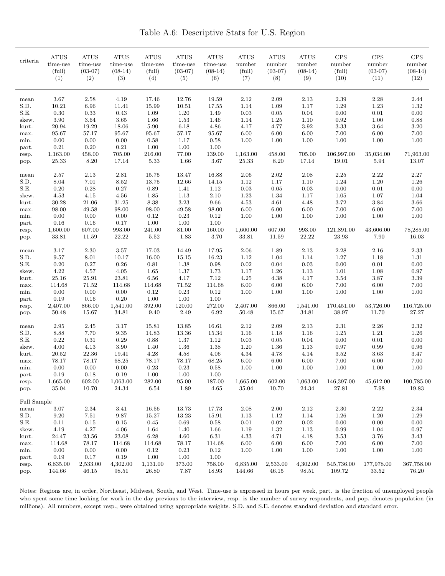Table A.6: Descriptive Stats for U.S. Region

| criteria             | <b>ATUS</b><br>time-use<br>(full)<br>(1) | <b>ATUS</b><br>time-use<br>$(03-07)$<br>(2) | <b>ATUS</b><br>time-use<br>$(08-14)$<br>(3) | <b>ATUS</b><br>time-use<br>(full)<br>(4) | ATUS<br>time-use<br>$(03-07)$<br>(5) | <b>ATUS</b><br>time-use<br>$(08-14)$<br>(6) | <b>ATUS</b><br>number<br>(full)<br>(7) | ATUS<br>number<br>$(03-07)$<br>(8) | <b>ATUS</b><br>number<br>$(08-14)$<br>(9) | <b>CPS</b><br>number<br>(full)<br>(10) | CPS<br>number<br>$(03-07)$<br>(11) | <b>CPS</b><br>number<br>$(08-14)$<br>(12) |
|----------------------|------------------------------------------|---------------------------------------------|---------------------------------------------|------------------------------------------|--------------------------------------|---------------------------------------------|----------------------------------------|------------------------------------|-------------------------------------------|----------------------------------------|------------------------------------|-------------------------------------------|
| mean<br>S.D.<br>S.E. | 3.67<br>10.21<br>0.30                    | 2.58<br>6.96<br>0.33                        | 4.19<br>11.41<br>0.43                       | 17.46<br>15.99<br>1.09                   | 12.76<br>10.51<br>1.20               | 19.59<br>17.55<br>1.49                      | 2.12<br>1.14<br>0.03                   | 2.09<br>1.09<br>0.05               | 2.13<br>1.17<br>0.04                      | 2.39<br>1.29<br>0.00                   | 2.28<br>1.23<br>0.01               | 2.44<br>1.32<br>0.00                      |
| skew.                | 3.90                                     | 3.64                                        | 3.65                                        | 1.66                                     | 1.53                                 | 1.46                                        | 1.14                                   | 1.25                               | 1.10                                      | 0.92                                   | 1.00                               | 0.88                                      |
| kurt.                | 20.94                                    | 19.29                                       | 18.06                                       | 5.90                                     | $6.18\,$                             | 4.86                                        | 4.17                                   | 4.77                               | 3.92                                      | 3.33                                   | $3.64\,$                           | 3.20                                      |
| max.                 | 95.67                                    | 57.17                                       | 95.67                                       | 95.67                                    | 57.17                                | 95.67                                       | 6.00                                   | 6.00                               | 6.00                                      | 7.00                                   | 6.00                               | 7.00                                      |
| min.                 | 0.00                                     | 0.00                                        | 0.00                                        | 0.58                                     | 1.17                                 | 0.58                                        | 1.00                                   | 1.00                               | 1.00                                      | 1.00                                   | 1.00                               | 1.00                                      |
| part.                | 0.21                                     | 0.20                                        | 0.21                                        | 1.00                                     | 1.00                                 | 1.00                                        |                                        |                                    |                                           |                                        |                                    |                                           |
| resp.                | 1,163.00                                 | 458.00                                      | 705.00                                      | 216.00                                   | 77.00                                | 139.00                                      | 1,163.00                               | 458.00                             | 705.00                                    | 106,997.00                             | 35,034.00<br>5.94                  | 71,963.00                                 |
| pop.                 | 25.33                                    | 8.20                                        | 17.14                                       | 5.33                                     | 1.66                                 | 3.67                                        | 25.33                                  | $8.20\,$                           | 17.14                                     | 19.01                                  |                                    | 13.07                                     |
| mean                 | 2.57                                     | 2.13                                        | 2.81                                        | 15.75                                    | 13.47                                | 16.88                                       | 2.06                                   | 2.02                               | 2.08                                      | 2.25                                   | 2.22                               | 2.27                                      |
| S.D.                 | 8.04                                     | 7.01                                        | 8.52                                        | 13.75                                    | 12.66                                | 14.15                                       | 1.12                                   | 1.17                               | 1.10                                      | 1.24                                   | $1.20\,$                           | 1.26                                      |
| S.E.                 | 0.20                                     | 0.28                                        | 0.27                                        | 0.89                                     | 1.41                                 | 1.12                                        | 0.03                                   | 0.05                               | 0.03                                      | 0.00                                   | $0.01\,$                           | 0.00                                      |
| skew.                | 4.53                                     | 4.15                                        | 4.56                                        | 1.85                                     | 1.13                                 | 2.10                                        | 1.23                                   | 1.34                               | 1.17                                      | 1.05                                   | $1.07\,$                           | 1.04                                      |
| kurt.                | 30.28                                    | 21.06                                       | 31.25                                       | 8.38                                     | $3.23\,$                             | 9.66                                        | 4.53                                   | 4.61                               | 4.48                                      | 3.72                                   | 3.84                               | 3.66                                      |
| max.                 | 98.00<br>0.00                            | 49.58<br>0.00                               | 98.00<br>0.00                               | 98.00<br>0.12                            | 49.58<br>0.23                        | 98.00<br>0.12                               | 6.00<br>1.00                           | 6.00                               | 6.00                                      | 7.00                                   | 6.00<br>1.00                       | 7.00<br>1.00                              |
| min.<br>part.        | 0.16                                     | 0.16                                        | 0.17                                        | 1.00                                     | 1.00                                 | 1.00                                        |                                        | 1.00                               | 1.00                                      | 1.00                                   |                                    |                                           |
| resp.                | 1,600.00                                 | 607.00                                      | 993.00                                      | 241.00                                   | 81.00                                | 160.00                                      | 1,600.00                               | 607.00                             | 993.00                                    | 121,891.00                             | 43,606.00                          | 78,285.00                                 |
| pop.                 | 33.81                                    | 11.59                                       | $22.22\,$                                   | 5.52                                     | 1.83                                 | 3.70                                        | 33.81                                  | 11.59                              | 22.22                                     | 23.93                                  | 7.90                               | 16.03                                     |
|                      |                                          |                                             |                                             |                                          |                                      |                                             |                                        |                                    |                                           |                                        |                                    |                                           |
| mean                 | 3.17                                     | 2.30                                        | 3.57                                        | 17.03                                    | 14.49                                | 17.95                                       | 2.06                                   | 1.89                               | 2.13                                      | 2.28                                   | 2.16                               | 2.33                                      |
| S.D.                 | 9.57                                     | 8.01                                        | 10.17                                       | 16.00                                    | 15.15                                | 16.23                                       | 1.12                                   | 1.04                               | 1.14                                      | 1.27                                   | 1.18                               | $1.31\,$                                  |
| S.E.                 | 0.20                                     | 0.27                                        | $0.26\,$                                    | 0.81                                     | 1.38                                 | 0.98                                        | 0.02                                   | 0.04                               | 0.03                                      | 0.00                                   | 0.01                               | 0.00                                      |
| skew.<br>kurt.       | 4.22<br>25.16                            | 4.57<br>25.91                               | 4.05<br>23.81                               | 1.65<br>6.56                             | 1.37<br>4.17                         | 1.73<br>7.12                                | 1.17<br>4.25                           | 1.26<br>4.38                       | 1.13<br>4.17                              | 1.01<br>3.54                           | 1.08<br>$3.87\,$                   | 0.97<br>3.39                              |
| max.                 | 114.68                                   | 71.52                                       | 114.68                                      | 114.68                                   | 71.52                                | 114.68                                      | 6.00                                   | $6.00\,$                           | $6.00\,$                                  | 7.00                                   | $6.00\,$                           | 7.00                                      |
| min.                 | 0.00                                     | 0.00                                        | 0.00                                        | 0.12                                     | 0.23                                 | 0.12                                        | 1.00                                   | 1.00                               | 1.00                                      | 1.00                                   | 1.00                               | 1.00                                      |
| part.                | 0.19                                     | 0.16                                        | 0.20                                        | 1.00                                     | 1.00                                 | 1.00                                        |                                        |                                    |                                           |                                        |                                    |                                           |
| resp.                | 2,407.00                                 | 866.00                                      | 1,541.00                                    | 392.00                                   | 120.00                               | 272.00                                      | 2,407.00                               | 866.00                             | 1,541.00                                  | 170,451.00                             | 53,726.00                          | 116,725.00                                |
| pop.                 | 50.48                                    | 15.67                                       | 34.81                                       | 9.40                                     | 2.49                                 | 6.92                                        | 50.48                                  | 15.67                              | 34.81                                     | 38.97                                  | 11.70                              | 27.27                                     |
| mean                 | 2.95                                     | 2.45                                        | 3.17                                        | 15.81                                    | 13.85                                | 16.61                                       | 2.12                                   | 2.09                               | 2.13                                      | 2.31                                   | $2.26\,$                           | 2.32                                      |
| S.D.                 | 8.88                                     | 7.70                                        | 9.35                                        | 14.83                                    | 13.36                                | 15.34                                       | 1.16                                   | 1.18                               | 1.16                                      | 1.25                                   | 1.21                               | 1.26                                      |
| S.E.                 | 0.22                                     | 0.31                                        | 0.29                                        | 0.88                                     | 1.37                                 | 1.12                                        | 0.03                                   | 0.05                               | 0.04                                      | 0.00                                   | 0.01                               | 0.00                                      |
| skew.                | 4.00                                     | 4.13                                        | 3.90                                        | 1.40                                     | 1.36                                 | 1.38                                        | 1.20                                   | 1.36                               | 1.13                                      | 0.97                                   | 0.99                               | 0.96                                      |
| kurt.                | 20.52                                    | 22.36                                       | 19.41                                       | 4.28                                     | 4.58                                 | 4.06                                        | 4.34                                   | 4.78                               | 4.14                                      | 3.52                                   | $3.63\,$                           | 3.47                                      |
| max.                 | 78.17                                    | 78.17                                       | 68.25                                       | 78.17                                    | 78.17                                | 68.25                                       | 6.00                                   | 6.00                               | 6.00                                      | 7.00                                   | 6.00                               | 7.00                                      |
| min.                 | 0.00                                     | 0.00                                        | 0.00                                        | 0.23                                     | 0.23                                 | 0.58                                        | 1.00                                   | 1.00                               | 1.00                                      | 1.00                                   | 1.00                               | 1.00                                      |
| part.                | $0.19\,$                                 | $0.18\,$                                    | 0.19                                        | 1.00                                     | 1.00                                 | $1.00\,$                                    |                                        |                                    |                                           |                                        |                                    |                                           |
| resp.                | 1,665.00<br>35.04                        | 602.00<br>10.70                             | 1,063.00<br>24.34                           | 282.00<br>$6.54\,$                       | 95.00<br>1.89                        | 187.00<br>4.65                              | 1,665.00<br>35.04                      | 602.00<br>10.70                    | 1,063.00<br>$24.34\,$                     | 146,397.00<br>27.81                    | 45,612.00<br>$7.98\,$              | 100,785.00<br>$19.83\,$                   |
| pop.                 |                                          |                                             |                                             |                                          |                                      |                                             |                                        |                                    |                                           |                                        |                                    |                                           |
| Full Sample          |                                          |                                             |                                             |                                          |                                      |                                             |                                        |                                    |                                           |                                        |                                    |                                           |
| mean                 | 3.07                                     | 2.34                                        | 3.41                                        | 16.56                                    | 13.73                                | 17.73                                       | 2.08                                   | 2.00                               | 2.12                                      | 2.30                                   | 2.22                               | 2.34                                      |
| S.D.                 | 9.20                                     | 7.51                                        | 9.87                                        | 15.27                                    | 13.23                                | 15.91                                       | 1.13                                   | 1.12                               | 1.14                                      | 1.26                                   | $1.20\,$                           | 1.29                                      |
| S.E.                 | 0.11                                     | 0.15                                        | 0.15                                        | 0.45                                     | 0.69                                 | 0.58                                        | 0.01                                   | 0.02                               | 0.02                                      | 0.00                                   | $0.00\,$                           | $0.00\,$                                  |
| skew.                | 4.19                                     | 4.27                                        | 4.06                                        | 1.64                                     | 1.40                                 | 1.66                                        | 1.19                                   | 1.32                               | 1.13                                      | 0.99                                   | 1.04                               | 0.97                                      |
| kurt.                | 24.47                                    | 23.56                                       | 23.08                                       | 6.28                                     | 4.60                                 | 6.31                                        | 4.33                                   | 4.71                               | 4.18                                      | 3.53                                   | 3.76                               | 3.43                                      |
| max.                 | 114.68                                   | 78.17                                       | 114.68                                      | 114.68                                   | 78.17                                | 114.68                                      | 6.00                                   | 6.00                               | 6.00                                      | 7.00                                   | 6.00                               | 7.00                                      |
| min.                 | 0.00<br>0.19                             | 0.00<br>0.17                                | 0.00<br>$0.19\,$                            | 0.12<br>1.00                             | 0.23<br>1.00                         | 0.12<br>1.00                                | 1.00                                   | 1.00                               | 1.00                                      | 1.00                                   | 1.00                               | 1.00                                      |
| part.<br>resp.       | 6,835.00                                 | 2,533.00                                    | 4,302.00                                    | 1,131.00                                 | 373.00                               | 758.00                                      | 6,835.00                               | 2,533.00                           | 4,302.00                                  | 545,736.00                             | 177,978.00                         | 367,758.00                                |
| pop.                 | 144.66                                   | 46.15                                       | 98.51                                       | 26.80                                    | 7.87                                 | 18.93                                       | 144.66                                 | 46.15                              | 98.51                                     | 109.72                                 | 33.52                              | 76.20                                     |
|                      |                                          |                                             |                                             |                                          |                                      |                                             |                                        |                                    |                                           |                                        |                                    |                                           |

Notes: Regions are, in order, Northeast, Midwest, South, and West. Time-use is expressed in hours per week, part. is the fraction of unemployed people who spent some time looking for work in the day previous to the interview, resp. is the number of survey respondents, and pop. denotes population (in millions). All numbers, except resp., were obtained using appropriate weights. S.D. and S.E. denotes standard deviation and standard error.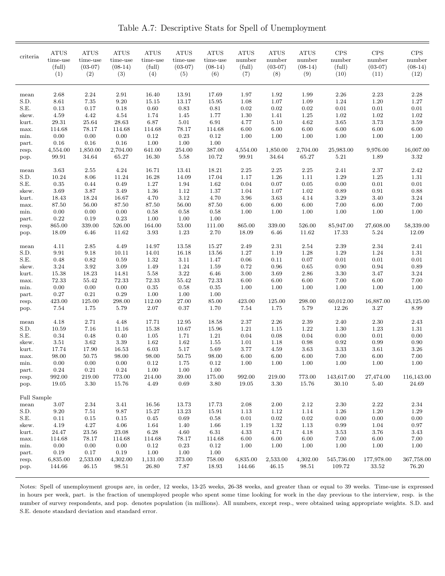Table A.7: Descriptive Stats for Spell of Unemployment

| criteria      | <b>ATUS</b><br>time-use<br>(full)<br>(1) | <b>ATUS</b><br>time-use<br>$(03-07)$<br>(2) | <b>ATUS</b><br>time-use<br>$(08-14)$<br>(3) | <b>ATUS</b><br>time-use<br>(full)<br>(4) | <b>ATUS</b><br>time-use<br>$(03-07)$<br>(5) | <b>ATUS</b><br>time-use<br>$(08-14)$<br>(6) | <b>ATUS</b><br>number<br>(full)<br>(7) | <b>ATUS</b><br>number<br>$(03-07)$<br>(8) | <b>ATUS</b><br>number<br>$(08-14)$<br>(9) | <b>CPS</b><br>number<br>(full)<br>(10) | <b>CPS</b><br>number<br>$(03-07)$<br>(11) | <b>CPS</b><br>number<br>$(08-14)$<br>(12) |
|---------------|------------------------------------------|---------------------------------------------|---------------------------------------------|------------------------------------------|---------------------------------------------|---------------------------------------------|----------------------------------------|-------------------------------------------|-------------------------------------------|----------------------------------------|-------------------------------------------|-------------------------------------------|
| mean          | 2.68                                     | 2.24                                        | 2.91                                        | 16.40                                    | 13.91                                       | 17.69                                       | 1.97                                   | 1.92                                      | 1.99                                      | 2.26                                   | 2.23                                      | 2.28                                      |
| S.D.          | 8.61                                     | $7.35\,$                                    | 9.20                                        | 15.15                                    | 13.17                                       | 15.95                                       | 1.08                                   | 1.07                                      | 1.09                                      | 1.24                                   | 1.20                                      | 1.27                                      |
| S.E.          | 0.13                                     | 0.17                                        | 0.18                                        | 0.60                                     | 0.83                                        | 0.81                                        | $0.02\,$                               | $0.02\,$                                  | 0.02                                      | 0.01                                   | 0.01                                      | 0.01                                      |
| skew.         | 4.59                                     | 4.42                                        | 4.54                                        | 1.74                                     | 1.45                                        | 1.77                                        | 1.30                                   | 1.41                                      | 1.25                                      | 1.02                                   | 1.02                                      | 1.02                                      |
| kurt.         | 29.31                                    | 25.64                                       | 28.63                                       | 6.87                                     | 5.01                                        | 6.91                                        | 4.77                                   | 5.10                                      | 4.62                                      | 3.65                                   | 3.73                                      | 3.59                                      |
| max.          | 114.68                                   | 78.17                                       | 114.68                                      | 114.68                                   | 78.17                                       | 114.68                                      | 6.00                                   | 6.00                                      | 6.00                                      | 6.00                                   | 6.00                                      | 6.00                                      |
| min.          | 0.00                                     | $0.00\,$                                    | 0.00                                        | 0.12                                     | 0.23                                        | 0.12                                        | 1.00                                   | 1.00                                      | 1.00                                      | 1.00                                   | 1.00                                      | 1.00                                      |
| part.         | 0.16<br>4,554.00                         | 0.16                                        | 0.16                                        | 1.00                                     | 1.00                                        | 1.00                                        |                                        |                                           | 2,704.00                                  |                                        | 9,976.00                                  | 16,007.00                                 |
| resp.<br>pop. | 99.91                                    | 1,850.00<br>34.64                           | 2,704.00<br>65.27                           | 641.00<br>16.30                          | 254.00<br>5.58                              | 387.00<br>10.72                             | 4,554.00<br>99.91                      | 1,850.00<br>34.64                         | 65.27                                     | 25,983.00<br>5.21                      | 1.89                                      | 3.32                                      |
|               |                                          |                                             |                                             |                                          |                                             |                                             |                                        |                                           |                                           |                                        |                                           |                                           |
| mean          | 3.63                                     | 2.55                                        | 4.24                                        | 16.71                                    | 13.41                                       | 18.21                                       | 2.25                                   | 2.25                                      | 2.25                                      | 2.41                                   | 2.37                                      | 2.42                                      |
| S.D.          | 10.24                                    | 8.06                                        | 11.24                                       | 16.28                                    | 14.09                                       | 17.04                                       | 1.17                                   | 1.26                                      | 1.11                                      | 1.29                                   | 1.25                                      | 1.31                                      |
| S.E.          | 0.35                                     | 0.44                                        | 0.49                                        | 1.27                                     | 1.94                                        | 1.62                                        | 0.04                                   | 0.07                                      | 0.05                                      | 0.00                                   | 0.01                                      | 0.01                                      |
| skew.         | 3.69                                     | 3.87                                        | 3.49                                        | 1.36                                     | 1.12                                        | 1.37                                        | 1.04                                   | 1.07                                      | 1.02                                      | 0.89                                   | 0.91                                      | 0.88                                      |
| kurt.         | 18.43<br>87.50                           | 18.24<br>56.00                              | 16.67                                       | 4.70                                     | 3.12                                        | 4.70<br>87.50                               | 3.96                                   | 3.63                                      | 4.14                                      | 3.29<br>7.00                           | 3.40                                      | 3.24<br>7.00                              |
| max.<br>min.  | 0.00                                     | 0.00                                        | 87.50<br>0.00                               | 87.50<br>0.58                            | 56.00<br>0.58                               | 0.58                                        | 6.00<br>1.00                           | 6.00<br>1.00                              | 6.00<br>1.00                              | 1.00                                   | $6.00\,$<br>1.00                          | 1.00                                      |
| part.         | 0.22                                     | 0.19                                        | 0.23                                        | 1.00                                     | 1.00                                        | 1.00                                        |                                        |                                           |                                           |                                        |                                           |                                           |
| resp.         | 865.00                                   | 339.00                                      | 526.00                                      | 164.00                                   | 53.00                                       | 111.00                                      | 865.00                                 | 339.00                                    | 526.00                                    | 85,947.00                              | 27,608.00                                 | 58,339.00                                 |
| pop.          | 18.09                                    | 6.46                                        | 11.62                                       | 3.93                                     | 1.23                                        | 2.70                                        | 18.09                                  | 6.46                                      | 11.62                                     | 17.33                                  | 5.24                                      | 12.09                                     |
| mean          | 4.11                                     | 2.85                                        | 4.49                                        | 14.97                                    | 13.58                                       | 15.27                                       | 2.49                                   | 2.31                                      | 2.54                                      | 2.39                                   | 2.34                                      | 2.41                                      |
| S.D.          | 9.91                                     | 9.18                                        | 10.11                                       | 14.01                                    | 16.18                                       | 13.56                                       | 1.27                                   | 1.19                                      | 1.28                                      | 1.29                                   | 1.24                                      | 1.31                                      |
| S.E.          | 0.48                                     | 0.82                                        | 0.59                                        | 1.32                                     | 3.11                                        | 1.47                                        | 0.06                                   | 0.11                                      | 0.07                                      | 0.01                                   | 0.01                                      | 0.01                                      |
| skew.         | $3.24\,$                                 | 3.92                                        | 3.09                                        | 1.49                                     | 1.24                                        | 1.59                                        | 0.72                                   | 0.96                                      | 0.65                                      | 0.90                                   | 0.94                                      | 0.89                                      |
| kurt.         | 15.38                                    | 18.23                                       | 14.81                                       | 5.58                                     | 3.22                                        | 6.46                                        | 3.00                                   | 3.69                                      | 2.86                                      | 3.30                                   | 3.47                                      | 3.24                                      |
| max.          | 72.33                                    | 55.42                                       | 72.33                                       | 72.33                                    | 55.42                                       | 72.33                                       | 6.00                                   | 6.00                                      | 6.00                                      | 7.00                                   | 6.00                                      | 7.00                                      |
| min.          | 0.00                                     | 0.00                                        | 0.00                                        | 0.35                                     | 0.58                                        | 0.35                                        | 1.00                                   | 1.00                                      | 1.00                                      | 1.00                                   | 1.00                                      | 1.00                                      |
| part.         | 0.27                                     | 0.21                                        | 0.29                                        | 1.00                                     | 1.00                                        | 1.00                                        |                                        |                                           |                                           |                                        |                                           |                                           |
| resp.         | 423.00<br>7.54                           | 125.00<br>1.75                              | 298.00<br>5.79                              | 112.00<br>2.07                           | 27.00<br>0.37                               | 85.00<br>1.70                               | 423.00<br>7.54                         | 125.00<br>1.75                            | 298.00<br>5.79                            | 60,012.00<br>12.26                     | 16,887.00<br>3.27                         | 43,125.00<br>8.99                         |
| pop.          |                                          |                                             |                                             |                                          |                                             |                                             |                                        |                                           |                                           |                                        |                                           |                                           |
| mean          | 4.18                                     | 2.71                                        | 4.48                                        | 17.71                                    | 12.95                                       | 18.58                                       | 2.37                                   | $2.26\,$                                  | 2.39                                      | 2.40                                   | $2.30\,$                                  | 2.43                                      |
| S.D.          | 10.59                                    | 7.16                                        | 11.16                                       | 15.38                                    | 10.67                                       | 15.96                                       | 1.21                                   | 1.15                                      | 1.22                                      | 1.30                                   | 1.23                                      | 1.31                                      |
| S.E.          | 0.34                                     | 0.48                                        | 0.40                                        | 1.05                                     | 1.71                                        | 1.21                                        | 0.04                                   | 0.08                                      | 0.04                                      | 0.00                                   | 0.01                                      | 0.00                                      |
| skew.         | 3.51                                     | 3.62                                        | 3.39                                        | 1.62                                     | 1.62                                        | 1.55                                        | 1.01                                   | 1.18                                      | 0.98                                      | 0.92                                   | 0.99                                      | 0.90                                      |
| kurt.<br>max. | 17.74<br>98.00                           | 17.90<br>50.75                              | 16.53<br>98.00                              | 6.03<br>98.00                            | 5.17<br>50.75                               | 5.69<br>98.00                               | 3.77<br>6.00                           | 4.59<br>6.00                              | 3.63<br>6.00                              | 3.33<br>7.00                           | 3.61<br>6.00                              | 3.26<br>7.00                              |
| min.          | 0.00                                     | 0.00                                        | 0.00                                        | 0.12                                     | 1.75                                        | 0.12                                        | 1.00                                   | 1.00                                      | 1.00                                      | 1.00                                   | 1.00                                      | 1.00                                      |
| part.         | 0.24                                     | $\rm 0.21$                                  | 0.24                                        | 1.00                                     | 1.00                                        | 1.00                                        |                                        |                                           |                                           |                                        |                                           |                                           |
| resp.         | 992.00                                   | 219.00                                      | 773.00                                      | 214.00                                   | 39.00                                       | 175.00                                      | 992.00                                 | 219.00                                    | 773.00                                    | 143,617.00                             | 27,474.00                                 | 116,143.00                                |
| pop.          | 19.05                                    | $3.30\,$                                    | 15.76                                       | 4.49                                     | 0.69                                        | $3.80\,$                                    | 19.05                                  | 3.30                                      | 15.76                                     | 30.10                                  | 5.40                                      | 24.69                                     |
| Full Sample   |                                          |                                             |                                             |                                          |                                             |                                             |                                        |                                           |                                           |                                        |                                           |                                           |
| mean          | 3.07                                     | $2.34\,$                                    | 3.41                                        | 16.56                                    | 13.73                                       | 17.73                                       | 2.08                                   | 2.00                                      | $2.12\,$                                  | $2.30\,$                               | 2.22                                      | 2.34                                      |
| S.D.          | 9.20                                     | 7.51                                        | 9.87                                        | 15.27                                    | 13.23                                       | 15.91                                       | 1.13                                   | 1.12                                      | 1.14                                      | 1.26                                   | 1.20                                      | 1.29                                      |
| S.E.          | 0.11                                     | $\rm 0.15$                                  | 0.15                                        | 0.45                                     | $\,0.69\,$                                  | $0.58\,$                                    | 0.01                                   | $\rm 0.02$                                | 0.02                                      | 0.00                                   | $0.00\,$                                  | $0.00\,$                                  |
| skew.         | 4.19                                     | $4.27\,$                                    | 4.06                                        | 1.64                                     | 1.40                                        | 1.66                                        | 1.19                                   | 1.32                                      | 1.13                                      | 0.99                                   | 1.04                                      | $0.97\,$                                  |
| kurt.         | 24.47                                    | 23.56                                       | 23.08                                       | $6.28\,$                                 | 4.60                                        | 6.31                                        | 4.33                                   | 4.71                                      | 4.18                                      | 3.53                                   | $3.76\,$                                  | 3.43                                      |
| max.          | 114.68                                   | 78.17                                       | 114.68                                      | 114.68                                   | 78.17                                       | 114.68                                      | 6.00                                   | 6.00                                      | 6.00                                      | 7.00                                   | 6.00                                      | 7.00                                      |
| min.          | 0.00                                     | $0.00\,$                                    | 0.00                                        | 0.12                                     | $0.23\,$                                    | 0.12                                        | 1.00                                   | 1.00                                      | 1.00                                      | 1.00                                   | 1.00                                      | $1.00\,$                                  |
| part.         | 0.19                                     | 0.17                                        | 0.19                                        | 1.00                                     | 1.00                                        | 1.00                                        |                                        |                                           |                                           |                                        | 177,978.00                                | 367,758.00                                |
| resp.<br>pop. | 6,835.00<br>144.66                       | 2,533.00<br>46.15                           | 4,302.00<br>98.51                           | 1,131.00<br>26.80                        | 373.00<br>7.87                              | 758.00<br>18.93                             | 6,835.00<br>144.66                     | 2,533.00<br>46.15                         | 4,302.00<br>98.51                         | 545,736.00<br>109.72                   | 33.52                                     | 76.20                                     |
|               |                                          |                                             |                                             |                                          |                                             |                                             |                                        |                                           |                                           |                                        |                                           |                                           |

Notes: Spell of unemployment groups are, in order, 12 weeks, 13-25 weeks, 26-38 weeks, and greater than or equal to 39 weeks. Time-use is expressed in hours per week, part. is the fraction of unemployed people who spent some time looking for work in the day previous to the interview, resp. is the number of survey respondents, and pop. denotes population (in millions). All numbers, except resp., were obtained using appropriate weights. S.D. and S.E. denote standard deviation and standard error.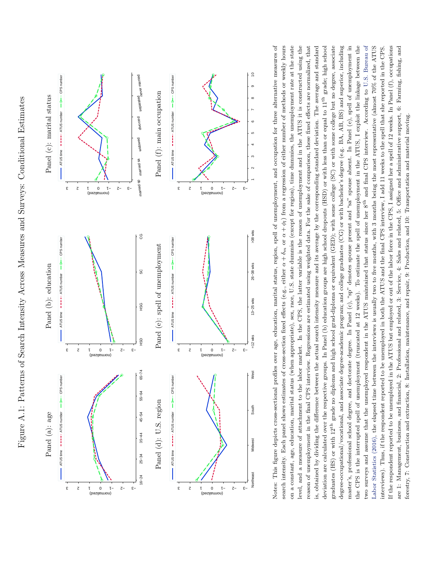<span id="page-63-0"></span>

two surveys and assume that the unemployed respondent in the ATUS maintained that status since her 8<sup>th</sup> and final CPS interview. According to U.S. Bureau of Notes: This figure depicts cross-sectional profiles over age, education, marital status, region, spell of unemployment, and occupation for three alternative measures of level, and a measure of attachment to the labor market. In the CPS, the latter variable is the reason of unemployment and in the ATUS it is constructed using the is, obtained by dividing the difference between the actual search intensity measure and its average by the corresponding standard deviation. The average and standard deviation are calculated over the respective groups. In Panel (b) education groups are high school dropouts (HSD) or with less than or equal to 11<sup>th</sup> grade; high school graduates (HS) or with  $12^{\text{th}}$  grade no diploma and high school grad-diploma or equivalent (GED); with some college (SC) or with some college but no degree, associate degree-occupational/vocational, and associate degree-academic program; and college graduates (CG) or with bachelor's degree (e.g. BA, AB, BS) and superior, including master's, professional school degree, and doctorate degree. In Panel (c), "sp" denotes spouse present and "sa" spouse absent. In Panel (e), spell of unemployment in the CPS is the interrupted spell of unemployment (truncated at 12 weeks). To estimate the spell of unemployment in the ATUS, I exploit the linkage between the Labor Statistics (2016), the elapsed time between the interviews is usually two to five months, with 3 months being the most representative (almost 70% of the ATUS If the respondent reported to be unemployed in the ATUS but employed or out of the labor force in the CPS, I assigned her a spell of 12 weeks. In Panel (f), occupations Notes: This figure depicts cross-sectional profiles over age, education, marital status, region, spell of unemployment, and occupation for three alternative measures of reason of unemployment in the final CPS interview. Regressions are estimated using weighted data. For the sake of comparison, these fixed effects are normalized, that two surveys and assume that the unemployed respondent in the ATUS maintained that status since her 8th and final CPS interview. According to U.S. [Bureau](#page-54-0) of interviews). Thus, if the respondent reported to be unemployed in both the ATUS and the final CPS interview, I add 11 weeks to the spell that she reported in the CPS. are 1: Management, business, and financial, 2: Professional and related, 3: Service, 4: Sales and related, 5: Office and administrative support, 6: Farming, fishing, and  $+\phi_l$ ) from a regression of either number of methods or weekly hours on a constant, age, education, marital status (when appropriate), sex, race, U.S. state dummies (except for region), time dummies, the unemployment rate at the state level, and a measure of attachment to the labor market. In the CPS, the latter variable is the reason of unemployment and in the ATUS it is constructed using the reason of unemployment in the final CPS interview. Regressions are estimated using weighted data. For the sake of comparison, these fixed effects are normalized, that is, obtained by dividing the difference between the actual search intensity measure and its average by the corresponding standard deviation. The average and standard deviation are calculated over the respective groups. In Panel (b) education groups are high school dropouts (HSD) or with less than or equal to 11th grade; high school graduates (HS) or with 12th grade no diploma and high school grad-diploma or equivalent (GED); with some college (SC) or with some college but no degree, associate degree-occupational/vocational, and associate degree-academic program; and college graduates (CG) or with bachelor's degree (e.g. BA, AB, BS) and superior, including master's, professional school degree, and doctorate degree. In Panel (c), "sp" denotes spouse present and "sa" spouse absent. In Panel (e), spell of unemployment in the CPS is the interrupted spell of unemployment (truncated at 12 weeks). To estimate the spell of unemployment in the ATUS, I exploit the linkage between the Labor [Statistics](#page-54-0) (2016), the elapsed time between the interviews is usually two to five months, with 3 months being the most representative (almost 70% of the ATUS interviews). Thus, if the respondent reported to be unemployed in both the ATUS and the final CPS interview, I add 11 weeks to the spell that she reported in the CPS. If the respondent reported to be unemployed in the ATUS but employed or out of the labor force in the CPS, I assigned her a spell of 12 weeks. In Panel (f), occupations are 1: Management, business, and financial, 2: Professional and related, 3: Service, 4: Sales and related, 5: Office and administrative support, 6: Farming, fishing, and forestry, 7: Construction and extraction, 8: Installation, maintenance, and repair, 9: Production, and 10: Transportation and material moving. forestry, 7: Construction and extraction, 8: Installation, maintenance, and repair, 9: Production, and 10: Transportation and material moving.*α*+*α*+ *δm* or search intensity. Each panel shows estimates of cross-section fixed effects (e.g., either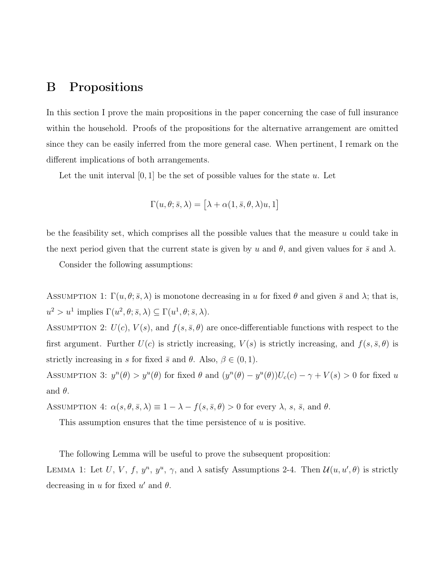#### B Propositions

In this section I prove the main propositions in the paper concerning the case of full insurance within the household. Proofs of the propositions for the alternative arrangement are omitted since they can be easily inferred from the more general case. When pertinent, I remark on the different implications of both arrangements.

Let the unit interval  $[0, 1]$  be the set of possible values for the state  $u$ . Let

$$
\Gamma(u,\theta;\bar{s},\lambda) = \left[\lambda + \alpha(1,\bar{s},\theta,\lambda)u,1\right]
$$

be the feasibility set, which comprises all the possible values that the measure *u* could take in the next period given that the current state is given by *u* and  $\theta$ , and given values for  $\bar{s}$  and  $\lambda$ .

Consider the following assumptions:

ASSUMPTION 1:  $\Gamma(u, \theta; \bar{s}, \lambda)$  is monotone decreasing in *u* for fixed  $\theta$  and given  $\bar{s}$  and  $\lambda$ ; that is,  $u^2 > u^1$  implies  $\Gamma(u^2, \theta; \bar{s}, \lambda) \subseteq \Gamma(u^1, \theta; \bar{s}, \lambda)$ .

ASSUMPTION 2:  $U(c)$ ,  $V(s)$ , and  $f(s, \bar{s}, \theta)$  are once-differentiable functions with respect to the first argument. Further  $U(c)$  is strictly increasing,  $V(s)$  is strictly increasing, and  $f(s, \bar{s}, \theta)$  is strictly increasing in *s* for fixed  $\bar{s}$  and  $\theta$ . Also,  $\beta \in (0, 1)$ .

ASSUMPTION 3:  $y^n(\theta) > y^u(\theta)$  for fixed  $\theta$  and  $(y^n(\theta) - y^u(\theta))U_c(c) - \gamma + V(s) > 0$  for fixed u and  $\theta$ .

ASSUMPTION 4:  $\alpha(s, \theta, \bar{s}, \lambda) \equiv 1 - \lambda - f(s, \bar{s}, \theta) > 0$  for every  $\lambda$ , *s*,  $\bar{s}$ , and  $\theta$ .

This assumption ensures that the time persistence of *u* is positive.

The following Lemma will be useful to prove the subsequent proposition:

LEMMA 1: Let *U*, *V*, *f*,  $y^n$ ,  $y^u$ ,  $\gamma$ , and  $\lambda$  satisfy Assumptions 2-4. Then  $\mathcal{U}(u, u', \theta)$  is strictly decreasing in  $u$  for fixed  $u'$  and  $\theta$ .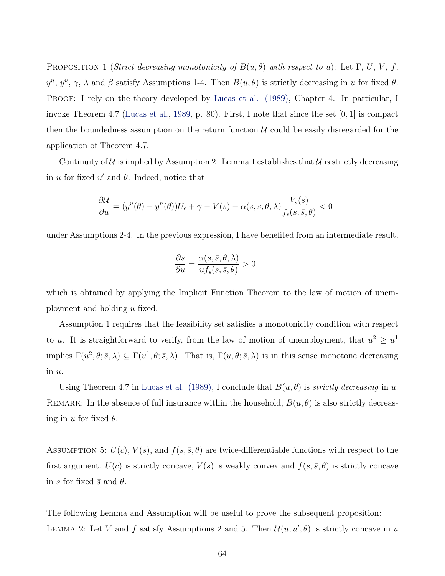<span id="page-65-0"></span>PROPOSITION 1 (*Strict decreasing monotonicity of*  $B(u, \theta)$  *with respect to u*): Let  $\Gamma$ , *U*, *V*, *f*,  $y^n$ ,  $y^u$ ,  $\gamma$ ,  $\lambda$  and  $\beta$  satisfy Assumptions 1-4. Then  $B(u, \theta)$  is strictly decreasing in *u* for fixed  $\theta$ . PROOF: I rely on the theory developed by [Lucas et al. \(1989\),](#page-52-3) Chapter 4. In particular, I invoke Theorem 4.7 [\(Lucas et al.,](#page-52-3) [1989](#page-52-3), p. 80). First, I note that since the set [0*,* 1] is compact then the boundedness assumption on the return function *U* could be easily disregarded for the application of Theorem 4.7.

Continuity of  $U$  is implied by Assumption 2. Lemma 1 establishes that  $U$  is strictly decreasing in  $u$  for fixed  $u'$  and  $\theta$ . Indeed, notice that

$$
\frac{\partial \mathcal{U}}{\partial u} = (y^u(\theta) - y^u(\theta))U_c + \gamma - V(s) - \alpha(s, \bar{s}, \theta, \lambda) \frac{V_s(s)}{f_s(s, \bar{s}, \theta)} < 0
$$

under Assumptions 2-4. In the previous expression, I have benefited from an intermediate result,

$$
\frac{\partial s}{\partial u} = \frac{\alpha(s, \bar{s}, \theta, \lambda)}{u f_s(s, \bar{s}, \theta)} > 0
$$

which is obtained by applying the Implicit Function Theorem to the law of motion of unemployment and holding *u* fixed.

Assumption 1 requires that the feasibility set satisfies a monotonicity condition with respect to *u*. It is straightforward to verify, from the law of motion of unemployment, that  $u^2 \geq u^1$ implies  $\Gamma(u^2, \theta; \bar{s}, \lambda) \subseteq \Gamma(u^1, \theta; \bar{s}, \lambda)$ . That is,  $\Gamma(u, \theta; \bar{s}, \lambda)$  is in this sense monotone decreasing in *u*.

Using Theorem 4.7 in [Lucas et al. \(1989\)](#page-52-3), I conclude that  $B(u, \theta)$  is *strictly decreasing* in *u*. REMARK: In the absence of full insurance within the household,  $B(u, \theta)$  is also strictly decreasing in *u* for fixed *θ*.

ASSUMPTION 5:  $U(c)$ ,  $V(s)$ , and  $f(s, \bar{s}, \theta)$  are twice-differentiable functions with respect to the first argument.  $U(c)$  is strictly concave,  $V(s)$  is weakly convex and  $f(s, \bar{s}, \theta)$  is strictly concave in *s* for fixed  $\bar{s}$  and  $\theta$ .

The following Lemma and Assumption will be useful to prove the subsequent proposition: LEMMA 2: Let *V* and *f* satisfy Assumptions 2 and 5. Then  $\mathcal{U}(u, u', \theta)$  is strictly concave in *u*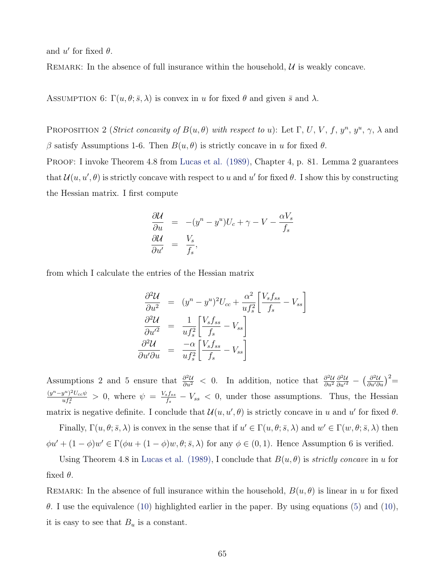<span id="page-66-0"></span>and  $u'$  for fixed  $\theta$ .

REMARK: In the absence of full insurance within the household,  $U$  is weakly concave.

ASSUMPTION 6:  $\Gamma(u, \theta; \bar{s}, \lambda)$  is convex in *u* for fixed  $\theta$  and given  $\bar{s}$  and  $\lambda$ .

PROPOSITION 2 (*Strict concavity of*  $B(u, \theta)$  *with respect to u*): Let  $\Gamma$ , *U*, *V*, *f*,  $y^n$ ,  $\gamma$ ,  $\lambda$  and *β* satisfy Assumptions 1-6. Then *B*(*u, θ*) is strictly concave in *u* for fixed *θ*.

PROOF: I invoke Theorem 4.8 from [Lucas et al. \(1989\),](#page-52-3) Chapter 4, p. 81. Lemma 2 guarantees that  $\mathcal{U}(u, u', \theta)$  is strictly concave with respect to *u* and *u'* for fixed  $\theta$ . I show this by constructing the Hessian matrix. I first compute

$$
\frac{\partial \mathcal{U}}{\partial u} = -(y^n - y^u)U_c + \gamma - V - \frac{\alpha V_s}{f_s}
$$
  

$$
\frac{\partial \mathcal{U}}{\partial u'} = \frac{V_s}{f_s},
$$

from which I calculate the entries of the Hessian matrix

$$
\frac{\partial^2 \mathcal{U}}{\partial u^2} = (y^n - y^u)^2 U_{cc} + \frac{\alpha^2}{u f_s^2} \left[ \frac{V_s f_{ss}}{f_s} - V_{ss} \right]
$$

$$
\frac{\partial^2 \mathcal{U}}{\partial u'^2} = \frac{1}{u f_s^2} \left[ \frac{V_s f_{ss}}{f_s} - V_{ss} \right]
$$

$$
\frac{\partial^2 \mathcal{U}}{\partial u' \partial u} = \frac{-\alpha}{u f_s^2} \left[ \frac{V_s f_{ss}}{f_s} - V_{ss} \right]
$$

Assumptions 2 and 5 ensure that  $\frac{\partial^2 U}{\partial u^2} < 0$ . In addition, notice that  $\frac{\partial^2 U}{\partial u^2}$ *∂u*<sup>2</sup>  $\frac{\partial^2 U}{\partial u'^2}$  −  $\left(\frac{\partial^2 U}{\partial u' \partial u}\right)^2$ =  $(y^n-y^u)^2U_{cc}\psi$  $\frac{y^u}{u f_s^2}$  > 0, where  $\psi = \frac{V_s f_{ss}}{f_s}$ *fs − Vss <* 0, under those assumptions. Thus, the Hessian matrix is negative definite. I conclude that  $\mathcal{U}(u, u', \theta)$  is strictly concave in *u* and *u'* for fixed  $\theta$ .

Finally,  $\Gamma(u, \theta; \bar{s}, \lambda)$  is convex in the sense that if  $u' \in \Gamma(u, \theta; \bar{s}, \lambda)$  and  $w' \in \Gamma(w, \theta; \bar{s}, \lambda)$  then  $\phi u' + (1 - \phi)w' \in \Gamma(\phi u + (1 - \phi)w, \theta; \bar{s}, \lambda)$  for any  $\phi \in (0, 1)$ . Hence Assumption 6 is verified.

Using Theorem 4.8 in [Lucas et al. \(1989\),](#page-52-3) I conclude that  $B(u, \theta)$  is *strictly concave* in *u* for fixed  $\theta$ .

REMARK: In the absence of full insurance within the household,  $B(u, \theta)$  is linear in *u* for fixed *θ*. I use the equivalence ([10\)](#page-34-0) highlighted earlier in the paper. By using equations ([5\)](#page-32-0) and ([10](#page-34-0)), it is easy to see that  $B_u$  is a constant.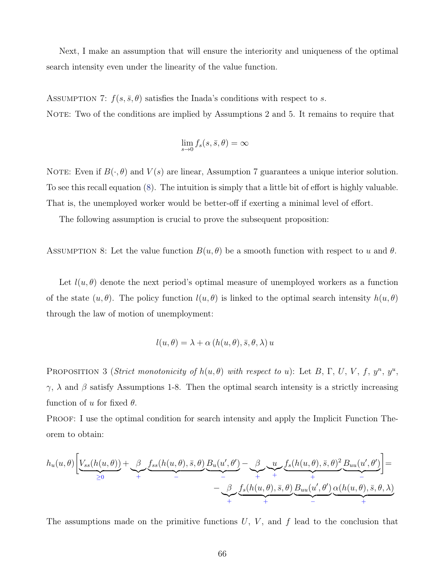Next, I make an assumption that will ensure the interiority and uniqueness of the optimal search intensity even under the linearity of the value function.

ASSUMPTION 7:  $f(s, \bar{s}, \theta)$  satisfies the Inada's conditions with respect to *s*. NOTE: Two of the conditions are implied by Assumptions 2 and 5. It remains to require that

$$
\lim_{s \to 0} f_s(s, \bar{s}, \theta) = \infty
$$

NOTE: Even if  $B(\cdot, \theta)$  and  $V(s)$  are linear, Assumption 7 guarantees a unique interior solution. To see this recall equation ([8\)](#page-34-1). The intuition is simply that a little bit of effort is highly valuable. That is, the unemployed worker would be better-off if exerting a minimal level of effort.

The following assumption is crucial to prove the subsequent proposition:

ASSUMPTION 8: Let the value function  $B(u, \theta)$  be a smooth function with respect to *u* and  $\theta$ .

Let  $l(u, \theta)$  denote the next period's optimal measure of unemployed workers as a function of the state  $(u, \theta)$ . The policy function  $l(u, \theta)$  is linked to the optimal search intensity  $h(u, \theta)$ through the law of motion of unemployment:

$$
l(u, \theta) = \lambda + \alpha (h(u, \theta), \bar{s}, \theta, \lambda) u
$$

PROPOSITION 3 (*Strict monotonicity of*  $h(u, \theta)$  *with respect to u*): Let *B*, Γ, *U*, *V*, *f*,  $y^n$ ,  $y^u$ , *γ*,  $\lambda$  and  $\beta$  satisfy Assumptions 1-8. Then the optimal search intensity is a strictly increasing function of  $u$  for fixed  $\theta$ .

Proof: I use the optimal condition for search intensity and apply the Implicit Function Theorem to obtain:

$$
h_u(u,\theta)\left[\underbrace{V_{ss}(h(u,\theta))}_{\geq 0}+\underbrace{\beta}_{+}\underbrace{f_{ss}(h(u,\theta),\bar{s},\theta)}_{-}\underbrace{B_u(u',\theta')}_{-}\underbrace{-\beta}_{+}\underbrace{u}_{+}\underbrace{f_s(h(u,\theta),\bar{s},\theta)}_{+}\underbrace{B_{uu}(u',\theta')}_{-}\underbrace{B_{uu}(u',\theta')}_{+}\right]=
$$

The assumptions made on the primitive functions *U*, *V* , and *f* lead to the conclusion that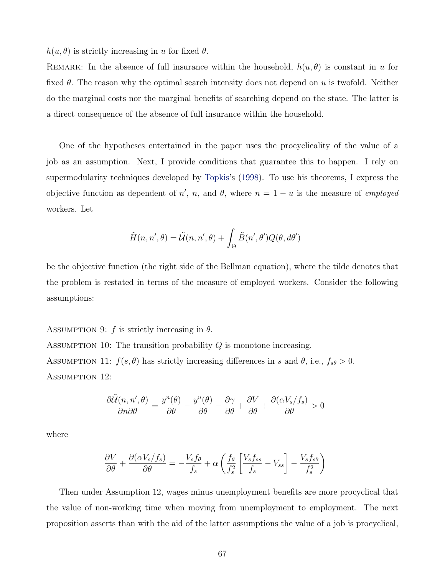<span id="page-68-0"></span> $h(u, \theta)$  is strictly increasing in *u* for fixed  $\theta$ .

REMARK: In the absence of full insurance within the household,  $h(u, \theta)$  is constant in *u* for fixed *θ*. The reason why the optimal search intensity does not depend on *u* is twofold. Neither do the marginal costs nor the marginal benefits of searching depend on the state. The latter is a direct consequence of the absence of full insurance within the household.

One of the hypotheses entertained in the paper uses the procyclicality of the value of a job as an assumption. Next, I provide conditions that guarantee this to happen. I rely on supermodularity techniques developed by [Topkis'](#page-54-1)s [\(1998\)](#page-54-1). To use his theorems, I express the objective function as dependent of *n'*, *n*, and  $\theta$ , where  $n = 1 - u$  is the measure of *employed* workers. Let

$$
\tilde{H}(n, n', \theta) = \tilde{\mathcal{U}}(n, n', \theta) + \int_{\Theta} \tilde{B}(n', \theta') Q(\theta, d\theta')
$$

be the objective function (the right side of the Bellman equation), where the tilde denotes that the problem is restated in terms of the measure of employed workers. Consider the following assumptions:

ASSUMPTION 9:  $f$  is strictly increasing in  $\theta$ .

Assumption 10: The transition probability *Q* is monotone increasing. ASSUMPTION 11:  $f(s, \theta)$  has strictly increasing differences in *s* and  $\theta$ , i.e.,  $f_{s\theta} > 0$ . Assumption 12:

$$
\frac{\partial \tilde{\mathcal{U}}(n,n',\theta)}{\partial n \partial \theta} = \frac{y^n(\theta)}{\partial \theta} - \frac{y^n(\theta)}{\partial \theta} - \frac{\partial \gamma}{\partial \theta} + \frac{\partial V}{\partial \theta} + \frac{\partial (\alpha V_s/f_s)}{\partial \theta} > 0
$$

where

$$
\frac{\partial V}{\partial \theta} + \frac{\partial (\alpha V_s/f_s)}{\partial \theta} = -\frac{V_s f_\theta}{f_s} + \alpha \left( \frac{f_\theta}{f_s^2} \left[ \frac{V_s f_{ss}}{f_s} - V_{ss} \right] - \frac{V_s f_{s\theta}}{f_s^2} \right)
$$

Then under Assumption 12, wages minus unemployment benefits are more procyclical that the value of non-working time when moving from unemployment to employment. The next proposition asserts than with the aid of the latter assumptions the value of a job is procyclical,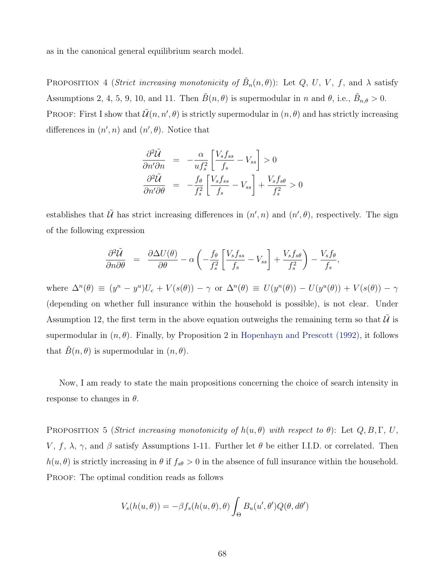<span id="page-69-0"></span>as in the canonical general equilibrium search model.

PROPOSITION 4 (*Strict increasing monotonicity of*  $\tilde{B}_n(n,\theta)$ ): Let *Q*, *U*, *V*, *f*, and  $\lambda$  satisfy Assumptions 2, 4, 5, 9, 10, and 11. Then  $\tilde{B}(n, \theta)$  is supermodular in *n* and  $\theta$ , i.e.,  $\tilde{B}_{n,\theta} > 0$ . PROOF: First I show that  $\tilde{\mathcal{U}}(n, n', \theta)$  is strictly supermodular in  $(n, \theta)$  and has strictly increasing differences in  $(n', n)$  and  $(n', \theta)$ . Notice that

$$
\frac{\partial^2 \tilde{U}}{\partial n' \partial n} = -\frac{\alpha}{u f_s^2} \left[ \frac{V_s f_{ss}}{f_s} - V_{ss} \right] > 0
$$
  

$$
\frac{\partial^2 \tilde{U}}{\partial n' \partial \theta} = -\frac{f_\theta}{f_s^2} \left[ \frac{V_s f_{ss}}{f_s} - V_{ss} \right] + \frac{V_s f_{s\theta}}{f_s^2} > 0
$$

establishes that  $\tilde{U}$  has strict increasing differences in  $(n', n)$  and  $(n', \theta)$ , respectively. The sign of the following expression

$$
\frac{\partial^2 \tilde{U}}{\partial n \partial \theta} = \frac{\partial \Delta U(\theta)}{\partial \theta} - \alpha \left( -\frac{f_\theta}{f_s^2} \left[ \frac{V_s f_{ss}}{f_s} - V_{ss} \right] + \frac{V_s f_{s\theta}}{f_s^2} \right) - \frac{V_s f_\theta}{f_s},
$$

where  $\Delta^n(\theta) \equiv (y^n - y^u)U_c + V(s(\theta)) - \gamma$  or  $\Delta^n(\theta) \equiv U(y^n(\theta)) - U(y^u(\theta)) + V(s(\theta)) - \gamma$ (depending on whether full insurance within the household is possible), is not clear. Under Assumption 12, the first term in the above equation outweighs the remaining term so that  $\hat{\mathcal{U}}$  is supermodular in  $(n, \theta)$ . Finally, by Proposition 2 in [Hopenhayn and Prescott \(1992\),](#page-52-4) it follows that  $B(n, \theta)$  is supermodular in  $(n, \theta)$ .

Now, I am ready to state the main propositions concerning the choice of search intensity in response to changes in *θ*.

PROPOSITION 5 (*Strict increasing monotonicity of*  $h(u, \theta)$  *with respect to*  $\theta$ ): Let  $Q, B, \Gamma, U$ , *V*, *f*,  $\lambda$ ,  $\gamma$ , and  $\beta$  satisfy Assumptions 1-11. Further let  $\theta$  be either I.I.D. or correlated. Then  $h(u, \theta)$  is strictly increasing in  $\theta$  if  $f_{s\theta} > 0$  in the absence of full insurance within the household. PROOF: The optimal condition reads as follows

$$
V_s(h(u, \theta)) = -\beta f_s(h(u, \theta), \theta) \int_{\Theta} B_u(u', \theta') Q(\theta, d\theta')
$$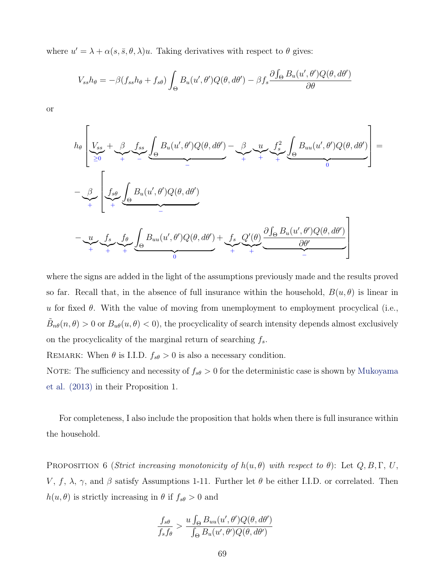<span id="page-70-0"></span>where  $u' = \lambda + \alpha(s, \bar{s}, \theta, \lambda)u$ . Taking derivatives with respect to  $\theta$  gives:

$$
V_{ss}h_{\theta} = -\beta(f_{ss}h_{\theta} + f_{s\theta}) \int_{\Theta} B_u(u', \theta')Q(\theta, d\theta') - \beta f_s \frac{\partial \int_{\Theta} B_u(u', \theta')Q(\theta, d\theta')}{\partial \theta}
$$

or

$$
h_{\theta} \left[ \underbrace{V_{ss}}_{\geq 0} + \underbrace{\beta}_{\leftarrow} \underbrace{f_{ss}}_{\sim} \underbrace{\int_{\Theta} B_{u}(u', \theta')Q(\theta, d\theta')}_{\sim} - \underbrace{\beta}_{\leftarrow} \underbrace{u}_{\leftarrow} \underbrace{f_{s}^{2}}_{\sim} \underbrace{\int_{\Theta} B_{uu}(u', \theta')Q(\theta, d\theta')}_{0} \right] =
$$
\n
$$
- \underbrace{\beta}_{\leftarrow} \underbrace{\int_{\Theta} f_{s\theta} \underbrace{\int_{\Theta} B_{u}(u', \theta')Q(\theta, d\theta')}_{\sim}}_{\sim} - \underbrace{u}_{\theta} \underbrace{f_{s}}_{\sim} \underbrace{\int_{\Theta} B_{u}(u', \theta')Q(\theta, d\theta')}_{0} + \underbrace{f_{s}}_{\sim} \underbrace{Q'(\theta)}_{\sim} \underbrace{\frac{\partial f_{\Theta} B_{u}(u', \theta')Q(\theta, d\theta')}{\partial \theta'}}_{\sim}
$$

where the signs are added in the light of the assumptions previously made and the results proved so far. Recall that, in the absence of full insurance within the household,  $B(u, \theta)$  is linear in *u* for fixed *θ*. With the value of moving from unemployment to employment procyclical (i.e.,  $\tilde{B}_{n\theta}(n,\theta) > 0$  or  $B_{u\theta}(u,\theta) < 0$ , the procyclicality of search intensity depends almost exclusively on the procyclicality of the marginal return of searching *fs*.

REMARK: When  $\theta$  is I.I.D.  $f_{s\theta} > 0$  is also a necessary condition.

NOTE: The sufficiency and necessity of  $f_{s\theta} > 0$  for the deterministic case is shown by [Mukoyama](#page-53-4) [et al. \(2013\)](#page-53-4) in their Proposition 1.

For completeness, I also include the proposition that holds when there is full insurance within the household.

PROPOSITION 6 (*Strict increasing monotonicity of*  $h(u, \theta)$  *with respect to*  $\theta$ ): Let  $Q, B, \Gamma, U$ , *V*, *f*,  $\lambda$ ,  $\gamma$ , and  $\beta$  satisfy Assumptions 1-11. Further let  $\theta$  be either I.I.D. or correlated. Then *h*(*u, θ*) is strictly increasing in *θ* if  $f_{s\theta} > 0$  and

$$
\frac{f_{s\theta}}{f_{s}f_{\theta}} > \frac{u \int_{\Theta} B_{uu}(u', \theta')Q(\theta, d\theta')}{\int_{\Theta} B_{u}(u', \theta')Q(\theta, d\theta')}
$$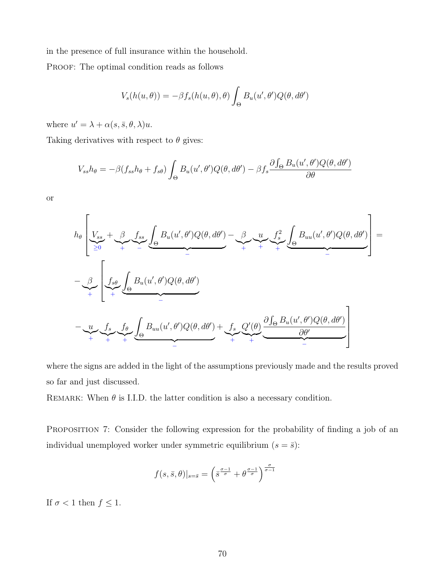in the presence of full insurance within the household.

PROOF: The optimal condition reads as follows

$$
V_s(h(u, \theta)) = -\beta f_s(h(u, \theta), \theta) \int_{\Theta} B_u(u', \theta') Q(\theta, d\theta')
$$

where  $u' = \lambda + \alpha(s, \bar{s}, \theta, \lambda)u$ .

Taking derivatives with respect to  $\theta$  gives:

$$
V_{ss}h_{\theta} = -\beta(f_{ss}h_{\theta} + f_{s\theta}) \int_{\Theta} B_u(u', \theta')Q(\theta, d\theta') - \beta f_s \frac{\partial \int_{\Theta} B_u(u', \theta')Q(\theta, d\theta')}{\partial \theta}
$$

or

$$
h_{\theta}\left[\underbrace{V_{ss}}_{\geq 0} + \underbrace{\beta \underbrace{f_{ss}}_{\neq 0} \underbrace{f_{su}(u', \theta')Q(\theta, d\theta')}_{\neq} - \underbrace{\beta \underbrace{u}_{\neq} \underbrace{f_{s}^{2}}_{\neq 0} \underbrace{f_{su}(u', \theta')Q(\theta, d\theta')}_{\neq 0} + \underbrace{f_{s}^{2} \underbrace{f_{s}^{2}}_{\neq 0} \underbrace{f_{su}(u', \theta')Q(\theta, d\theta')}_{\neq 0} - \underbrace{u \underbrace{f_{s}^{2}}_{\neq 0} \underbrace{f_{\theta} \underbrace{f_{su}(u', \theta')Q(\theta, d\theta')}_{\neq 0} + \underbrace{f_{s}^{2} \underbrace{Q'(\theta)}_{\neq 0} \underbrace{\frac{\partial f_{\theta} B_{u}(u', \theta')Q(\theta, d\theta')}{\frac{\partial \theta'}{}}}_{\neq 0}\right]
$$

where the signs are added in the light of the assumptions previously made and the results proved so far and just discussed.

REMARK: When  $\theta$  is I.I.D. the latter condition is also a necessary condition.

PROPOSITION 7: Consider the following expression for the probability of finding a job of an individual unemployed worker under symmetric equilibrium  $(s = \bar{s})$ :

$$
f(s,\bar{s},\theta)|_{s=\bar{s}}=\left(\bar{s}^{\frac{\sigma-1}{\sigma}}+\theta^{\frac{\sigma-1}{\sigma}}\right)^{\frac{\sigma}{\sigma-1}}
$$

If  $\sigma < 1$  then  $f \leq 1$ .